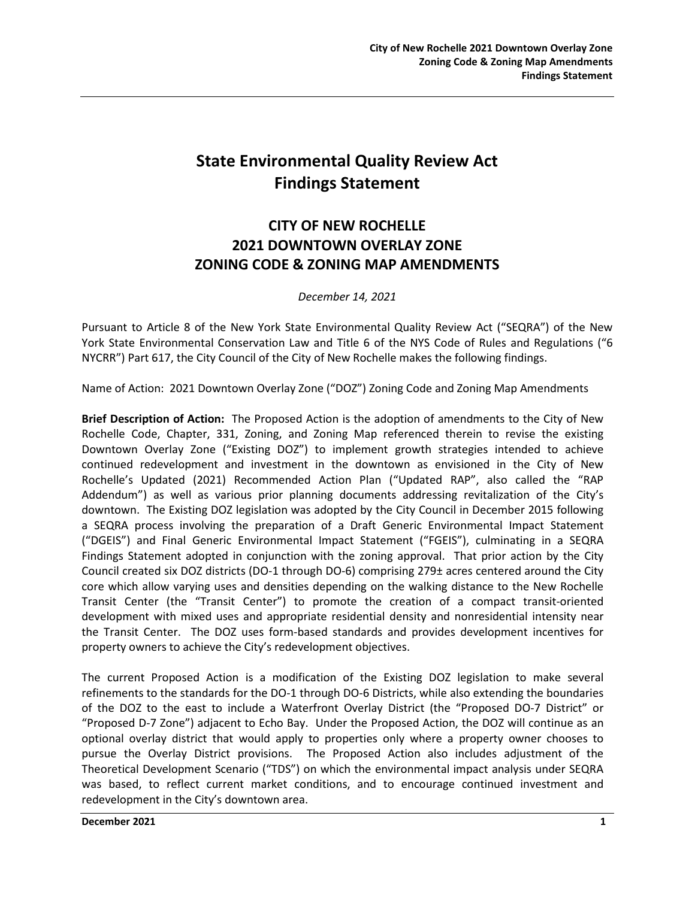# **State Environmental Quality Review Act Findings Statement**

# **CITY OF NEW ROCHELLE 2021 DOWNTOWN OVERLAY ZONE ZONING CODE & ZONING MAP AMENDMENTS**

### *December 14, 2021*

Pursuant to Article 8 of the New York State Environmental Quality Review Act ("SEQRA") of the New York State Environmental Conservation Law and Title 6 of the NYS Code of Rules and Regulations ("6 NYCRR") Part 617, the City Council of the City of New Rochelle makes the following findings.

Name of Action: 2021 Downtown Overlay Zone ("DOZ") Zoning Code and Zoning Map Amendments

**Brief Description of Action:** The Proposed Action is the adoption of amendments to the City of New Rochelle Code, Chapter, 331, Zoning, and Zoning Map referenced therein to revise the existing Downtown Overlay Zone ("Existing DOZ") to implement growth strategies intended to achieve continued redevelopment and investment in the downtown as envisioned in the City of New Rochelle's Updated (2021) Recommended Action Plan ("Updated RAP", also called the "RAP Addendum") as well as various prior planning documents addressing revitalization of the City's downtown. The Existing DOZ legislation was adopted by the City Council in December 2015 following a SEQRA process involving the preparation of a Draft Generic Environmental Impact Statement ("DGEIS") and Final Generic Environmental Impact Statement ("FGEIS"), culminating in a SEQRA Findings Statement adopted in conjunction with the zoning approval. That prior action by the City Council created six DOZ districts (DO-1 through DO-6) comprising 279± acres centered around the City core which allow varying uses and densities depending on the walking distance to the New Rochelle Transit Center (the "Transit Center") to promote the creation of a compact transit-oriented development with mixed uses and appropriate residential density and nonresidential intensity near the Transit Center. The DOZ uses form-based standards and provides development incentives for property owners to achieve the City's redevelopment objectives.

The current Proposed Action is a modification of the Existing DOZ legislation to make several refinements to the standards for the DO-1 through DO-6 Districts, while also extending the boundaries of the DOZ to the east to include a Waterfront Overlay District (the "Proposed DO-7 District" or "Proposed D-7 Zone") adjacent to Echo Bay. Under the Proposed Action, the DOZ will continue as an optional overlay district that would apply to properties only where a property owner chooses to pursue the Overlay District provisions. The Proposed Action also includes adjustment of the Theoretical Development Scenario ("TDS") on which the environmental impact analysis under SEQRA was based, to reflect current market conditions, and to encourage continued investment and redevelopment in the City's downtown area.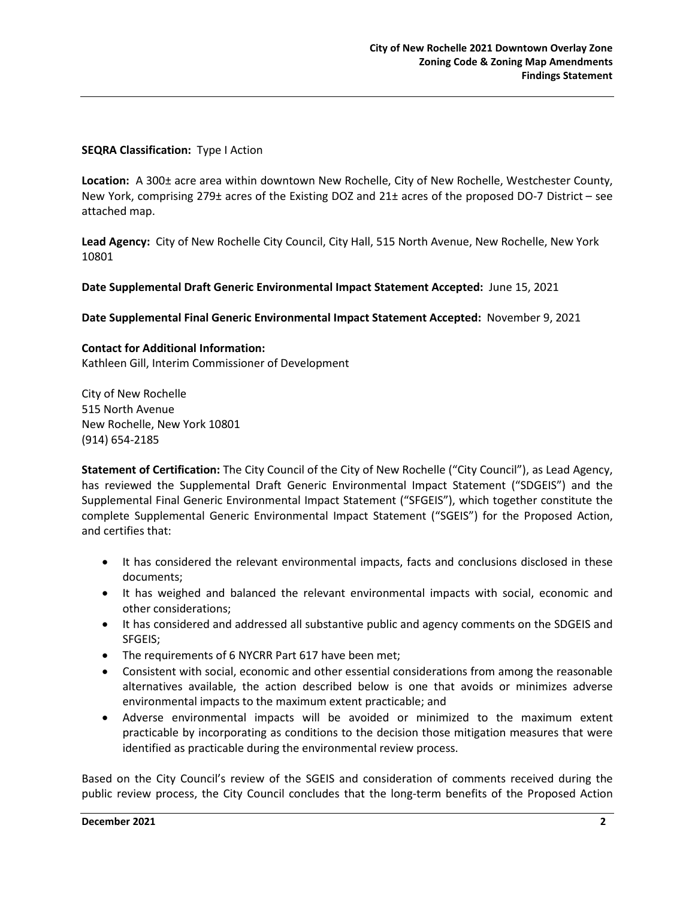#### **SEQRA Classification:** Type I Action

**Location:** A 300± acre area within downtown New Rochelle, City of New Rochelle, Westchester County, New York, comprising 279± acres of the Existing DOZ and 21± acres of the proposed DO-7 District – see attached map.

**Lead Agency:** City of New Rochelle City Council, City Hall, 515 North Avenue, New Rochelle, New York 10801

#### **Date Supplemental Draft Generic Environmental Impact Statement Accepted:** June 15, 2021

**Date Supplemental Final Generic Environmental Impact Statement Accepted:** November 9, 2021

#### **Contact for Additional Information:**

Kathleen Gill, Interim Commissioner of Development

City of New Rochelle 515 North Avenue New Rochelle, New York 10801 (914) 654-2185

**Statement of Certification:** The City Council of the City of New Rochelle ("City Council"), as Lead Agency, has reviewed the Supplemental Draft Generic Environmental Impact Statement ("SDGEIS") and the Supplemental Final Generic Environmental Impact Statement ("SFGEIS"), which together constitute the complete Supplemental Generic Environmental Impact Statement ("SGEIS") for the Proposed Action, and certifies that:

- It has considered the relevant environmental impacts, facts and conclusions disclosed in these documents;
- It has weighed and balanced the relevant environmental impacts with social, economic and other considerations;
- It has considered and addressed all substantive public and agency comments on the SDGEIS and SFGEIS;
- The requirements of 6 NYCRR Part 617 have been met;
- Consistent with social, economic and other essential considerations from among the reasonable alternatives available, the action described below is one that avoids or minimizes adverse environmental impacts to the maximum extent practicable; and
- Adverse environmental impacts will be avoided or minimized to the maximum extent practicable by incorporating as conditions to the decision those mitigation measures that were identified as practicable during the environmental review process.

Based on the City Council's review of the SGEIS and consideration of comments received during the public review process, the City Council concludes that the long-term benefits of the Proposed Action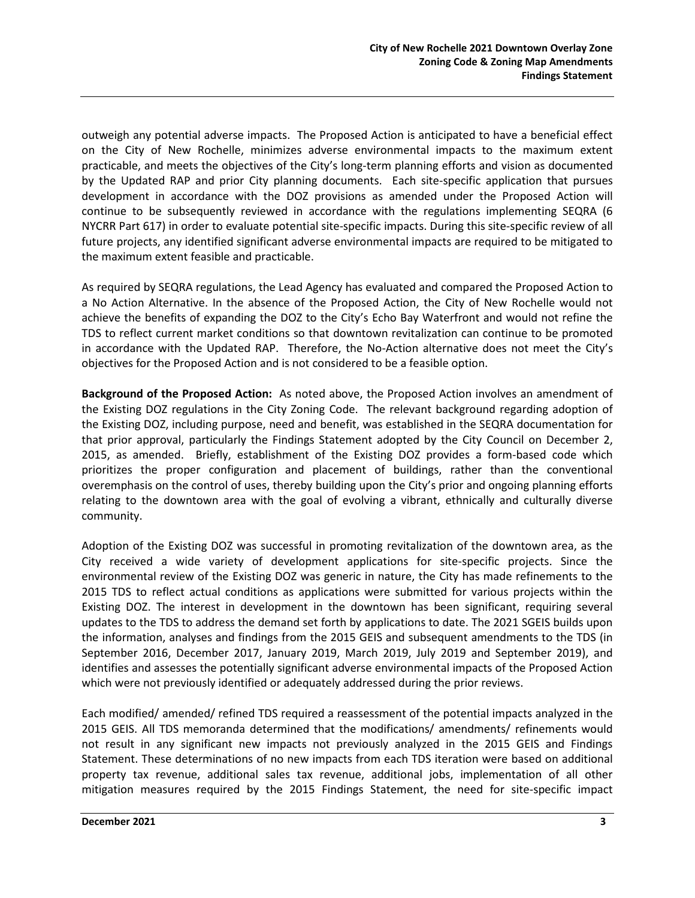outweigh any potential adverse impacts. The Proposed Action is anticipated to have a beneficial effect on the City of New Rochelle, minimizes adverse environmental impacts to the maximum extent practicable, and meets the objectives of the City's long-term planning efforts and vision as documented by the Updated RAP and prior City planning documents. Each site-specific application that pursues development in accordance with the DOZ provisions as amended under the Proposed Action will continue to be subsequently reviewed in accordance with the regulations implementing SEQRA (6 NYCRR Part 617) in order to evaluate potential site-specific impacts. During this site-specific review of all future projects, any identified significant adverse environmental impacts are required to be mitigated to the maximum extent feasible and practicable.

As required by SEQRA regulations, the Lead Agency has evaluated and compared the Proposed Action to a No Action Alternative. In the absence of the Proposed Action, the City of New Rochelle would not achieve the benefits of expanding the DOZ to the City's Echo Bay Waterfront and would not refine the TDS to reflect current market conditions so that downtown revitalization can continue to be promoted in accordance with the Updated RAP. Therefore, the No-Action alternative does not meet the City's objectives for the Proposed Action and is not considered to be a feasible option.

**Background of the Proposed Action:** As noted above, the Proposed Action involves an amendment of the Existing DOZ regulations in the City Zoning Code. The relevant background regarding adoption of the Existing DOZ, including purpose, need and benefit, was established in the SEQRA documentation for that prior approval, particularly the Findings Statement adopted by the City Council on December 2, 2015, as amended. Briefly, establishment of the Existing DOZ provides a form-based code which prioritizes the proper configuration and placement of buildings, rather than the conventional overemphasis on the control of uses, thereby building upon the City's prior and ongoing planning efforts relating to the downtown area with the goal of evolving a vibrant, ethnically and culturally diverse community.

Adoption of the Existing DOZ was successful in promoting revitalization of the downtown area, as the City received a wide variety of development applications for site-specific projects. Since the environmental review of the Existing DOZ was generic in nature, the City has made refinements to the 2015 TDS to reflect actual conditions as applications were submitted for various projects within the Existing DOZ. The interest in development in the downtown has been significant, requiring several updates to the TDS to address the demand set forth by applications to date. The 2021 SGEIS builds upon the information, analyses and findings from the 2015 GEIS and subsequent amendments to the TDS (in September 2016, December 2017, January 2019, March 2019, July 2019 and September 2019), and identifies and assesses the potentially significant adverse environmental impacts of the Proposed Action which were not previously identified or adequately addressed during the prior reviews.

Each modified/ amended/ refined TDS required a reassessment of the potential impacts analyzed in the 2015 GEIS. All TDS memoranda determined that the modifications/ amendments/ refinements would not result in any significant new impacts not previously analyzed in the 2015 GEIS and Findings Statement. These determinations of no new impacts from each TDS iteration were based on additional property tax revenue, additional sales tax revenue, additional jobs, implementation of all other mitigation measures required by the 2015 Findings Statement, the need for site-specific impact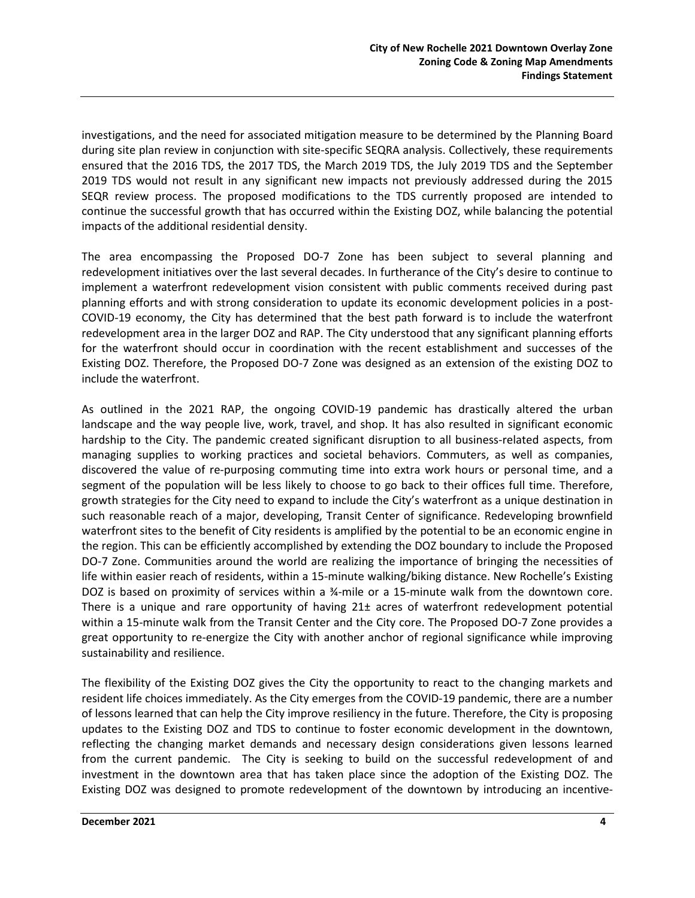investigations, and the need for associated mitigation measure to be determined by the Planning Board during site plan review in conjunction with site-specific SEQRA analysis. Collectively, these requirements ensured that the 2016 TDS, the 2017 TDS, the March 2019 TDS, the July 2019 TDS and the September 2019 TDS would not result in any significant new impacts not previously addressed during the 2015 SEQR review process. The proposed modifications to the TDS currently proposed are intended to continue the successful growth that has occurred within the Existing DOZ, while balancing the potential impacts of the additional residential density.

The area encompassing the Proposed DO-7 Zone has been subject to several planning and redevelopment initiatives over the last several decades. In furtherance of the City's desire to continue to implement a waterfront redevelopment vision consistent with public comments received during past planning efforts and with strong consideration to update its economic development policies in a post-COVID-19 economy, the City has determined that the best path forward is to include the waterfront redevelopment area in the larger DOZ and RAP. The City understood that any significant planning efforts for the waterfront should occur in coordination with the recent establishment and successes of the Existing DOZ. Therefore, the Proposed DO-7 Zone was designed as an extension of the existing DOZ to include the waterfront.

As outlined in the 2021 RAP, the ongoing COVID-19 pandemic has drastically altered the urban landscape and the way people live, work, travel, and shop. It has also resulted in significant economic hardship to the City. The pandemic created significant disruption to all business-related aspects, from managing supplies to working practices and societal behaviors. Commuters, as well as companies, discovered the value of re-purposing commuting time into extra work hours or personal time, and a segment of the population will be less likely to choose to go back to their offices full time. Therefore, growth strategies for the City need to expand to include the City's waterfront as a unique destination in such reasonable reach of a major, developing, Transit Center of significance. Redeveloping brownfield waterfront sites to the benefit of City residents is amplified by the potential to be an economic engine in the region. This can be efficiently accomplished by extending the DOZ boundary to include the Proposed DO-7 Zone. Communities around the world are realizing the importance of bringing the necessities of life within easier reach of residents, within a 15-minute walking/biking distance. New Rochelle's Existing DOZ is based on proximity of services within a ¾-mile or a 15-minute walk from the downtown core. There is a unique and rare opportunity of having 21± acres of waterfront redevelopment potential within a 15-minute walk from the Transit Center and the City core. The Proposed DO-7 Zone provides a great opportunity to re-energize the City with another anchor of regional significance while improving sustainability and resilience.

The flexibility of the Existing DOZ gives the City the opportunity to react to the changing markets and resident life choices immediately. As the City emerges from the COVID-19 pandemic, there are a number of lessons learned that can help the City improve resiliency in the future. Therefore, the City is proposing updates to the Existing DOZ and TDS to continue to foster economic development in the downtown, reflecting the changing market demands and necessary design considerations given lessons learned from the current pandemic. The City is seeking to build on the successful redevelopment of and investment in the downtown area that has taken place since the adoption of the Existing DOZ. The Existing DOZ was designed to promote redevelopment of the downtown by introducing an incentive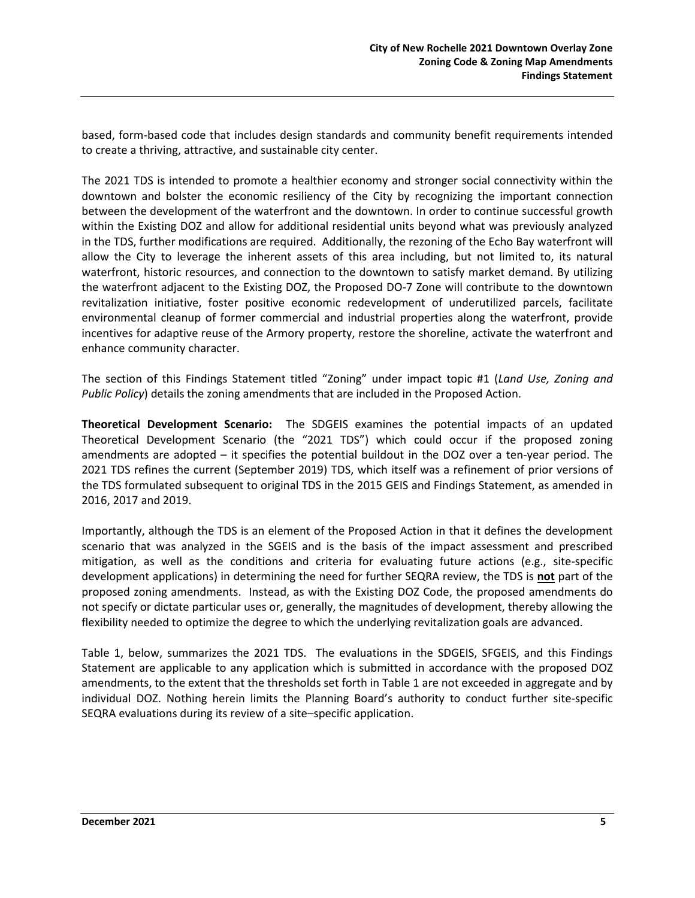based, form-based code that includes design standards and community benefit requirements intended to create a thriving, attractive, and sustainable city center.

The 2021 TDS is intended to promote a healthier economy and stronger social connectivity within the downtown and bolster the economic resiliency of the City by recognizing the important connection between the development of the waterfront and the downtown. In order to continue successful growth within the Existing DOZ and allow for additional residential units beyond what was previously analyzed in the TDS, further modifications are required. Additionally, the rezoning of the Echo Bay waterfront will allow the City to leverage the inherent assets of this area including, but not limited to, its natural waterfront, historic resources, and connection to the downtown to satisfy market demand. By utilizing the waterfront adjacent to the Existing DOZ, the Proposed DO-7 Zone will contribute to the downtown revitalization initiative, foster positive economic redevelopment of underutilized parcels, facilitate environmental cleanup of former commercial and industrial properties along the waterfront, provide incentives for adaptive reuse of the Armory property, restore the shoreline, activate the waterfront and enhance community character.

The section of this Findings Statement titled "Zoning" under impact topic #1 (*Land Use, Zoning and Public Policy*) details the zoning amendments that are included in the Proposed Action.

**Theoretical Development Scenario:** The SDGEIS examines the potential impacts of an updated Theoretical Development Scenario (the "2021 TDS") which could occur if the proposed zoning amendments are adopted – it specifies the potential buildout in the DOZ over a ten-year period. The 2021 TDS refines the current (September 2019) TDS, which itself was a refinement of prior versions of the TDS formulated subsequent to original TDS in the 2015 GEIS and Findings Statement, as amended in 2016, 2017 and 2019.

Importantly, although the TDS is an element of the Proposed Action in that it defines the development scenario that was analyzed in the SGEIS and is the basis of the impact assessment and prescribed mitigation, as well as the conditions and criteria for evaluating future actions (e.g., site-specific development applications) in determining the need for further SEQRA review, the TDS is **not** part of the proposed zoning amendments. Instead, as with the Existing DOZ Code, the proposed amendments do not specify or dictate particular uses or, generally, the magnitudes of development, thereby allowing the flexibility needed to optimize the degree to which the underlying revitalization goals are advanced.

Table 1, below, summarizes the 2021 TDS. The evaluations in the SDGEIS, SFGEIS, and this Findings Statement are applicable to any application which is submitted in accordance with the proposed DOZ amendments, to the extent that the thresholds set forth in Table 1 are not exceeded in aggregate and by individual DOZ. Nothing herein limits the Planning Board's authority to conduct further site-specific SEQRA evaluations during its review of a site–specific application.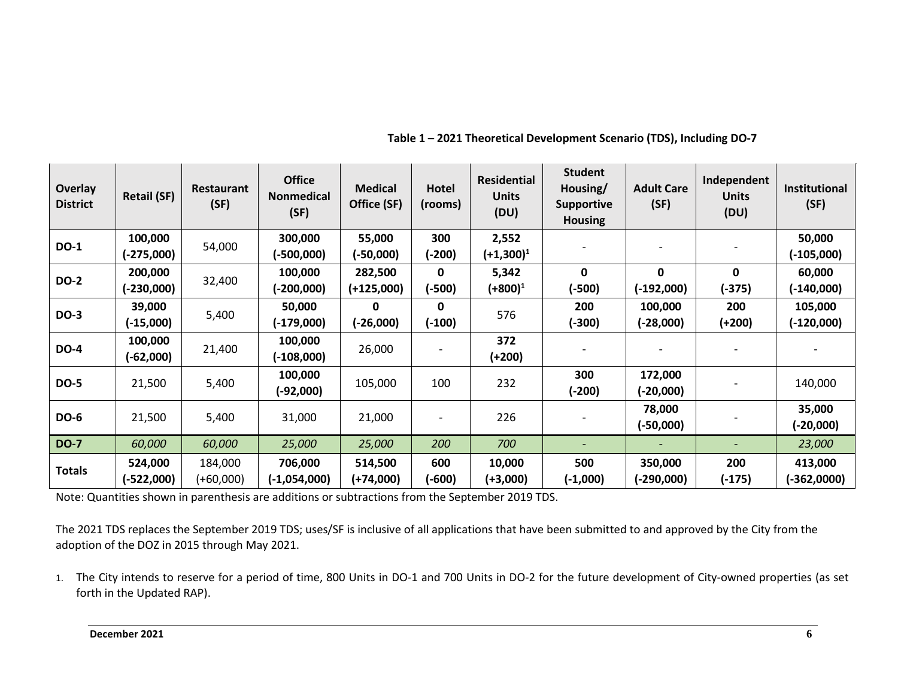| <b>Overlay</b><br><b>District</b> | <b>Retail (SF)</b>      | Restaurant<br>(SF)   | <b>Office</b><br><b>Nonmedical</b><br>(SF) | <b>Medical</b><br>Office (SF) | Hotel<br>(rooms) | <b>Residential</b><br><b>Units</b><br>(DU) | <b>Student</b><br>Housing/<br><b>Supportive</b><br><b>Housing</b> | <b>Adult Care</b><br>(SF) | Independent<br><b>Units</b><br>(DU) | Institutional<br>(SF)  |
|-----------------------------------|-------------------------|----------------------|--------------------------------------------|-------------------------------|------------------|--------------------------------------------|-------------------------------------------------------------------|---------------------------|-------------------------------------|------------------------|
| <b>DO-1</b>                       | 100,000                 | 54,000               | 300,000                                    | 55,000                        | 300              | 2,552                                      |                                                                   |                           |                                     | 50,000                 |
|                                   | $(-275,000)$            |                      | $-500,000$                                 | $-50,000$                     | $(-200)$         | $(+1,300)^1$                               |                                                                   |                           |                                     | $(-105,000)$           |
| <b>DO-2</b>                       | 200,000                 |                      | 100,000                                    | 282,500                       | 0                | 5,342                                      | 0                                                                 | 0                         | 0                                   | 60,000                 |
|                                   | (-230,000)              | 32,400               | $-200,000$                                 | $(+125,000)$                  | $(-500)$         | (+800) <sup>1</sup>                        | $(-500)$                                                          | (-192,000)                | $(-375)$                            | $-140,000$             |
| <b>DO-3</b>                       | 39,000                  | 5,400                | 50,000<br>(-179,000)                       | 0<br>$(-26,000)$              | 0                | 576                                        | 200                                                               | 100,000                   | 200                                 | 105,000                |
|                                   | (-15,000)               |                      |                                            |                               | (-100)           |                                            | (-300)                                                            | (-28,000)                 | (+200)                              | $-120,000$             |
| <b>DO-4</b>                       | 100,000<br>$(-62,000)$  | 21,400               | 100,000<br>$-108,000$                      | 26,000                        |                  | 372<br>(+200)                              |                                                                   |                           |                                     |                        |
| <b>DO-5</b>                       | 21,500                  | 5,400                | 100,000<br>$-92,000$                       | 105,000                       | 100              | 232                                        | 300<br>(-200)                                                     | 172,000<br>(-20,000)      |                                     | 140,000                |
| <b>DO-6</b>                       | 21,500                  | 5,400                | 31,000                                     | 21,000                        |                  | 226                                        |                                                                   | 78,000<br>(-50,000)       |                                     | 35,000<br>(-20,000)    |
| <b>DO-7</b>                       | 60,000                  | 60,000               | 25,000                                     | 25,000                        | 200              | 700                                        |                                                                   |                           |                                     | 23,000                 |
| <b>Totals</b>                     | 524,000<br>$(-522,000)$ | 184,000<br>(+60,000) | 706,000<br>(-1,054,000)                    | 514,500<br>$(+74,000)$        | 600<br>$(-600)$  | 10,000<br>(+3,000)                         | 500<br>$(-1,000)$                                                 | 350,000<br>(-290,000)     | 200<br>$(-175)$                     | 413,000<br>(-362,0000) |

**Table 1 – 2021 Theoretical Development Scenario (TDS), Including DO-7**

Note: Quantities shown in parenthesis are additions or subtractions from the September 2019 TDS.

The 2021 TDS replaces the September 2019 TDS; uses/SF is inclusive of all applications that have been submitted to and approved by the City from the adoption of the DOZ in 2015 through May 2021.

1. The City intends to reserve for a period of time, 800 Units in DO-1 and 700 Units in DO-2 for the future development of City-owned properties (as set forth in the Updated RAP).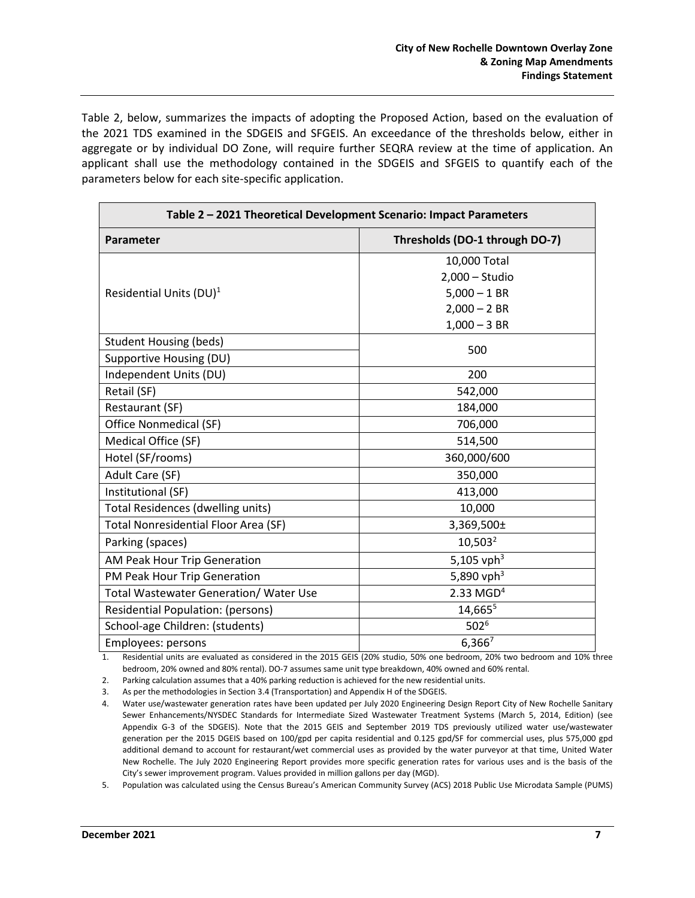Table 2, below, summarizes the impacts of adopting the Proposed Action, based on the evaluation of the 2021 TDS examined in the SDGEIS and SFGEIS. An exceedance of the thresholds below, either in aggregate or by individual DO Zone, will require further SEQRA review at the time of application. An applicant shall use the methodology contained in the SDGEIS and SFGEIS to quantify each of the parameters below for each site-specific application.

| Table 2 - 2021 Theoretical Development Scenario: Impact Parameters |                                |  |  |  |  |  |  |
|--------------------------------------------------------------------|--------------------------------|--|--|--|--|--|--|
| Parameter                                                          | Thresholds (DO-1 through DO-7) |  |  |  |  |  |  |
|                                                                    | 10,000 Total                   |  |  |  |  |  |  |
|                                                                    | $2,000 -$ Studio               |  |  |  |  |  |  |
| Residential Units (DU) <sup>1</sup>                                | $5,000 - 1$ BR                 |  |  |  |  |  |  |
|                                                                    | $2,000 - 2$ BR                 |  |  |  |  |  |  |
|                                                                    | $1,000 - 3$ BR                 |  |  |  |  |  |  |
| <b>Student Housing (beds)</b>                                      | 500                            |  |  |  |  |  |  |
| Supportive Housing (DU)                                            |                                |  |  |  |  |  |  |
| Independent Units (DU)                                             | 200                            |  |  |  |  |  |  |
| Retail (SF)                                                        | 542,000                        |  |  |  |  |  |  |
| Restaurant (SF)                                                    | 184,000                        |  |  |  |  |  |  |
| Office Nonmedical (SF)                                             | 706,000                        |  |  |  |  |  |  |
| Medical Office (SF)                                                | 514,500                        |  |  |  |  |  |  |
| Hotel (SF/rooms)                                                   | 360,000/600                    |  |  |  |  |  |  |
| Adult Care (SF)                                                    | 350,000                        |  |  |  |  |  |  |
| Institutional (SF)                                                 | 413,000                        |  |  |  |  |  |  |
| <b>Total Residences (dwelling units)</b>                           | 10,000                         |  |  |  |  |  |  |
| <b>Total Nonresidential Floor Area (SF)</b>                        | 3,369,500±                     |  |  |  |  |  |  |
| Parking (spaces)                                                   | $10,503^2$                     |  |  |  |  |  |  |
| AM Peak Hour Trip Generation                                       | 5,105 vph <sup>3</sup>         |  |  |  |  |  |  |
| PM Peak Hour Trip Generation                                       | 5,890 vph <sup>3</sup>         |  |  |  |  |  |  |
| <b>Total Wastewater Generation/ Water Use</b>                      | $2.33$ MGD <sup>4</sup>        |  |  |  |  |  |  |
| <b>Residential Population: (persons)</b>                           | 14,665 <sup>5</sup>            |  |  |  |  |  |  |
| School-age Children: (students)                                    | 502 <sup>6</sup>               |  |  |  |  |  |  |
| Employees: persons                                                 | $6,366^7$                      |  |  |  |  |  |  |

1. Residential units are evaluated as considered in the 2015 GEIS (20% studio, 50% one bedroom, 20% two bedroom and 10% three bedroom, 20% owned and 80% rental). DO-7 assumes same unit type breakdown, 40% owned and 60% rental.

2. Parking calculation assumes that a 40% parking reduction is achieved for the new residential units.

3. As per the methodologies in Section 3.4 (Transportation) and Appendix H of the SDGEIS.

5. Population was calculated using the Census Bureau's American Community Survey (ACS) 2018 Public Use Microdata Sample (PUMS)

<sup>4.</sup> Water use/wastewater generation rates have been updated per July 2020 Engineering Design Report City of New Rochelle Sanitary Sewer Enhancements/NYSDEC Standards for Intermediate Sized Wastewater Treatment Systems (March 5, 2014, Edition) (see Appendix G-3 of the SDGEIS). Note that the 2015 GEIS and September 2019 TDS previously utilized water use/wastewater generation per the 2015 DGEIS based on 100/gpd per capita residential and 0.125 gpd/SF for commercial uses, plus 575,000 gpd additional demand to account for restaurant/wet commercial uses as provided by the water purveyor at that time, United Water New Rochelle. The July 2020 Engineering Report provides more specific generation rates for various uses and is the basis of the City's sewer improvement program. Values provided in million gallons per day (MGD).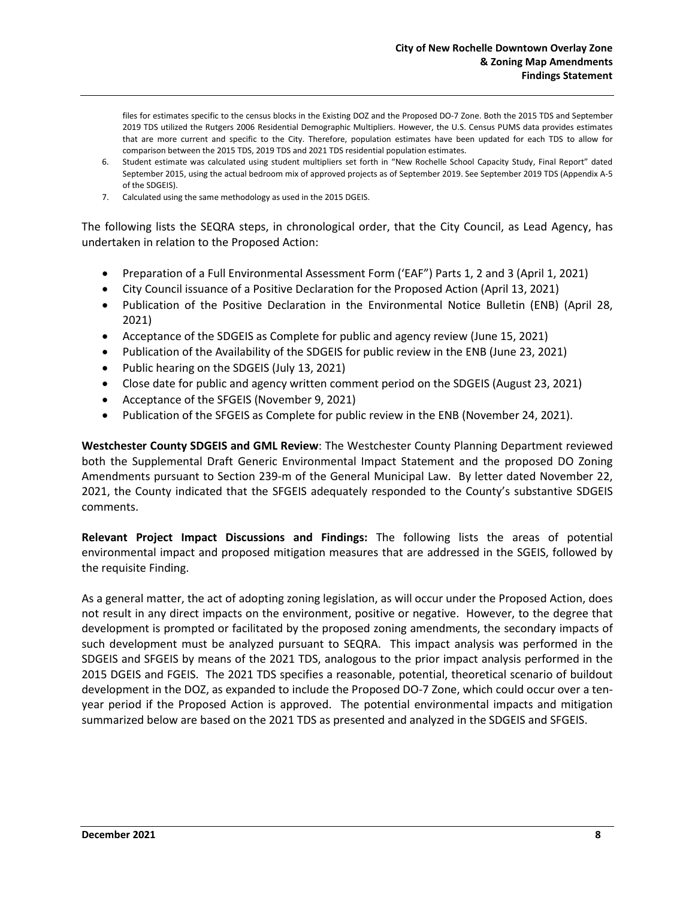files for estimates specific to the census blocks in the Existing DOZ and the Proposed DO-7 Zone. Both the 2015 TDS and September 2019 TDS utilized the Rutgers 2006 Residential Demographic Multipliers. However, the U.S. Census PUMS data provides estimates that are more current and specific to the City. Therefore, population estimates have been updated for each TDS to allow for comparison between the 2015 TDS, 2019 TDS and 2021 TDS residential population estimates.

- 6. Student estimate was calculated using student multipliers set forth in "New Rochelle School Capacity Study, Final Report" dated September 2015, using the actual bedroom mix of approved projects as of September 2019. See September 2019 TDS (Appendix A-5 of the SDGEIS).
- 7. Calculated using the same methodology as used in the 2015 DGEIS.

The following lists the SEQRA steps, in chronological order, that the City Council, as Lead Agency, has undertaken in relation to the Proposed Action:

- Preparation of a Full Environmental Assessment Form ('EAF") Parts 1, 2 and 3 (April 1, 2021)
- City Council issuance of a Positive Declaration for the Proposed Action (April 13, 2021)
- Publication of the Positive Declaration in the Environmental Notice Bulletin (ENB) (April 28, 2021)
- Acceptance of the SDGEIS as Complete for public and agency review (June 15, 2021)
- Publication of the Availability of the SDGEIS for public review in the ENB (June 23, 2021)
- Public hearing on the SDGEIS (July 13, 2021)
- Close date for public and agency written comment period on the SDGEIS (August 23, 2021)
- Acceptance of the SFGEIS (November 9, 2021)
- Publication of the SFGEIS as Complete for public review in the ENB (November 24, 2021).

**Westchester County SDGEIS and GML Review**: The Westchester County Planning Department reviewed both the Supplemental Draft Generic Environmental Impact Statement and the proposed DO Zoning Amendments pursuant to Section 239-m of the General Municipal Law. By letter dated November 22, 2021, the County indicated that the SFGEIS adequately responded to the County's substantive SDGEIS comments.

**Relevant Project Impact Discussions and Findings:** The following lists the areas of potential environmental impact and proposed mitigation measures that are addressed in the SGEIS, followed by the requisite Finding.

As a general matter, the act of adopting zoning legislation, as will occur under the Proposed Action, does not result in any direct impacts on the environment, positive or negative. However, to the degree that development is prompted or facilitated by the proposed zoning amendments, the secondary impacts of such development must be analyzed pursuant to SEQRA. This impact analysis was performed in the SDGEIS and SFGEIS by means of the 2021 TDS, analogous to the prior impact analysis performed in the 2015 DGEIS and FGEIS. The 2021 TDS specifies a reasonable, potential, theoretical scenario of buildout development in the DOZ, as expanded to include the Proposed DO-7 Zone, which could occur over a tenyear period if the Proposed Action is approved. The potential environmental impacts and mitigation summarized below are based on the 2021 TDS as presented and analyzed in the SDGEIS and SFGEIS.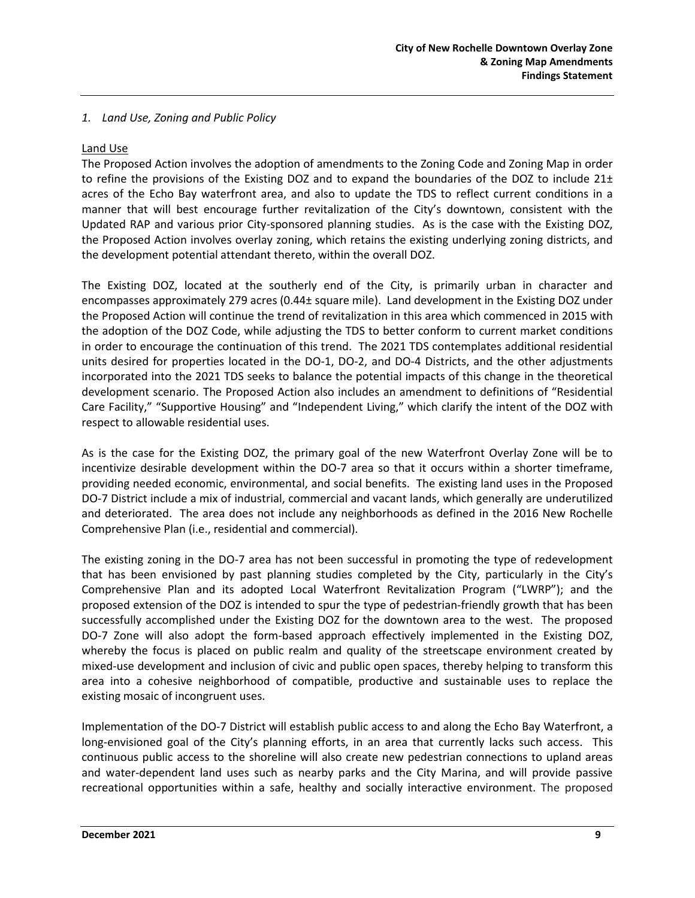#### *1. Land Use, Zoning and Public Policy*

#### Land Use

The Proposed Action involves the adoption of amendments to the Zoning Code and Zoning Map in order to refine the provisions of the Existing DOZ and to expand the boundaries of the DOZ to include 21± acres of the Echo Bay waterfront area, and also to update the TDS to reflect current conditions in a manner that will best encourage further revitalization of the City's downtown, consistent with the Updated RAP and various prior City-sponsored planning studies. As is the case with the Existing DOZ, the Proposed Action involves overlay zoning, which retains the existing underlying zoning districts, and the development potential attendant thereto, within the overall DOZ.

The Existing DOZ, located at the southerly end of the City, is primarily urban in character and encompasses approximately 279 acres (0.44± square mile). Land development in the Existing DOZ under the Proposed Action will continue the trend of revitalization in this area which commenced in 2015 with the adoption of the DOZ Code, while adjusting the TDS to better conform to current market conditions in order to encourage the continuation of this trend. The 2021 TDS contemplates additional residential units desired for properties located in the DO-1, DO-2, and DO-4 Districts, and the other adjustments incorporated into the 2021 TDS seeks to balance the potential impacts of this change in the theoretical development scenario. The Proposed Action also includes an amendment to definitions of "Residential Care Facility," "Supportive Housing" and "Independent Living," which clarify the intent of the DOZ with respect to allowable residential uses.

As is the case for the Existing DOZ, the primary goal of the new Waterfront Overlay Zone will be to incentivize desirable development within the DO-7 area so that it occurs within a shorter timeframe, providing needed economic, environmental, and social benefits. The existing land uses in the Proposed DO-7 District include a mix of industrial, commercial and vacant lands, which generally are underutilized and deteriorated. The area does not include any neighborhoods as defined in the 2016 New Rochelle Comprehensive Plan (i.e., residential and commercial).

The existing zoning in the DO-7 area has not been successful in promoting the type of redevelopment that has been envisioned by past planning studies completed by the City, particularly in the City's Comprehensive Plan and its adopted Local Waterfront Revitalization Program ("LWRP"); and the proposed extension of the DOZ is intended to spur the type of pedestrian-friendly growth that has been successfully accomplished under the Existing DOZ for the downtown area to the west. The proposed DO-7 Zone will also adopt the form-based approach effectively implemented in the Existing DOZ, whereby the focus is placed on public realm and quality of the streetscape environment created by mixed-use development and inclusion of civic and public open spaces, thereby helping to transform this area into a cohesive neighborhood of compatible, productive and sustainable uses to replace the existing mosaic of incongruent uses.

Implementation of the DO-7 District will establish public access to and along the Echo Bay Waterfront, a long-envisioned goal of the City's planning efforts, in an area that currently lacks such access. This continuous public access to the shoreline will also create new pedestrian connections to upland areas and water-dependent land uses such as nearby parks and the City Marina, and will provide passive recreational opportunities within a safe, healthy and socially interactive environment. The proposed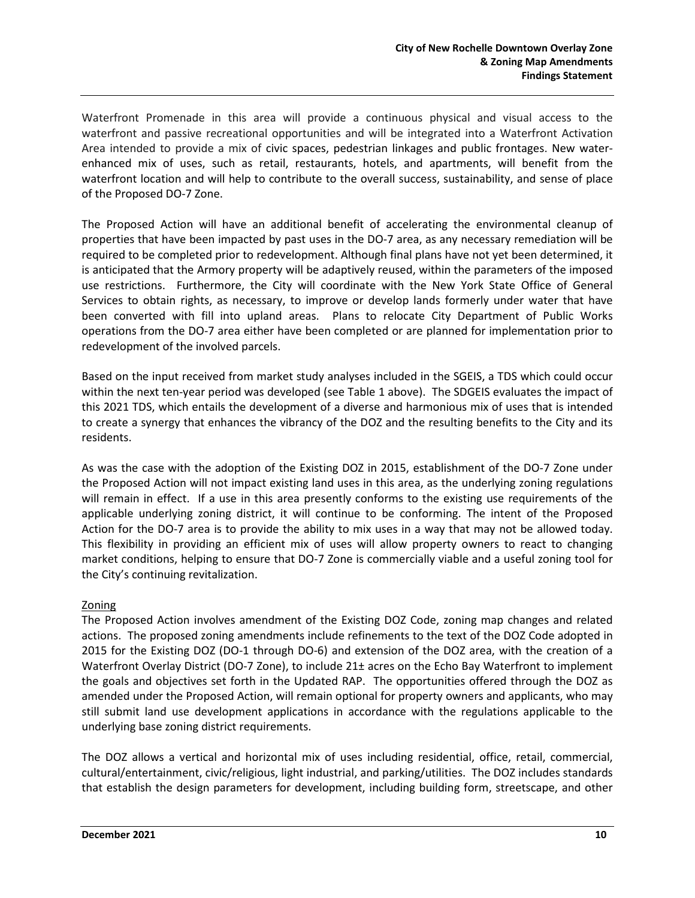Waterfront Promenade in this area will provide a continuous physical and visual access to the waterfront and passive recreational opportunities and will be integrated into a Waterfront Activation Area intended to provide a mix of civic spaces, pedestrian linkages and public frontages. New waterenhanced mix of uses, such as retail, restaurants, hotels, and apartments, will benefit from the waterfront location and will help to contribute to the overall success, sustainability, and sense of place of the Proposed DO-7 Zone.

The Proposed Action will have an additional benefit of accelerating the environmental cleanup of properties that have been impacted by past uses in the DO-7 area, as any necessary remediation will be required to be completed prior to redevelopment. Although final plans have not yet been determined, it is anticipated that the Armory property will be adaptively reused, within the parameters of the imposed use restrictions. Furthermore, the City will coordinate with the New York State Office of General Services to obtain rights, as necessary, to improve or develop lands formerly under water that have been converted with fill into upland areas. Plans to relocate City Department of Public Works operations from the DO-7 area either have been completed or are planned for implementation prior to redevelopment of the involved parcels.

Based on the input received from market study analyses included in the SGEIS, a TDS which could occur within the next ten-year period was developed (see Table 1 above). The SDGEIS evaluates the impact of this 2021 TDS, which entails the development of a diverse and harmonious mix of uses that is intended to create a synergy that enhances the vibrancy of the DOZ and the resulting benefits to the City and its residents.

As was the case with the adoption of the Existing DOZ in 2015, establishment of the DO-7 Zone under the Proposed Action will not impact existing land uses in this area, as the underlying zoning regulations will remain in effect. If a use in this area presently conforms to the existing use requirements of the applicable underlying zoning district, it will continue to be conforming. The intent of the Proposed Action for the DO-7 area is to provide the ability to mix uses in a way that may not be allowed today. This flexibility in providing an efficient mix of uses will allow property owners to react to changing market conditions, helping to ensure that DO-7 Zone is commercially viable and a useful zoning tool for the City's continuing revitalization.

### Zoning

The Proposed Action involves amendment of the Existing DOZ Code, zoning map changes and related actions. The proposed zoning amendments include refinements to the text of the DOZ Code adopted in 2015 for the Existing DOZ (DO-1 through DO-6) and extension of the DOZ area, with the creation of a Waterfront Overlay District (DO-7 Zone), to include 21± acres on the Echo Bay Waterfront to implement the goals and objectives set forth in the Updated RAP. The opportunities offered through the DOZ as amended under the Proposed Action, will remain optional for property owners and applicants, who may still submit land use development applications in accordance with the regulations applicable to the underlying base zoning district requirements.

The DOZ allows a vertical and horizontal mix of uses including residential, office, retail, commercial, cultural/entertainment, civic/religious, light industrial, and parking/utilities. The DOZ includes standards that establish the design parameters for development, including building form, streetscape, and other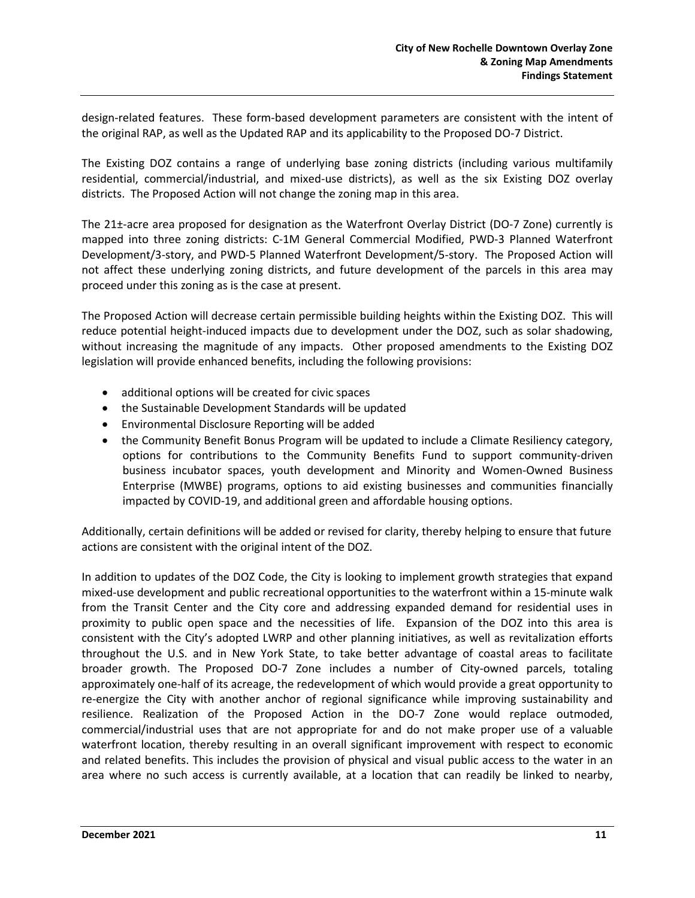design-related features. These form-based development parameters are consistent with the intent of the original RAP, as well as the Updated RAP and its applicability to the Proposed DO-7 District.

The Existing DOZ contains a range of underlying base zoning districts (including various multifamily residential, commercial/industrial, and mixed-use districts), as well as the six Existing DOZ overlay districts. The Proposed Action will not change the zoning map in this area.

The 21±-acre area proposed for designation as the Waterfront Overlay District (DO-7 Zone) currently is mapped into three zoning districts: C-1M General Commercial Modified, PWD-3 Planned Waterfront Development/3-story, and PWD-5 Planned Waterfront Development/5-story. The Proposed Action will not affect these underlying zoning districts, and future development of the parcels in this area may proceed under this zoning as is the case at present.

The Proposed Action will decrease certain permissible building heights within the Existing DOZ. This will reduce potential height-induced impacts due to development under the DOZ, such as solar shadowing, without increasing the magnitude of any impacts. Other proposed amendments to the Existing DOZ legislation will provide enhanced benefits, including the following provisions:

- additional options will be created for civic spaces
- the Sustainable Development Standards will be updated
- Environmental Disclosure Reporting will be added
- the Community Benefit Bonus Program will be updated to include a Climate Resiliency category, options for contributions to the Community Benefits Fund to support community-driven business incubator spaces, youth development and Minority and Women-Owned Business Enterprise (MWBE) programs, options to aid existing businesses and communities financially impacted by COVID-19, and additional green and affordable housing options.

Additionally, certain definitions will be added or revised for clarity, thereby helping to ensure that future actions are consistent with the original intent of the DOZ.

In addition to updates of the DOZ Code, the City is looking to implement growth strategies that expand mixed-use development and public recreational opportunities to the waterfront within a 15-minute walk from the Transit Center and the City core and addressing expanded demand for residential uses in proximity to public open space and the necessities of life. Expansion of the DOZ into this area is consistent with the City's adopted LWRP and other planning initiatives, as well as revitalization efforts throughout the U.S. and in New York State, to take better advantage of coastal areas to facilitate broader growth. The Proposed DO-7 Zone includes a number of City-owned parcels, totaling approximately one-half of its acreage, the redevelopment of which would provide a great opportunity to re-energize the City with another anchor of regional significance while improving sustainability and resilience. Realization of the Proposed Action in the DO-7 Zone would replace outmoded, commercial/industrial uses that are not appropriate for and do not make proper use of a valuable waterfront location, thereby resulting in an overall significant improvement with respect to economic and related benefits. This includes the provision of physical and visual public access to the water in an area where no such access is currently available, at a location that can readily be linked to nearby,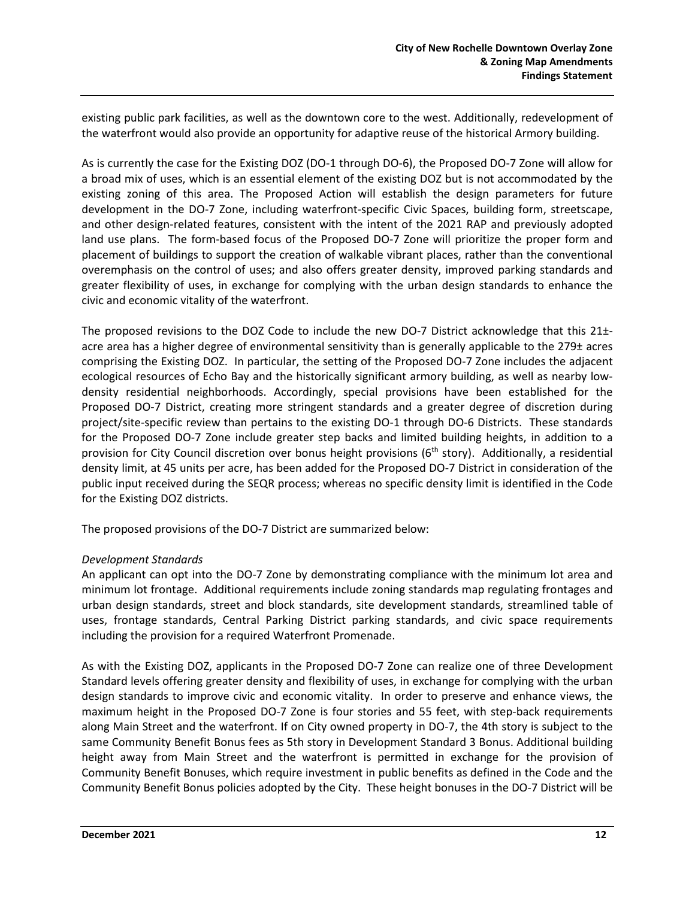existing public park facilities, as well as the downtown core to the west. Additionally, redevelopment of the waterfront would also provide an opportunity for adaptive reuse of the historical Armory building.

As is currently the case for the Existing DOZ (DO-1 through DO-6), the Proposed DO-7 Zone will allow for a broad mix of uses, which is an essential element of the existing DOZ but is not accommodated by the existing zoning of this area. The Proposed Action will establish the design parameters for future development in the DO-7 Zone, including waterfront-specific Civic Spaces, building form, streetscape, and other design-related features, consistent with the intent of the 2021 RAP and previously adopted land use plans. The form-based focus of the Proposed DO-7 Zone will prioritize the proper form and placement of buildings to support the creation of walkable vibrant places, rather than the conventional overemphasis on the control of uses; and also offers greater density, improved parking standards and greater flexibility of uses, in exchange for complying with the urban design standards to enhance the civic and economic vitality of the waterfront.

The proposed revisions to the DOZ Code to include the new DO-7 District acknowledge that this 21±acre area has a higher degree of environmental sensitivity than is generally applicable to the 279± acres comprising the Existing DOZ. In particular, the setting of the Proposed DO-7 Zone includes the adjacent ecological resources of Echo Bay and the historically significant armory building, as well as nearby lowdensity residential neighborhoods. Accordingly, special provisions have been established for the Proposed DO-7 District, creating more stringent standards and a greater degree of discretion during project/site-specific review than pertains to the existing DO-1 through DO-6 Districts. These standards for the Proposed DO-7 Zone include greater step backs and limited building heights, in addition to a provision for City Council discretion over bonus height provisions  $(6<sup>th</sup> story)$ . Additionally, a residential density limit, at 45 units per acre, has been added for the Proposed DO-7 District in consideration of the public input received during the SEQR process; whereas no specific density limit is identified in the Code for the Existing DOZ districts.

The proposed provisions of the DO-7 District are summarized below:

#### *Development Standards*

An applicant can opt into the DO-7 Zone by demonstrating compliance with the minimum lot area and minimum lot frontage. Additional requirements include zoning standards map regulating frontages and urban design standards, street and block standards, site development standards, streamlined table of uses, frontage standards, Central Parking District parking standards, and civic space requirements including the provision for a required Waterfront Promenade.

As with the Existing DOZ, applicants in the Proposed DO-7 Zone can realize one of three Development Standard levels offering greater density and flexibility of uses, in exchange for complying with the urban design standards to improve civic and economic vitality. In order to preserve and enhance views, the maximum height in the Proposed DO-7 Zone is four stories and 55 feet, with step-back requirements along Main Street and the waterfront. If on City owned property in DO-7, the 4th story is subject to the same Community Benefit Bonus fees as 5th story in Development Standard 3 Bonus. Additional building height away from Main Street and the waterfront is permitted in exchange for the provision of Community Benefit Bonuses, which require investment in public benefits as defined in the Code and the Community Benefit Bonus policies adopted by the City. These height bonuses in the DO-7 District will be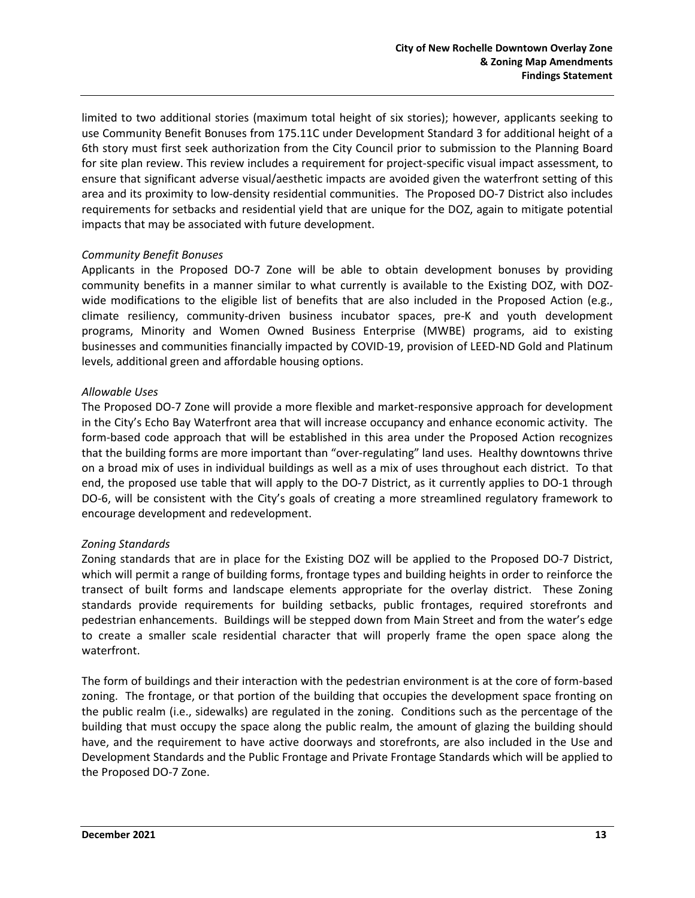limited to two additional stories (maximum total height of six stories); however, applicants seeking to use Community Benefit Bonuses from 175.11C under Development Standard 3 for additional height of a 6th story must first seek authorization from the City Council prior to submission to the Planning Board for site plan review. This review includes a requirement for project-specific visual impact assessment, to ensure that significant adverse visual/aesthetic impacts are avoided given the waterfront setting of this area and its proximity to low-density residential communities. The Proposed DO-7 District also includes requirements for setbacks and residential yield that are unique for the DOZ, again to mitigate potential impacts that may be associated with future development.

#### *Community Benefit Bonuses*

Applicants in the Proposed DO-7 Zone will be able to obtain development bonuses by providing community benefits in a manner similar to what currently is available to the Existing DOZ, with DOZwide modifications to the eligible list of benefits that are also included in the Proposed Action (e.g., climate resiliency, community-driven business incubator spaces, pre-K and youth development programs, Minority and Women Owned Business Enterprise (MWBE) programs, aid to existing businesses and communities financially impacted by COVID-19, provision of LEED-ND Gold and Platinum levels, additional green and affordable housing options.

#### *Allowable Uses*

The Proposed DO-7 Zone will provide a more flexible and market-responsive approach for development in the City's Echo Bay Waterfront area that will increase occupancy and enhance economic activity. The form-based code approach that will be established in this area under the Proposed Action recognizes that the building forms are more important than "over-regulating" land uses. Healthy downtowns thrive on a broad mix of uses in individual buildings as well as a mix of uses throughout each district. To that end, the proposed use table that will apply to the DO-7 District, as it currently applies to DO-1 through DO-6, will be consistent with the City's goals of creating a more streamlined regulatory framework to encourage development and redevelopment.

### *Zoning Standards*

Zoning standards that are in place for the Existing DOZ will be applied to the Proposed DO-7 District, which will permit a range of building forms, frontage types and building heights in order to reinforce the transect of built forms and landscape elements appropriate for the overlay district. These Zoning standards provide requirements for building setbacks, public frontages, required storefronts and pedestrian enhancements. Buildings will be stepped down from Main Street and from the water's edge to create a smaller scale residential character that will properly frame the open space along the waterfront.

The form of buildings and their interaction with the pedestrian environment is at the core of form-based zoning. The frontage, or that portion of the building that occupies the development space fronting on the public realm (i.e., sidewalks) are regulated in the zoning. Conditions such as the percentage of the building that must occupy the space along the public realm, the amount of glazing the building should have, and the requirement to have active doorways and storefronts, are also included in the Use and Development Standards and the Public Frontage and Private Frontage Standards which will be applied to the Proposed DO-7 Zone.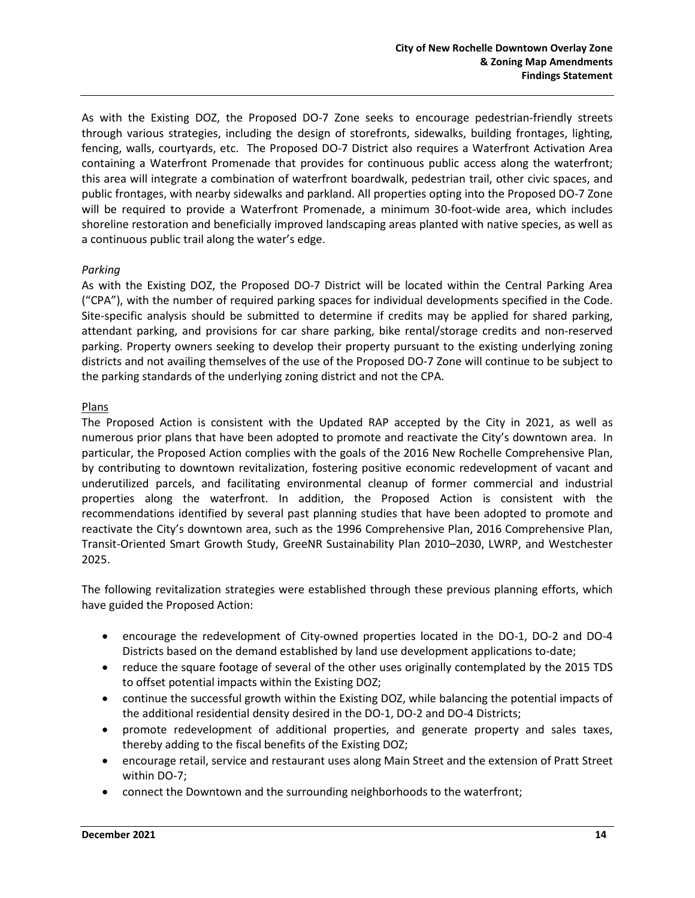As with the Existing DOZ, the Proposed DO-7 Zone seeks to encourage pedestrian-friendly streets through various strategies, including the design of storefronts, sidewalks, building frontages, lighting, fencing, walls, courtyards, etc. The Proposed DO-7 District also requires a Waterfront Activation Area containing a Waterfront Promenade that provides for continuous public access along the waterfront; this area will integrate a combination of waterfront boardwalk, pedestrian trail, other civic spaces, and public frontages, with nearby sidewalks and parkland. All properties opting into the Proposed DO-7 Zone will be required to provide a Waterfront Promenade, a minimum 30-foot-wide area, which includes shoreline restoration and beneficially improved landscaping areas planted with native species, as well as a continuous public trail along the water's edge.

#### *Parking*

As with the Existing DOZ, the Proposed DO-7 District will be located within the Central Parking Area ("CPA"), with the number of required parking spaces for individual developments specified in the Code. Site-specific analysis should be submitted to determine if credits may be applied for shared parking, attendant parking, and provisions for car share parking, bike rental/storage credits and non-reserved parking. Property owners seeking to develop their property pursuant to the existing underlying zoning districts and not availing themselves of the use of the Proposed DO-7 Zone will continue to be subject to the parking standards of the underlying zoning district and not the CPA.

#### Plans

The Proposed Action is consistent with the Updated RAP accepted by the City in 2021, as well as numerous prior plans that have been adopted to promote and reactivate the City's downtown area. In particular, the Proposed Action complies with the goals of the 2016 New Rochelle Comprehensive Plan, by contributing to downtown revitalization, fostering positive economic redevelopment of vacant and underutilized parcels, and facilitating environmental cleanup of former commercial and industrial properties along the waterfront. In addition, the Proposed Action is consistent with the recommendations identified by several past planning studies that have been adopted to promote and reactivate the City's downtown area, such as the 1996 Comprehensive Plan, 2016 Comprehensive Plan, Transit-Oriented Smart Growth Study, GreeNR Sustainability Plan 2010–2030, LWRP, and Westchester 2025.

The following revitalization strategies were established through these previous planning efforts, which have guided the Proposed Action:

- encourage the redevelopment of City-owned properties located in the DO-1, DO-2 and DO-4 Districts based on the demand established by land use development applications to-date;
- reduce the square footage of several of the other uses originally contemplated by the 2015 TDS to offset potential impacts within the Existing DOZ;
- continue the successful growth within the Existing DOZ, while balancing the potential impacts of the additional residential density desired in the DO-1, DO-2 and DO-4 Districts;
- promote redevelopment of additional properties, and generate property and sales taxes, thereby adding to the fiscal benefits of the Existing DOZ;
- encourage retail, service and restaurant uses along Main Street and the extension of Pratt Street within DO-7;
- connect the Downtown and the surrounding neighborhoods to the waterfront;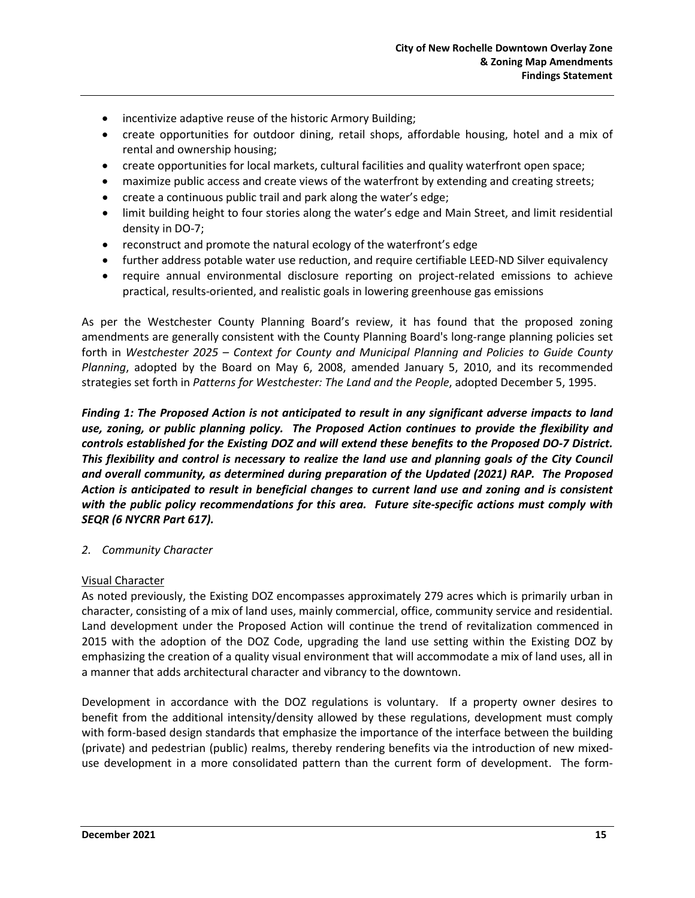- incentivize adaptive reuse of the historic Armory Building;
- create opportunities for outdoor dining, retail shops, affordable housing, hotel and a mix of rental and ownership housing;
- create opportunities for local markets, cultural facilities and quality waterfront open space;
- maximize public access and create views of the waterfront by extending and creating streets;
- create a continuous public trail and park along the water's edge;
- limit building height to four stories along the water's edge and Main Street, and limit residential density in DO-7;
- reconstruct and promote the natural ecology of the waterfront's edge
- further address potable water use reduction, and require certifiable LEED-ND Silver equivalency
- require annual environmental disclosure reporting on project-related emissions to achieve practical, results-oriented, and realistic goals in lowering greenhouse gas emissions

As per the Westchester County Planning Board's review, it has found that the proposed zoning amendments are generally consistent with the County Planning Board's long-range planning policies set forth in *Westchester 2025 – Context for County and Municipal Planning and Policies to Guide County Planning*, adopted by the Board on May 6, 2008, amended January 5, 2010, and its recommended strategies set forth in *Patterns for Westchester: The Land and the People*, adopted December 5, 1995.

*Finding 1: The Proposed Action is not anticipated to result in any significant adverse impacts to land use, zoning, or public planning policy. The Proposed Action continues to provide the flexibility and controls established for the Existing DOZ and will extend these benefits to the Proposed DO-7 District. This flexibility and control is necessary to realize the land use and planning goals of the City Council and overall community, as determined during preparation of the Updated (2021) RAP. The Proposed Action is anticipated to result in beneficial changes to current land use and zoning and is consistent with the public policy recommendations for this area. Future site-specific actions must comply with SEQR (6 NYCRR Part 617).* 

#### *2. Community Character*

#### Visual Character

As noted previously, the Existing DOZ encompasses approximately 279 acres which is primarily urban in character, consisting of a mix of land uses, mainly commercial, office, community service and residential. Land development under the Proposed Action will continue the trend of revitalization commenced in 2015 with the adoption of the DOZ Code, upgrading the land use setting within the Existing DOZ by emphasizing the creation of a quality visual environment that will accommodate a mix of land uses, all in a manner that adds architectural character and vibrancy to the downtown.

Development in accordance with the DOZ regulations is voluntary. If a property owner desires to benefit from the additional intensity/density allowed by these regulations, development must comply with form-based design standards that emphasize the importance of the interface between the building (private) and pedestrian (public) realms, thereby rendering benefits via the introduction of new mixeduse development in a more consolidated pattern than the current form of development. The form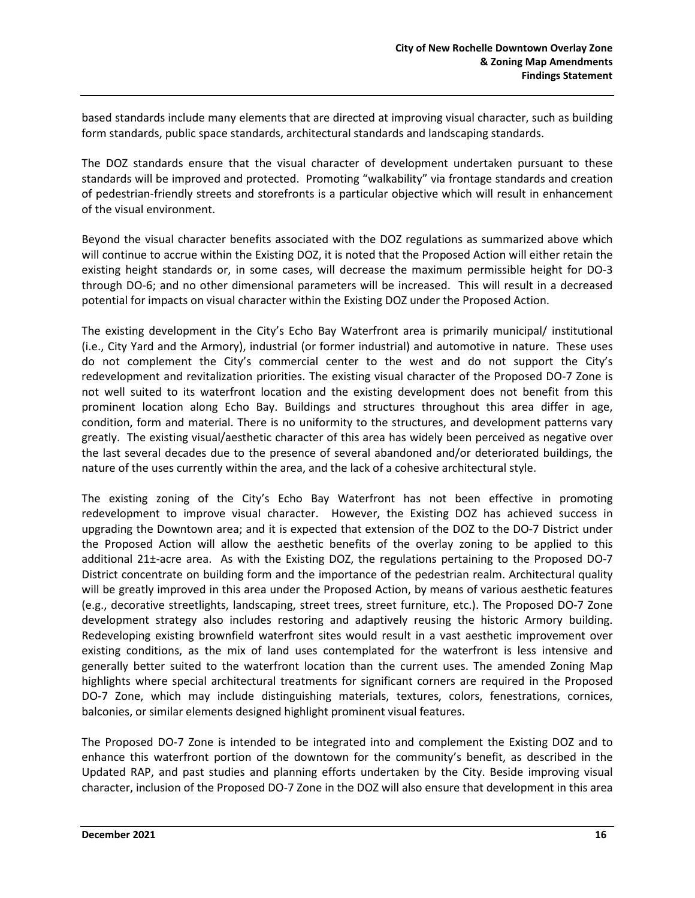based standards include many elements that are directed at improving visual character, such as building form standards, public space standards, architectural standards and landscaping standards.

The DOZ standards ensure that the visual character of development undertaken pursuant to these standards will be improved and protected. Promoting "walkability" via frontage standards and creation of pedestrian-friendly streets and storefronts is a particular objective which will result in enhancement of the visual environment.

Beyond the visual character benefits associated with the DOZ regulations as summarized above which will continue to accrue within the Existing DOZ, it is noted that the Proposed Action will either retain the existing height standards or, in some cases, will decrease the maximum permissible height for DO-3 through DO-6; and no other dimensional parameters will be increased. This will result in a decreased potential for impacts on visual character within the Existing DOZ under the Proposed Action.

The existing development in the City's Echo Bay Waterfront area is primarily municipal/ institutional (i.e., City Yard and the Armory), industrial (or former industrial) and automotive in nature. These uses do not complement the City's commercial center to the west and do not support the City's redevelopment and revitalization priorities. The existing visual character of the Proposed DO-7 Zone is not well suited to its waterfront location and the existing development does not benefit from this prominent location along Echo Bay. Buildings and structures throughout this area differ in age, condition, form and material. There is no uniformity to the structures, and development patterns vary greatly. The existing visual/aesthetic character of this area has widely been perceived as negative over the last several decades due to the presence of several abandoned and/or deteriorated buildings, the nature of the uses currently within the area, and the lack of a cohesive architectural style.

The existing zoning of the City's Echo Bay Waterfront has not been effective in promoting redevelopment to improve visual character. However, the Existing DOZ has achieved success in upgrading the Downtown area; and it is expected that extension of the DOZ to the DO-7 District under the Proposed Action will allow the aesthetic benefits of the overlay zoning to be applied to this additional 21±-acre area. As with the Existing DOZ, the regulations pertaining to the Proposed DO-7 District concentrate on building form and the importance of the pedestrian realm. Architectural quality will be greatly improved in this area under the Proposed Action, by means of various aesthetic features (e.g., decorative streetlights, landscaping, street trees, street furniture, etc.). The Proposed DO-7 Zone development strategy also includes restoring and adaptively reusing the historic Armory building. Redeveloping existing brownfield waterfront sites would result in a vast aesthetic improvement over existing conditions, as the mix of land uses contemplated for the waterfront is less intensive and generally better suited to the waterfront location than the current uses. The amended Zoning Map highlights where special architectural treatments for significant corners are required in the Proposed DO-7 Zone, which may include distinguishing materials, textures, colors, fenestrations, cornices, balconies, or similar elements designed highlight prominent visual features.

The Proposed DO-7 Zone is intended to be integrated into and complement the Existing DOZ and to enhance this waterfront portion of the downtown for the community's benefit, as described in the Updated RAP, and past studies and planning efforts undertaken by the City. Beside improving visual character, inclusion of the Proposed DO-7 Zone in the DOZ will also ensure that development in this area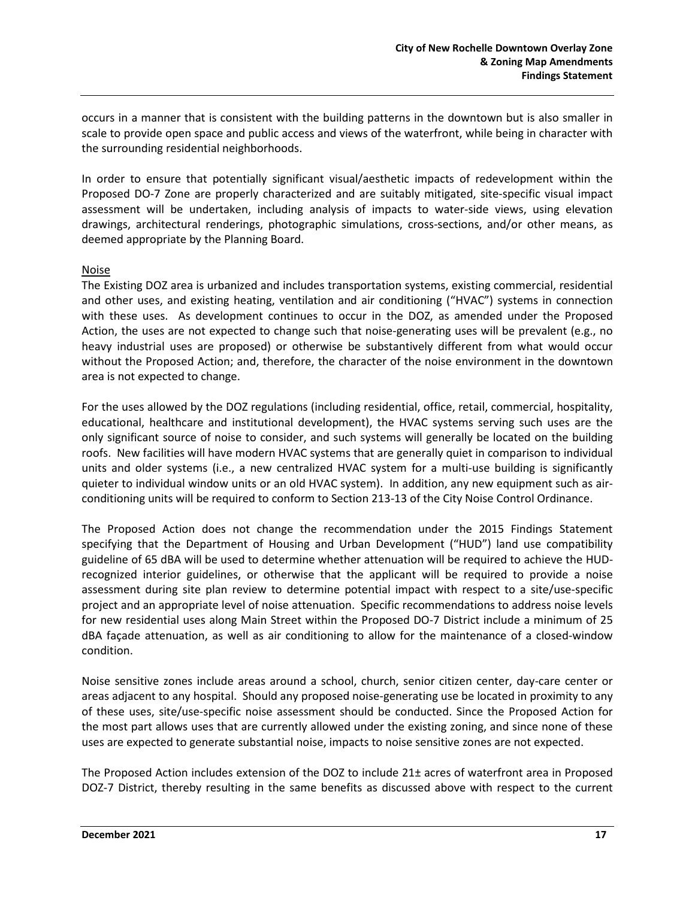occurs in a manner that is consistent with the building patterns in the downtown but is also smaller in scale to provide open space and public access and views of the waterfront, while being in character with the surrounding residential neighborhoods.

In order to ensure that potentially significant visual/aesthetic impacts of redevelopment within the Proposed DO-7 Zone are properly characterized and are suitably mitigated, site-specific visual impact assessment will be undertaken, including analysis of impacts to water-side views, using elevation drawings, architectural renderings, photographic simulations, cross-sections, and/or other means, as deemed appropriate by the Planning Board.

#### Noise

The Existing DOZ area is urbanized and includes transportation systems, existing commercial, residential and other uses, and existing heating, ventilation and air conditioning ("HVAC") systems in connection with these uses. As development continues to occur in the DOZ, as amended under the Proposed Action, the uses are not expected to change such that noise-generating uses will be prevalent (e.g., no heavy industrial uses are proposed) or otherwise be substantively different from what would occur without the Proposed Action; and, therefore, the character of the noise environment in the downtown area is not expected to change.

For the uses allowed by the DOZ regulations (including residential, office, retail, commercial, hospitality, educational, healthcare and institutional development), the HVAC systems serving such uses are the only significant source of noise to consider, and such systems will generally be located on the building roofs. New facilities will have modern HVAC systems that are generally quiet in comparison to individual units and older systems (i.e., a new centralized HVAC system for a multi-use building is significantly quieter to individual window units or an old HVAC system). In addition, any new equipment such as airconditioning units will be required to conform to Section 213-13 of the City Noise Control Ordinance.

The Proposed Action does not change the recommendation under the 2015 Findings Statement specifying that the Department of Housing and Urban Development ("HUD") land use compatibility guideline of 65 dBA will be used to determine whether attenuation will be required to achieve the HUDrecognized interior guidelines, or otherwise that the applicant will be required to provide a noise assessment during site plan review to determine potential impact with respect to a site/use-specific project and an appropriate level of noise attenuation. Specific recommendations to address noise levels for new residential uses along Main Street within the Proposed DO-7 District include a minimum of 25 dBA façade attenuation, as well as air conditioning to allow for the maintenance of a closed-window condition.

Noise sensitive zones include areas around a school, church, senior citizen center, day-care center or areas adjacent to any hospital. Should any proposed noise-generating use be located in proximity to any of these uses, site/use-specific noise assessment should be conducted. Since the Proposed Action for the most part allows uses that are currently allowed under the existing zoning, and since none of these uses are expected to generate substantial noise, impacts to noise sensitive zones are not expected.

The Proposed Action includes extension of the DOZ to include 21± acres of waterfront area in Proposed DOZ-7 District, thereby resulting in the same benefits as discussed above with respect to the current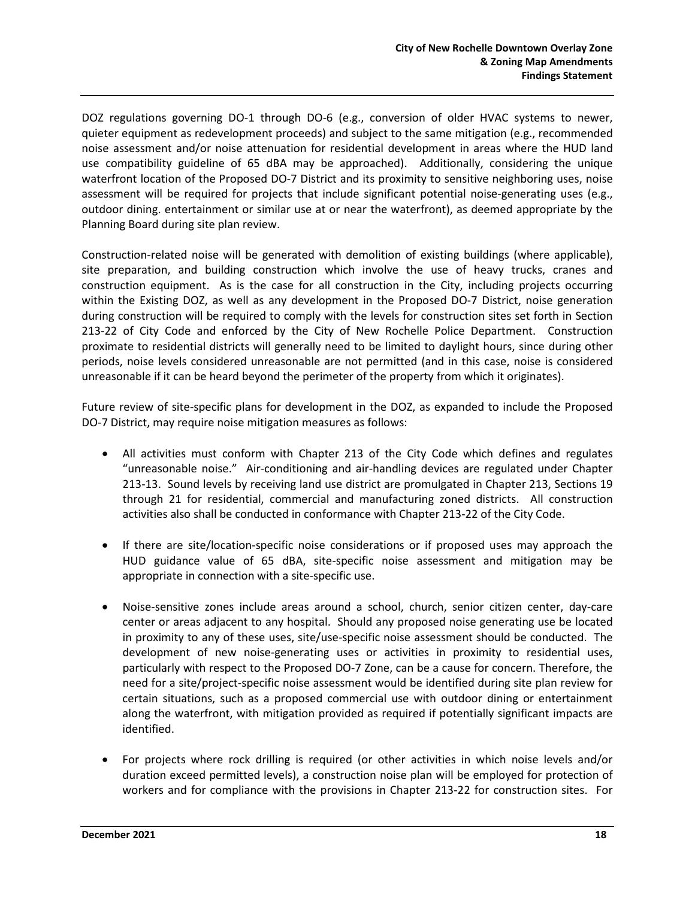DOZ regulations governing DO-1 through DO-6 (e.g., conversion of older HVAC systems to newer, quieter equipment as redevelopment proceeds) and subject to the same mitigation (e.g., recommended noise assessment and/or noise attenuation for residential development in areas where the HUD land use compatibility guideline of 65 dBA may be approached). Additionally, considering the unique waterfront location of the Proposed DO-7 District and its proximity to sensitive neighboring uses, noise assessment will be required for projects that include significant potential noise-generating uses (e.g., outdoor dining. entertainment or similar use at or near the waterfront), as deemed appropriate by the Planning Board during site plan review.

Construction-related noise will be generated with demolition of existing buildings (where applicable), site preparation, and building construction which involve the use of heavy trucks, cranes and construction equipment. As is the case for all construction in the City, including projects occurring within the Existing DOZ, as well as any development in the Proposed DO-7 District, noise generation during construction will be required to comply with the levels for construction sites set forth in Section 213-22 of City Code and enforced by the City of New Rochelle Police Department. Construction proximate to residential districts will generally need to be limited to daylight hours, since during other periods, noise levels considered unreasonable are not permitted (and in this case, noise is considered unreasonable if it can be heard beyond the perimeter of the property from which it originates).

Future review of site-specific plans for development in the DOZ, as expanded to include the Proposed DO-7 District, may require noise mitigation measures as follows:

- All activities must conform with Chapter 213 of the City Code which defines and regulates "unreasonable noise." Air-conditioning and air-handling devices are regulated under Chapter 213-13. Sound levels by receiving land use district are promulgated in Chapter 213, Sections 19 through 21 for residential, commercial and manufacturing zoned districts. All construction activities also shall be conducted in conformance with Chapter 213-22 of the City Code.
- If there are site/location-specific noise considerations or if proposed uses may approach the HUD guidance value of 65 dBA, site-specific noise assessment and mitigation may be appropriate in connection with a site-specific use.
- Noise-sensitive zones include areas around a school, church, senior citizen center, day-care center or areas adjacent to any hospital. Should any proposed noise generating use be located in proximity to any of these uses, site/use-specific noise assessment should be conducted. The development of new noise-generating uses or activities in proximity to residential uses, particularly with respect to the Proposed DO-7 Zone, can be a cause for concern. Therefore, the need for a site/project-specific noise assessment would be identified during site plan review for certain situations, such as a proposed commercial use with outdoor dining or entertainment along the waterfront, with mitigation provided as required if potentially significant impacts are identified.
- For projects where rock drilling is required (or other activities in which noise levels and/or duration exceed permitted levels), a construction noise plan will be employed for protection of workers and for compliance with the provisions in Chapter 213-22 for construction sites. For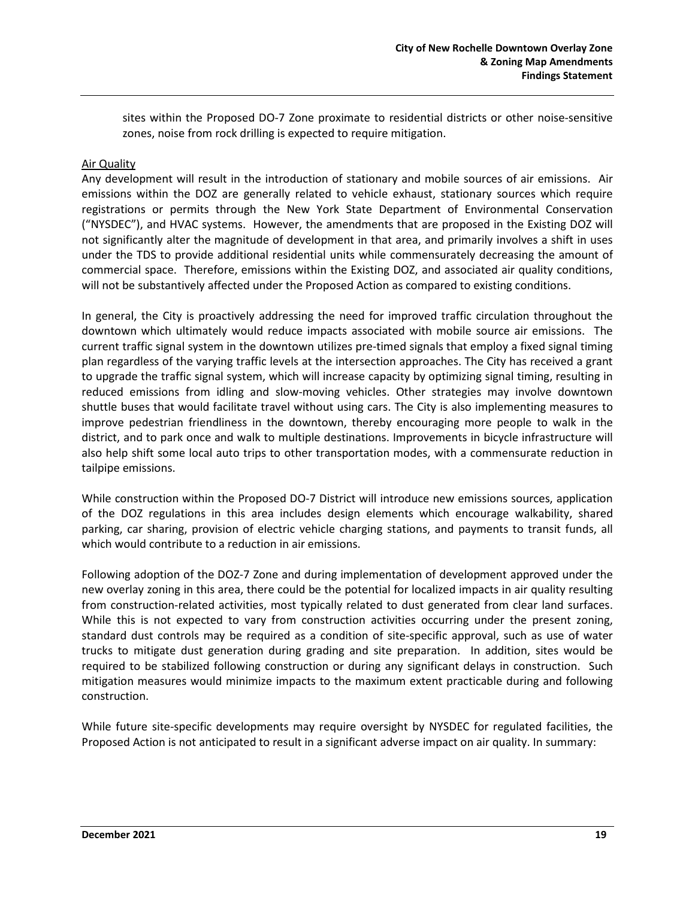sites within the Proposed DO-7 Zone proximate to residential districts or other noise-sensitive zones, noise from rock drilling is expected to require mitigation.

#### Air Quality

Any development will result in the introduction of stationary and mobile sources of air emissions. Air emissions within the DOZ are generally related to vehicle exhaust, stationary sources which require registrations or permits through the New York State Department of Environmental Conservation ("NYSDEC"), and HVAC systems. However, the amendments that are proposed in the Existing DOZ will not significantly alter the magnitude of development in that area, and primarily involves a shift in uses under the TDS to provide additional residential units while commensurately decreasing the amount of commercial space. Therefore, emissions within the Existing DOZ, and associated air quality conditions, will not be substantively affected under the Proposed Action as compared to existing conditions.

In general, the City is proactively addressing the need for improved traffic circulation throughout the downtown which ultimately would reduce impacts associated with mobile source air emissions. The current traffic signal system in the downtown utilizes pre-timed signals that employ a fixed signal timing plan regardless of the varying traffic levels at the intersection approaches. The City has received a grant to upgrade the traffic signal system, which will increase capacity by optimizing signal timing, resulting in reduced emissions from idling and slow-moving vehicles. Other strategies may involve downtown shuttle buses that would facilitate travel without using cars. The City is also implementing measures to improve pedestrian friendliness in the downtown, thereby encouraging more people to walk in the district, and to park once and walk to multiple destinations. Improvements in bicycle infrastructure will also help shift some local auto trips to other transportation modes, with a commensurate reduction in tailpipe emissions.

While construction within the Proposed DO-7 District will introduce new emissions sources, application of the DOZ regulations in this area includes design elements which encourage walkability, shared parking, car sharing, provision of electric vehicle charging stations, and payments to transit funds, all which would contribute to a reduction in air emissions.

Following adoption of the DOZ-7 Zone and during implementation of development approved under the new overlay zoning in this area, there could be the potential for localized impacts in air quality resulting from construction-related activities, most typically related to dust generated from clear land surfaces. While this is not expected to vary from construction activities occurring under the present zoning, standard dust controls may be required as a condition of site-specific approval, such as use of water trucks to mitigate dust generation during grading and site preparation. In addition, sites would be required to be stabilized following construction or during any significant delays in construction. Such mitigation measures would minimize impacts to the maximum extent practicable during and following construction.

While future site-specific developments may require oversight by NYSDEC for regulated facilities, the Proposed Action is not anticipated to result in a significant adverse impact on air quality. In summary: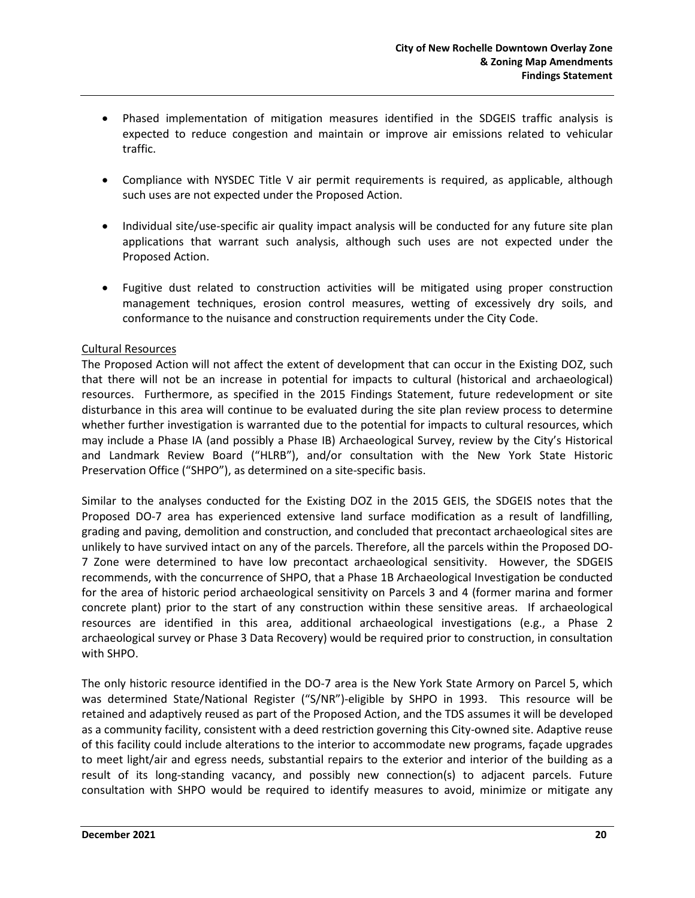- Phased implementation of mitigation measures identified in the SDGEIS traffic analysis is expected to reduce congestion and maintain or improve air emissions related to vehicular traffic.
- Compliance with NYSDEC Title V air permit requirements is required, as applicable, although such uses are not expected under the Proposed Action.
- Individual site/use-specific air quality impact analysis will be conducted for any future site plan applications that warrant such analysis, although such uses are not expected under the Proposed Action.
- Fugitive dust related to construction activities will be mitigated using proper construction management techniques, erosion control measures, wetting of excessively dry soils, and conformance to the nuisance and construction requirements under the City Code.

#### Cultural Resources

The Proposed Action will not affect the extent of development that can occur in the Existing DOZ, such that there will not be an increase in potential for impacts to cultural (historical and archaeological) resources. Furthermore, as specified in the 2015 Findings Statement, future redevelopment or site disturbance in this area will continue to be evaluated during the site plan review process to determine whether further investigation is warranted due to the potential for impacts to cultural resources, which may include a Phase IA (and possibly a Phase IB) Archaeological Survey, review by the City's Historical and Landmark Review Board ("HLRB"), and/or consultation with the New York State Historic Preservation Office ("SHPO"), as determined on a site-specific basis.

Similar to the analyses conducted for the Existing DOZ in the 2015 GEIS, the SDGEIS notes that the Proposed DO-7 area has experienced extensive land surface modification as a result of landfilling, grading and paving, demolition and construction, and concluded that precontact archaeological sites are unlikely to have survived intact on any of the parcels. Therefore, all the parcels within the Proposed DO-7 Zone were determined to have low precontact archaeological sensitivity. However, the SDGEIS recommends, with the concurrence of SHPO, that a Phase 1B Archaeological Investigation be conducted for the area of historic period archaeological sensitivity on Parcels 3 and 4 (former marina and former concrete plant) prior to the start of any construction within these sensitive areas. If archaeological resources are identified in this area, additional archaeological investigations (e.g., a Phase 2 archaeological survey or Phase 3 Data Recovery) would be required prior to construction, in consultation with SHPO.

The only historic resource identified in the DO-7 area is the New York State Armory on Parcel 5, which was determined State/National Register ("S/NR")-eligible by SHPO in 1993. This resource will be retained and adaptively reused as part of the Proposed Action, and the TDS assumes it will be developed as a community facility, consistent with a deed restriction governing this City-owned site. Adaptive reuse of this facility could include alterations to the interior to accommodate new programs, façade upgrades to meet light/air and egress needs, substantial repairs to the exterior and interior of the building as a result of its long-standing vacancy, and possibly new connection(s) to adjacent parcels. Future consultation with SHPO would be required to identify measures to avoid, minimize or mitigate any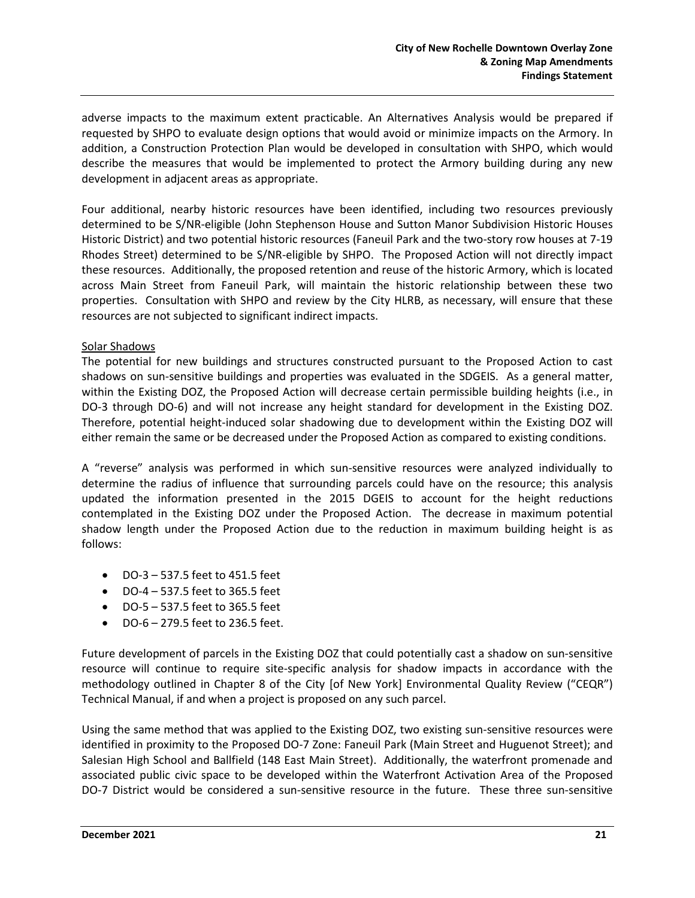adverse impacts to the maximum extent practicable. An Alternatives Analysis would be prepared if requested by SHPO to evaluate design options that would avoid or minimize impacts on the Armory. In addition, a Construction Protection Plan would be developed in consultation with SHPO, which would describe the measures that would be implemented to protect the Armory building during any new development in adjacent areas as appropriate.

Four additional, nearby historic resources have been identified, including two resources previously determined to be S/NR-eligible (John Stephenson House and Sutton Manor Subdivision Historic Houses Historic District) and two potential historic resources (Faneuil Park and the two-story row houses at 7-19 Rhodes Street) determined to be S/NR-eligible by SHPO. The Proposed Action will not directly impact these resources. Additionally, the proposed retention and reuse of the historic Armory, which is located across Main Street from Faneuil Park, will maintain the historic relationship between these two properties. Consultation with SHPO and review by the City HLRB, as necessary, will ensure that these resources are not subjected to significant indirect impacts.

#### Solar Shadows

The potential for new buildings and structures constructed pursuant to the Proposed Action to cast shadows on sun-sensitive buildings and properties was evaluated in the SDGEIS. As a general matter, within the Existing DOZ, the Proposed Action will decrease certain permissible building heights (i.e., in DO-3 through DO-6) and will not increase any height standard for development in the Existing DOZ. Therefore, potential height-induced solar shadowing due to development within the Existing DOZ will either remain the same or be decreased under the Proposed Action as compared to existing conditions.

A "reverse" analysis was performed in which sun-sensitive resources were analyzed individually to determine the radius of influence that surrounding parcels could have on the resource; this analysis updated the information presented in the 2015 DGEIS to account for the height reductions contemplated in the Existing DOZ under the Proposed Action. The decrease in maximum potential shadow length under the Proposed Action due to the reduction in maximum building height is as follows:

- DO-3 537.5 feet to 451.5 feet
- DO-4 537.5 feet to 365.5 feet
- DO-5 537.5 feet to 365.5 feet
- DO-6 279.5 feet to 236.5 feet.

Future development of parcels in the Existing DOZ that could potentially cast a shadow on sun-sensitive resource will continue to require site-specific analysis for shadow impacts in accordance with the methodology outlined in Chapter 8 of the City [of New York] Environmental Quality Review ("CEQR") Technical Manual, if and when a project is proposed on any such parcel.

Using the same method that was applied to the Existing DOZ, two existing sun-sensitive resources were identified in proximity to the Proposed DO-7 Zone: Faneuil Park (Main Street and Huguenot Street); and Salesian High School and Ballfield (148 East Main Street). Additionally, the waterfront promenade and associated public civic space to be developed within the Waterfront Activation Area of the Proposed DO-7 District would be considered a sun-sensitive resource in the future. These three sun-sensitive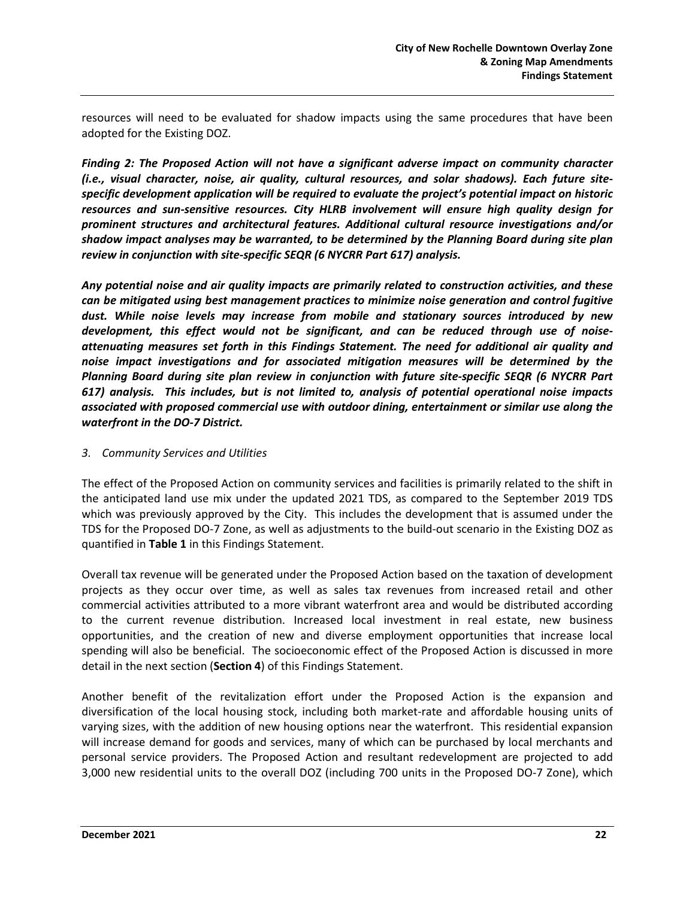resources will need to be evaluated for shadow impacts using the same procedures that have been adopted for the Existing DOZ.

*Finding 2: The Proposed Action will not have a significant adverse impact on community character (i.e., visual character, noise, air quality, cultural resources, and solar shadows). Each future sitespecific development application will be required to evaluate the project's potential impact on historic resources and sun-sensitive resources. City HLRB involvement will ensure high quality design for prominent structures and architectural features. Additional cultural resource investigations and/or shadow impact analyses may be warranted, to be determined by the Planning Board during site plan review in conjunction with site-specific SEQR (6 NYCRR Part 617) analysis.* 

*Any potential noise and air quality impacts are primarily related to construction activities, and these can be mitigated using best management practices to minimize noise generation and control fugitive dust. While noise levels may increase from mobile and stationary sources introduced by new development, this effect would not be significant, and can be reduced through use of noiseattenuating measures set forth in this Findings Statement. The need for additional air quality and noise impact investigations and for associated mitigation measures will be determined by the Planning Board during site plan review in conjunction with future site-specific SEQR (6 NYCRR Part 617) analysis. This includes, but is not limited to, analysis of potential operational noise impacts associated with proposed commercial use with outdoor dining, entertainment or similar use along the waterfront in the DO-7 District.* 

#### *3. Community Services and Utilities*

The effect of the Proposed Action on community services and facilities is primarily related to the shift in the anticipated land use mix under the updated 2021 TDS, as compared to the September 2019 TDS which was previously approved by the City. This includes the development that is assumed under the TDS for the Proposed DO-7 Zone, as well as adjustments to the build-out scenario in the Existing DOZ as quantified in **Table 1** in this Findings Statement.

Overall tax revenue will be generated under the Proposed Action based on the taxation of development projects as they occur over time, as well as sales tax revenues from increased retail and other commercial activities attributed to a more vibrant waterfront area and would be distributed according to the current revenue distribution. Increased local investment in real estate, new business opportunities, and the creation of new and diverse employment opportunities that increase local spending will also be beneficial. The socioeconomic effect of the Proposed Action is discussed in more detail in the next section (**Section 4**) of this Findings Statement.

Another benefit of the revitalization effort under the Proposed Action is the expansion and diversification of the local housing stock, including both market-rate and affordable housing units of varying sizes, with the addition of new housing options near the waterfront. This residential expansion will increase demand for goods and services, many of which can be purchased by local merchants and personal service providers. The Proposed Action and resultant redevelopment are projected to add 3,000 new residential units to the overall DOZ (including 700 units in the Proposed DO-7 Zone), which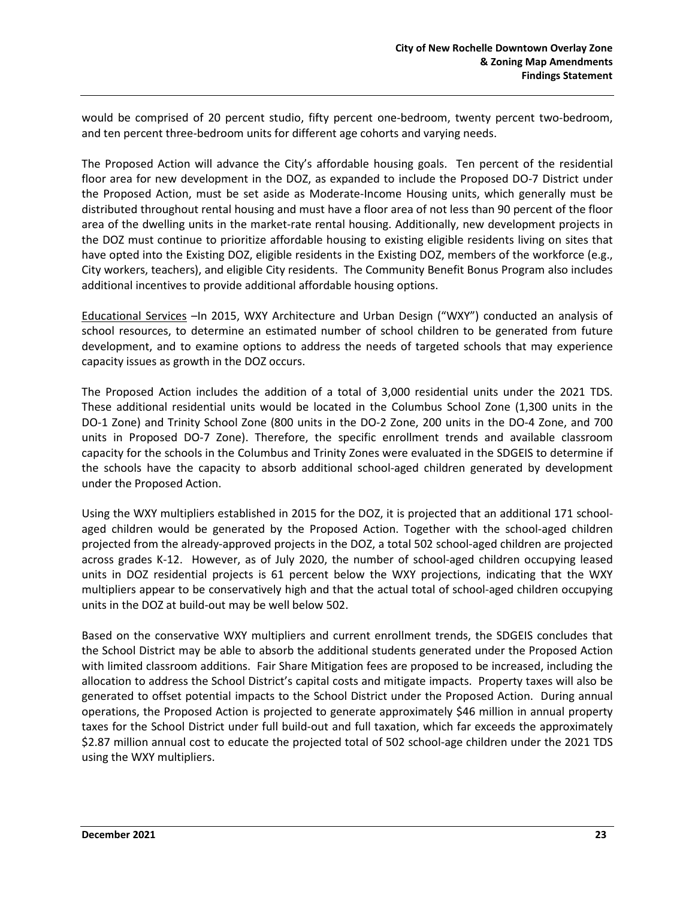would be comprised of 20 percent studio, fifty percent one-bedroom, twenty percent two-bedroom, and ten percent three-bedroom units for different age cohorts and varying needs.

The Proposed Action will advance the City's affordable housing goals. Ten percent of the residential floor area for new development in the DOZ, as expanded to include the Proposed DO-7 District under the Proposed Action, must be set aside as Moderate-Income Housing units, which generally must be distributed throughout rental housing and must have a floor area of not less than 90 percent of the floor area of the dwelling units in the market-rate rental housing. Additionally, new development projects in the DOZ must continue to prioritize affordable housing to existing eligible residents living on sites that have opted into the Existing DOZ, eligible residents in the Existing DOZ, members of the workforce (e.g., City workers, teachers), and eligible City residents. The Community Benefit Bonus Program also includes additional incentives to provide additional affordable housing options.

Educational Services –In 2015, WXY Architecture and Urban Design ("WXY") conducted an analysis of school resources, to determine an estimated number of school children to be generated from future development, and to examine options to address the needs of targeted schools that may experience capacity issues as growth in the DOZ occurs.

The Proposed Action includes the addition of a total of 3,000 residential units under the 2021 TDS. These additional residential units would be located in the Columbus School Zone (1,300 units in the DO-1 Zone) and Trinity School Zone (800 units in the DO-2 Zone, 200 units in the DO-4 Zone, and 700 units in Proposed DO-7 Zone). Therefore, the specific enrollment trends and available classroom capacity for the schools in the Columbus and Trinity Zones were evaluated in the SDGEIS to determine if the schools have the capacity to absorb additional school-aged children generated by development under the Proposed Action.

Using the WXY multipliers established in 2015 for the DOZ, it is projected that an additional 171 schoolaged children would be generated by the Proposed Action. Together with the school-aged children projected from the already-approved projects in the DOZ, a total 502 school-aged children are projected across grades K-12. However, as of July 2020, the number of school-aged children occupying leased units in DOZ residential projects is 61 percent below the WXY projections, indicating that the WXY multipliers appear to be conservatively high and that the actual total of school-aged children occupying units in the DOZ at build-out may be well below 502.

Based on the conservative WXY multipliers and current enrollment trends, the SDGEIS concludes that the School District may be able to absorb the additional students generated under the Proposed Action with limited classroom additions. Fair Share Mitigation fees are proposed to be increased, including the allocation to address the School District's capital costs and mitigate impacts. Property taxes will also be generated to offset potential impacts to the School District under the Proposed Action. During annual operations, the Proposed Action is projected to generate approximately \$46 million in annual property taxes for the School District under full build-out and full taxation, which far exceeds the approximately \$2.87 million annual cost to educate the projected total of 502 school-age children under the 2021 TDS using the WXY multipliers.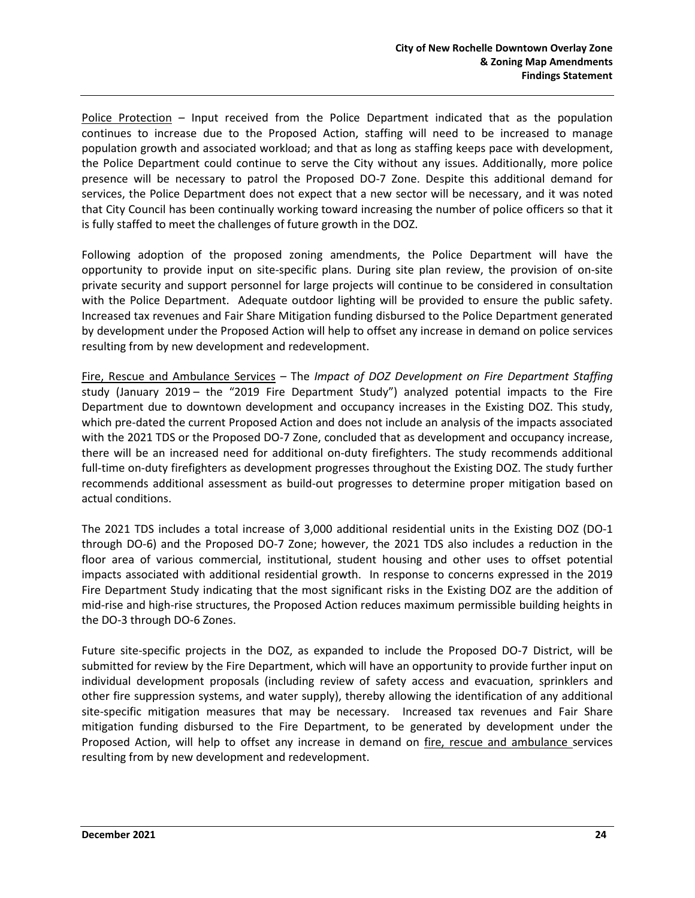Police Protection *–* Input received from the Police Department indicated that as the population continues to increase due to the Proposed Action, staffing will need to be increased to manage population growth and associated workload; and that as long as staffing keeps pace with development, the Police Department could continue to serve the City without any issues. Additionally, more police presence will be necessary to patrol the Proposed DO-7 Zone. Despite this additional demand for services, the Police Department does not expect that a new sector will be necessary, and it was noted that City Council has been continually working toward increasing the number of police officers so that it is fully staffed to meet the challenges of future growth in the DOZ.

Following adoption of the proposed zoning amendments, the Police Department will have the opportunity to provide input on site-specific plans. During site plan review, the provision of on-site private security and support personnel for large projects will continue to be considered in consultation with the Police Department. Adequate outdoor lighting will be provided to ensure the public safety. Increased tax revenues and Fair Share Mitigation funding disbursed to the Police Department generated by development under the Proposed Action will help to offset any increase in demand on police services resulting from by new development and redevelopment.

Fire, Rescue and Ambulance Services *–* The *Impact of DOZ Development on Fire Department Staffing* study (January 2019 – the "2019 Fire Department Study") analyzed potential impacts to the Fire Department due to downtown development and occupancy increases in the Existing DOZ. This study, which pre-dated the current Proposed Action and does not include an analysis of the impacts associated with the 2021 TDS or the Proposed DO-7 Zone, concluded that as development and occupancy increase, there will be an increased need for additional on-duty firefighters. The study recommends additional full-time on-duty firefighters as development progresses throughout the Existing DOZ. The study further recommends additional assessment as build-out progresses to determine proper mitigation based on actual conditions.

The 2021 TDS includes a total increase of 3,000 additional residential units in the Existing DOZ (DO-1 through DO-6) and the Proposed DO-7 Zone; however, the 2021 TDS also includes a reduction in the floor area of various commercial, institutional, student housing and other uses to offset potential impacts associated with additional residential growth. In response to concerns expressed in the 2019 Fire Department Study indicating that the most significant risks in the Existing DOZ are the addition of mid-rise and high-rise structures, the Proposed Action reduces maximum permissible building heights in the DO-3 through DO-6 Zones.

Future site-specific projects in the DOZ, as expanded to include the Proposed DO-7 District, will be submitted for review by the Fire Department, which will have an opportunity to provide further input on individual development proposals (including review of safety access and evacuation, sprinklers and other fire suppression systems, and water supply), thereby allowing the identification of any additional site-specific mitigation measures that may be necessary. Increased tax revenues and Fair Share mitigation funding disbursed to the Fire Department, to be generated by development under the Proposed Action, will help to offset any increase in demand on fire, rescue and ambulance services resulting from by new development and redevelopment.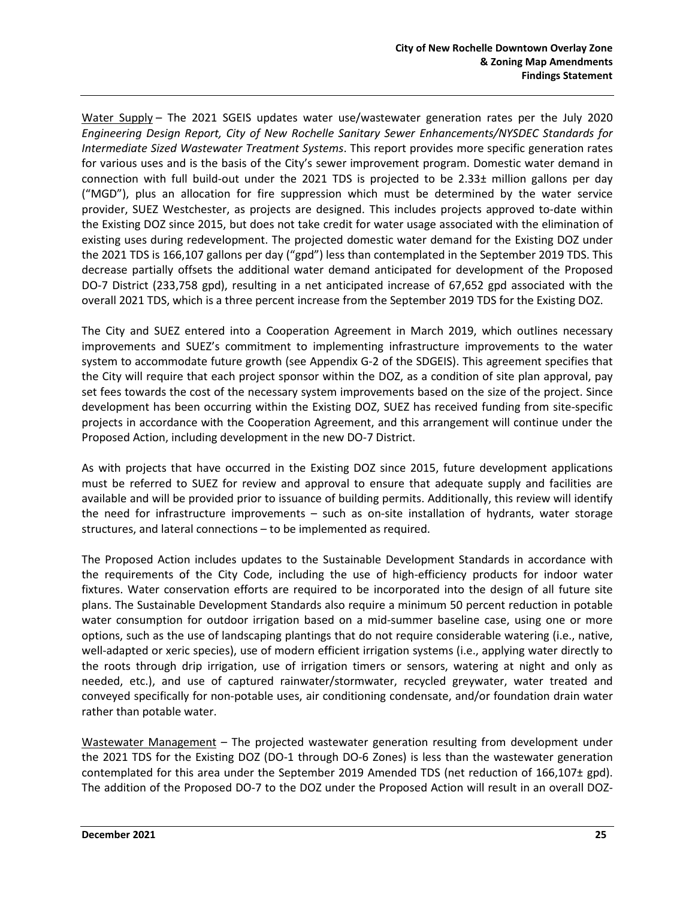Water Supply – The 2021 SGEIS updates water use/wastewater generation rates per the July 2020 *Engineering Design Report, City of New Rochelle Sanitary Sewer Enhancements/NYSDEC Standards for Intermediate Sized Wastewater Treatment Systems*. This report provides more specific generation rates for various uses and is the basis of the City's sewer improvement program. Domestic water demand in connection with full build-out under the 2021 TDS is projected to be 2.33± million gallons per day ("MGD"), plus an allocation for fire suppression which must be determined by the water service provider, SUEZ Westchester, as projects are designed. This includes projects approved to-date within the Existing DOZ since 2015, but does not take credit for water usage associated with the elimination of existing uses during redevelopment. The projected domestic water demand for the Existing DOZ under the 2021 TDS is 166,107 gallons per day ("gpd") less than contemplated in the September 2019 TDS. This decrease partially offsets the additional water demand anticipated for development of the Proposed DO-7 District (233,758 gpd), resulting in a net anticipated increase of 67,652 gpd associated with the overall 2021 TDS, which is a three percent increase from the September 2019 TDS for the Existing DOZ.

The City and SUEZ entered into a Cooperation Agreement in March 2019, which outlines necessary improvements and SUEZ's commitment to implementing infrastructure improvements to the water system to accommodate future growth (see Appendix G-2 of the SDGEIS). This agreement specifies that the City will require that each project sponsor within the DOZ, as a condition of site plan approval, pay set fees towards the cost of the necessary system improvements based on the size of the project. Since development has been occurring within the Existing DOZ, SUEZ has received funding from site-specific projects in accordance with the Cooperation Agreement, and this arrangement will continue under the Proposed Action, including development in the new DO-7 District.

As with projects that have occurred in the Existing DOZ since 2015, future development applications must be referred to SUEZ for review and approval to ensure that adequate supply and facilities are available and will be provided prior to issuance of building permits. Additionally, this review will identify the need for infrastructure improvements – such as on-site installation of hydrants, water storage structures, and lateral connections – to be implemented as required.

The Proposed Action includes updates to the Sustainable Development Standards in accordance with the requirements of the City Code, including the use of high-efficiency products for indoor water fixtures. Water conservation efforts are required to be incorporated into the design of all future site plans. The Sustainable Development Standards also require a minimum 50 percent reduction in potable water consumption for outdoor irrigation based on a mid-summer baseline case, using one or more options, such as the use of landscaping plantings that do not require considerable watering (i.e., native, well-adapted or xeric species), use of modern efficient irrigation systems (i.e., applying water directly to the roots through drip irrigation, use of irrigation timers or sensors, watering at night and only as needed, etc.), and use of captured rainwater/stormwater, recycled greywater, water treated and conveyed specifically for non-potable uses, air conditioning condensate, and/or foundation drain water rather than potable water.

Wastewater Management *–* The projected wastewater generation resulting from development under the 2021 TDS for the Existing DOZ (DO-1 through DO-6 Zones) is less than the wastewater generation contemplated for this area under the September 2019 Amended TDS (net reduction of 166,107± gpd). The addition of the Proposed DO-7 to the DOZ under the Proposed Action will result in an overall DOZ-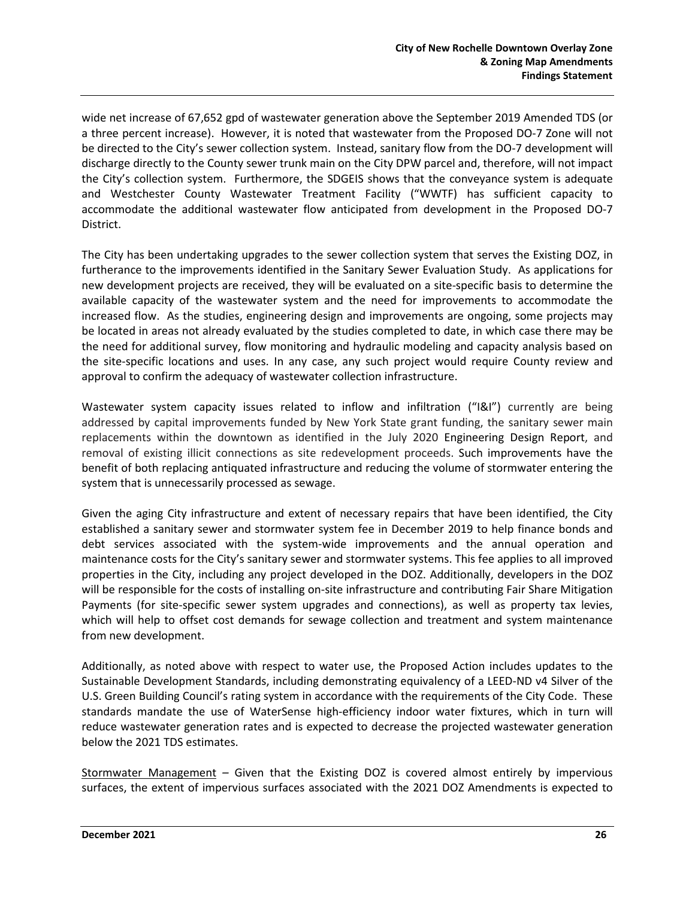wide net increase of 67,652 gpd of wastewater generation above the September 2019 Amended TDS (or a three percent increase). However, it is noted that wastewater from the Proposed DO-7 Zone will not be directed to the City's sewer collection system. Instead, sanitary flow from the DO-7 development will discharge directly to the County sewer trunk main on the City DPW parcel and, therefore, will not impact the City's collection system. Furthermore, the SDGEIS shows that the conveyance system is adequate and Westchester County Wastewater Treatment Facility ("WWTF) has sufficient capacity to accommodate the additional wastewater flow anticipated from development in the Proposed DO-7 District.

The City has been undertaking upgrades to the sewer collection system that serves the Existing DOZ, in furtherance to the improvements identified in the Sanitary Sewer Evaluation Study. As applications for new development projects are received, they will be evaluated on a site-specific basis to determine the available capacity of the wastewater system and the need for improvements to accommodate the increased flow. As the studies, engineering design and improvements are ongoing, some projects may be located in areas not already evaluated by the studies completed to date, in which case there may be the need for additional survey, flow monitoring and hydraulic modeling and capacity analysis based on the site-specific locations and uses. In any case, any such project would require County review and approval to confirm the adequacy of wastewater collection infrastructure.

Wastewater system capacity issues related to inflow and infiltration ("I&I") currently are being addressed by capital improvements funded by New York State grant funding, the sanitary sewer main replacements within the downtown as identified in the July 2020 Engineering Design Report, and removal of existing illicit connections as site redevelopment proceeds. Such improvements have the benefit of both replacing antiquated infrastructure and reducing the volume of stormwater entering the system that is unnecessarily processed as sewage.

Given the aging City infrastructure and extent of necessary repairs that have been identified, the City established a sanitary sewer and stormwater system fee in December 2019 to help finance bonds and debt services associated with the system-wide improvements and the annual operation and maintenance costs for the City's sanitary sewer and stormwater systems. This fee applies to all improved properties in the City, including any project developed in the DOZ. Additionally, developers in the DOZ will be responsible for the costs of installing on-site infrastructure and contributing Fair Share Mitigation Payments (for site-specific sewer system upgrades and connections), as well as property tax levies, which will help to offset cost demands for sewage collection and treatment and system maintenance from new development.

Additionally, as noted above with respect to water use, the Proposed Action includes updates to the Sustainable Development Standards, including demonstrating equivalency of a LEED-ND v4 Silver of the U.S. Green Building Council's rating system in accordance with the requirements of the City Code. These standards mandate the use of WaterSense high-efficiency indoor water fixtures, which in turn will reduce wastewater generation rates and is expected to decrease the projected wastewater generation below the 2021 TDS estimates.

Stormwater Management *–* Given that the Existing DOZ is covered almost entirely by impervious surfaces, the extent of impervious surfaces associated with the 2021 DOZ Amendments is expected to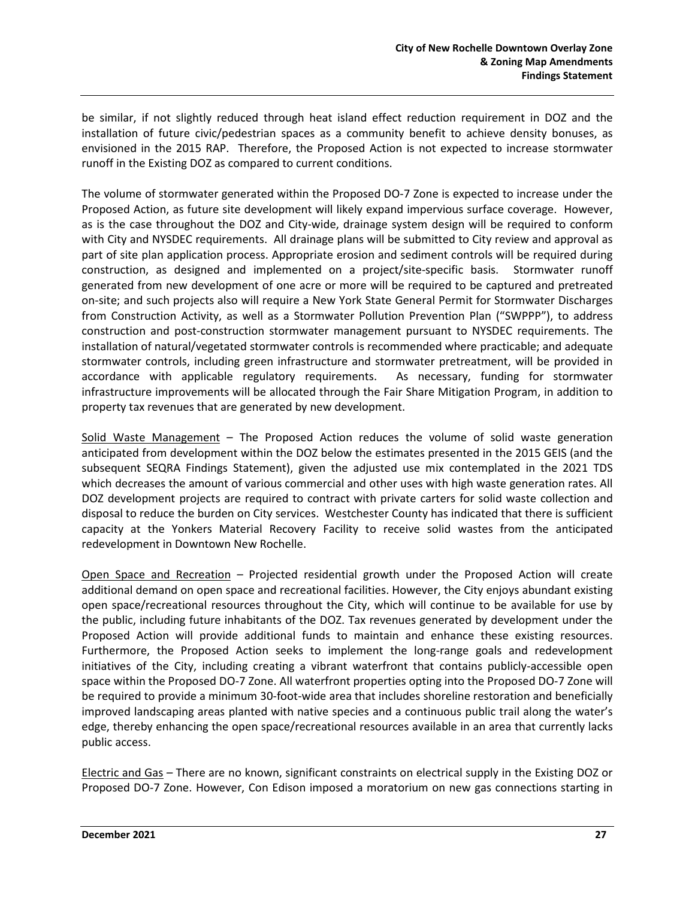be similar, if not slightly reduced through heat island effect reduction requirement in DOZ and the installation of future civic/pedestrian spaces as a community benefit to achieve density bonuses, as envisioned in the 2015 RAP. Therefore, the Proposed Action is not expected to increase stormwater runoff in the Existing DOZ as compared to current conditions.

The volume of stormwater generated within the Proposed DO-7 Zone is expected to increase under the Proposed Action, as future site development will likely expand impervious surface coverage. However, as is the case throughout the DOZ and City-wide, drainage system design will be required to conform with City and NYSDEC requirements. All drainage plans will be submitted to City review and approval as part of site plan application process. Appropriate erosion and sediment controls will be required during construction, as designed and implemented on a project/site-specific basis. Stormwater runoff generated from new development of one acre or more will be required to be captured and pretreated on-site; and such projects also will require a New York State General Permit for Stormwater Discharges from Construction Activity, as well as a Stormwater Pollution Prevention Plan ("SWPPP"), to address construction and post-construction stormwater management pursuant to NYSDEC requirements. The installation of natural/vegetated stormwater controls is recommended where practicable; and adequate stormwater controls, including green infrastructure and stormwater pretreatment, will be provided in accordance with applicable regulatory requirements. As necessary, funding for stormwater infrastructure improvements will be allocated through the Fair Share Mitigation Program, in addition to property tax revenues that are generated by new development.

Solid Waste Management - The Proposed Action reduces the volume of solid waste generation anticipated from development within the DOZ below the estimates presented in the 2015 GEIS (and the subsequent SEQRA Findings Statement), given the adjusted use mix contemplated in the 2021 TDS which decreases the amount of various commercial and other uses with high waste generation rates. All DOZ development projects are required to contract with private carters for solid waste collection and disposal to reduce the burden on City services. Westchester County has indicated that there is sufficient capacity at the Yonkers Material Recovery Facility to receive solid wastes from the anticipated redevelopment in Downtown New Rochelle.

Open Space and Recreation *–* Projected residential growth under the Proposed Action will create additional demand on open space and recreational facilities. However, the City enjoys abundant existing open space/recreational resources throughout the City, which will continue to be available for use by the public, including future inhabitants of the DOZ. Tax revenues generated by development under the Proposed Action will provide additional funds to maintain and enhance these existing resources. Furthermore, the Proposed Action seeks to implement the long-range goals and redevelopment initiatives of the City, including creating a vibrant waterfront that contains publicly-accessible open space within the Proposed DO-7 Zone. All waterfront properties opting into the Proposed DO-7 Zone will be required to provide a minimum 30-foot-wide area that includes shoreline restoration and beneficially improved landscaping areas planted with native species and a continuous public trail along the water's edge, thereby enhancing the open space/recreational resources available in an area that currently lacks public access.

Electric and Gas *–* There are no known, significant constraints on electrical supply in the Existing DOZ or Proposed DO-7 Zone. However, Con Edison imposed a moratorium on new gas connections starting in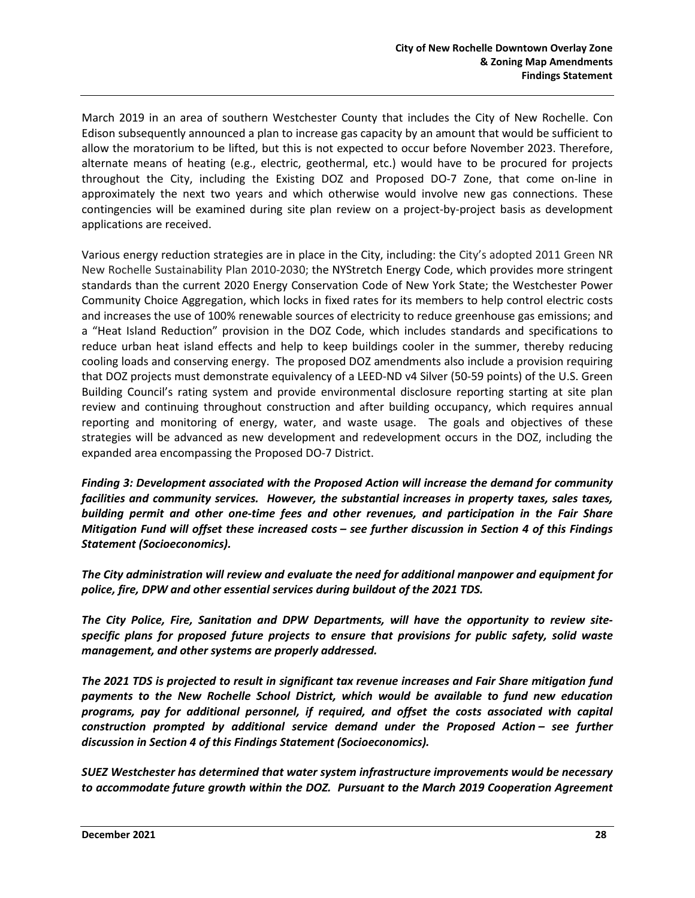March 2019 in an area of southern Westchester County that includes the City of New Rochelle. Con Edison subsequently announced a plan to increase gas capacity by an amount that would be sufficient to allow the moratorium to be lifted, but this is not expected to occur before November 2023. Therefore, alternate means of heating (e.g., electric, geothermal, etc.) would have to be procured for projects throughout the City, including the Existing DOZ and Proposed DO-7 Zone, that come on-line in approximately the next two years and which otherwise would involve new gas connections. These contingencies will be examined during site plan review on a project-by-project basis as development applications are received.

Various energy reduction strategies are in place in the City, including: the City's adopted 2011 Green NR New Rochelle Sustainability Plan 2010-2030; the NYStretch Energy Code, which provides more stringent standards than the current 2020 Energy Conservation Code of New York State; the Westchester Power Community Choice Aggregation, which locks in fixed rates for its members to help control electric costs and increases the use of 100% renewable sources of electricity to reduce greenhouse gas emissions; and a "Heat Island Reduction" provision in the DOZ Code, which includes standards and specifications to reduce urban heat island effects and help to keep buildings cooler in the summer, thereby reducing cooling loads and conserving energy. The proposed DOZ amendments also include a provision requiring that DOZ projects must demonstrate equivalency of a LEED-ND v4 Silver (50-59 points) of the U.S. Green Building Council's rating system and provide environmental disclosure reporting starting at site plan review and continuing throughout construction and after building occupancy, which requires annual reporting and monitoring of energy, water, and waste usage. The goals and objectives of these strategies will be advanced as new development and redevelopment occurs in the DOZ, including the expanded area encompassing the Proposed DO-7 District.

*Finding 3: Development associated with the Proposed Action will increase the demand for community facilities and community services. However, the substantial increases in property taxes, sales taxes, building permit and other one-time fees and other revenues, and participation in the Fair Share Mitigation Fund will offset these increased costs – see further discussion in Section 4 of this Findings Statement (Socioeconomics).* 

*The City administration will review and evaluate the need for additional manpower and equipment for police, fire, DPW and other essential services during buildout of the 2021 TDS.*

*The City Police, Fire, Sanitation and DPW Departments, will have the opportunity to review sitespecific plans for proposed future projects to ensure that provisions for public safety, solid waste management, and other systems are properly addressed.*

*The 2021 TDS is projected to result in significant tax revenue increases and Fair Share mitigation fund payments to the New Rochelle School District, which would be available to fund new education programs, pay for additional personnel, if required, and offset the costs associated with capital construction prompted by additional service demand under the Proposed Action – see further discussion in Section 4 of this Findings Statement (Socioeconomics).* 

*SUEZ Westchester has determined that water system infrastructure improvements would be necessary to accommodate future growth within the DOZ. Pursuant to the March 2019 Cooperation Agreement*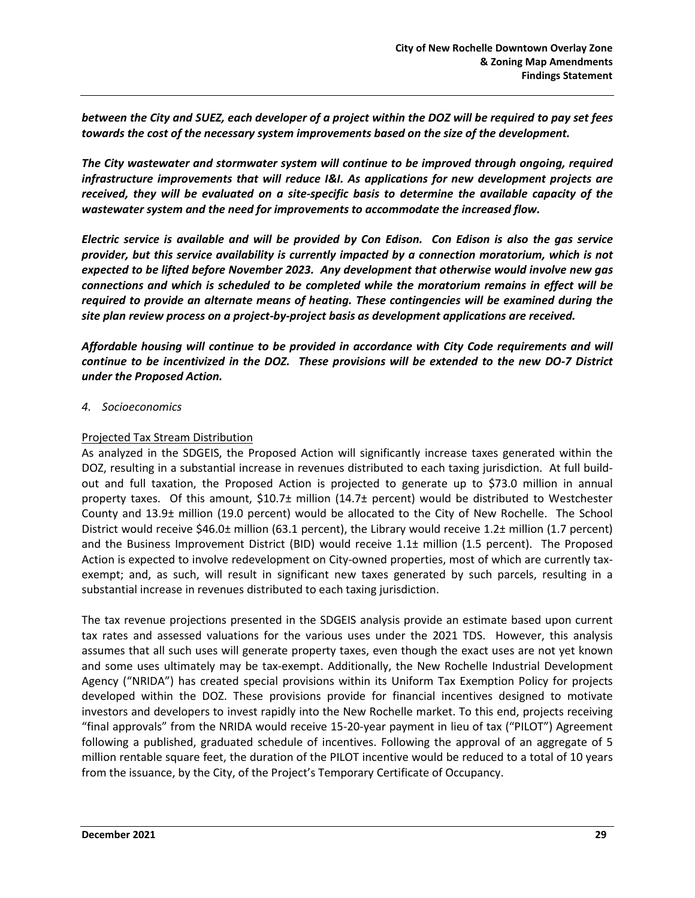*between the City and SUEZ, each developer of a project within the DOZ will be required to pay set fees towards the cost of the necessary system improvements based on the size of the development.*

*The City wastewater and stormwater system will continue to be improved through ongoing, required infrastructure improvements that will reduce I&I. As applications for new development projects are received, they will be evaluated on a site-specific basis to determine the available capacity of the wastewater system and the need for improvements to accommodate the increased flow.* 

*Electric service is available and will be provided by Con Edison. Con Edison is also the gas service provider, but this service availability is currently impacted by a connection moratorium, which is not expected to be lifted before November 2023. Any development that otherwise would involve new gas connections and which is scheduled to be completed while the moratorium remains in effect will be required to provide an alternate means of heating. These contingencies will be examined during the site plan review process on a project-by-project basis as development applications are received.*

*Affordable housing will continue to be provided in accordance with City Code requirements and will continue to be incentivized in the DOZ. These provisions will be extended to the new DO-7 District under the Proposed Action.*

*4. Socioeconomics*

#### Projected Tax Stream Distribution

As analyzed in the SDGEIS, the Proposed Action will significantly increase taxes generated within the DOZ, resulting in a substantial increase in revenues distributed to each taxing jurisdiction. At full buildout and full taxation, the Proposed Action is projected to generate up to \$73.0 million in annual property taxes. Of this amount, \$10.7± million (14.7± percent) would be distributed to Westchester County and 13.9± million (19.0 percent) would be allocated to the City of New Rochelle. The School District would receive \$46.0± million (63.1 percent), the Library would receive 1.2± million (1.7 percent) and the Business Improvement District (BID) would receive 1.1± million (1.5 percent). The Proposed Action is expected to involve redevelopment on City-owned properties, most of which are currently taxexempt; and, as such, will result in significant new taxes generated by such parcels, resulting in a substantial increase in revenues distributed to each taxing jurisdiction.

The tax revenue projections presented in the SDGEIS analysis provide an estimate based upon current tax rates and assessed valuations for the various uses under the 2021 TDS. However, this analysis assumes that all such uses will generate property taxes, even though the exact uses are not yet known and some uses ultimately may be tax-exempt. Additionally, the New Rochelle Industrial Development Agency ("NRIDA") has created special provisions within its Uniform Tax Exemption Policy for projects developed within the DOZ. These provisions provide for financial incentives designed to motivate investors and developers to invest rapidly into the New Rochelle market. To this end, projects receiving "final approvals" from the NRIDA would receive 15-20-year payment in lieu of tax ("PILOT") Agreement following a published, graduated schedule of incentives. Following the approval of an aggregate of 5 million rentable square feet, the duration of the PILOT incentive would be reduced to a total of 10 years from the issuance, by the City, of the Project's Temporary Certificate of Occupancy.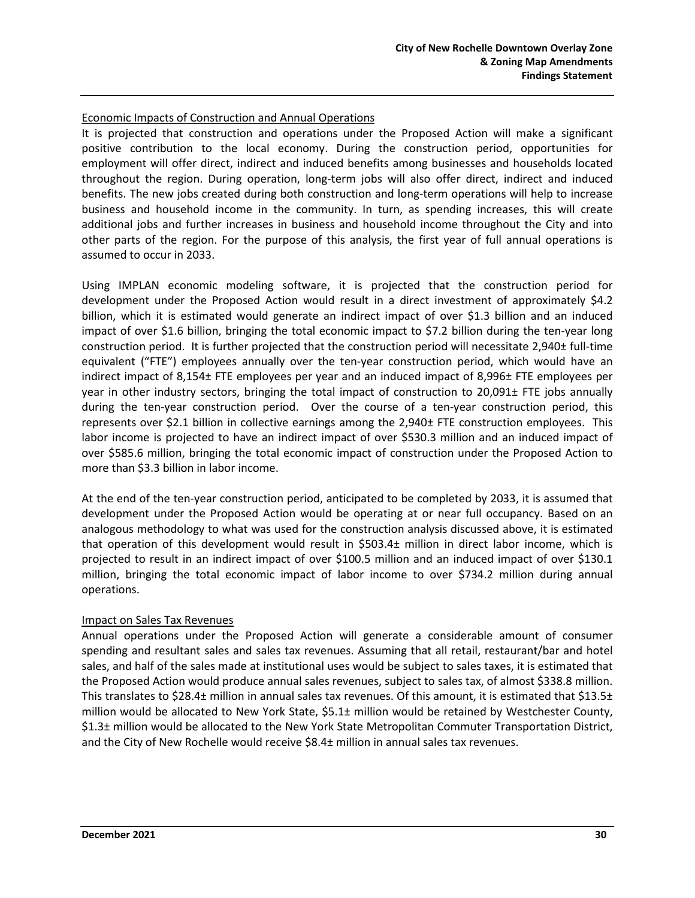#### Economic Impacts of Construction and Annual Operations

It is projected that construction and operations under the Proposed Action will make a significant positive contribution to the local economy. During the construction period, opportunities for employment will offer direct, indirect and induced benefits among businesses and households located throughout the region. During operation, long-term jobs will also offer direct, indirect and induced benefits. The new jobs created during both construction and long-term operations will help to increase business and household income in the community. In turn, as spending increases, this will create additional jobs and further increases in business and household income throughout the City and into other parts of the region. For the purpose of this analysis, the first year of full annual operations is assumed to occur in 2033.

Using IMPLAN economic modeling software, it is projected that the construction period for development under the Proposed Action would result in a direct investment of approximately \$4.2 billion, which it is estimated would generate an indirect impact of over \$1.3 billion and an induced impact of over \$1.6 billion, bringing the total economic impact to \$7.2 billion during the ten-year long construction period. It is further projected that the construction period will necessitate 2,940± full-time equivalent ("FTE") employees annually over the ten-year construction period, which would have an indirect impact of 8,154± FTE employees per year and an induced impact of 8,996± FTE employees per year in other industry sectors, bringing the total impact of construction to 20,091± FTE jobs annually during the ten-year construction period. Over the course of a ten-year construction period, this represents over \$2.1 billion in collective earnings among the 2,940± FTE construction employees. This labor income is projected to have an indirect impact of over \$530.3 million and an induced impact of over \$585.6 million, bringing the total economic impact of construction under the Proposed Action to more than \$3.3 billion in labor income.

At the end of the ten-year construction period, anticipated to be completed by 2033, it is assumed that development under the Proposed Action would be operating at or near full occupancy. Based on an analogous methodology to what was used for the construction analysis discussed above, it is estimated that operation of this development would result in \$503.4± million in direct labor income, which is projected to result in an indirect impact of over \$100.5 million and an induced impact of over \$130.1 million, bringing the total economic impact of labor income to over \$734.2 million during annual operations.

#### Impact on Sales Tax Revenues

Annual operations under the Proposed Action will generate a considerable amount of consumer spending and resultant sales and sales tax revenues. Assuming that all retail, restaurant/bar and hotel sales, and half of the sales made at institutional uses would be subject to sales taxes, it is estimated that the Proposed Action would produce annual sales revenues, subject to sales tax, of almost \$338.8 million. This translates to \$28.4± million in annual sales tax revenues. Of this amount, it is estimated that \$13.5± million would be allocated to New York State, \$5.1± million would be retained by Westchester County, \$1.3± million would be allocated to the New York State Metropolitan Commuter Transportation District, and the City of New Rochelle would receive \$8.4± million in annual sales tax revenues.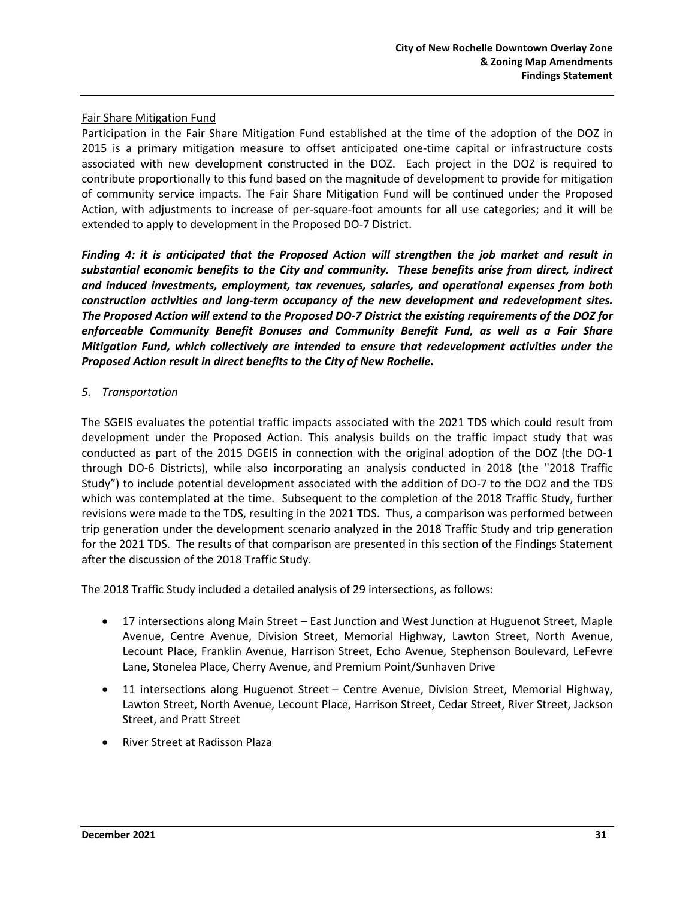#### Fair Share Mitigation Fund

Participation in the Fair Share Mitigation Fund established at the time of the adoption of the DOZ in 2015 is a primary mitigation measure to offset anticipated one-time capital or infrastructure costs associated with new development constructed in the DOZ. Each project in the DOZ is required to contribute proportionally to this fund based on the magnitude of development to provide for mitigation of community service impacts. The Fair Share Mitigation Fund will be continued under the Proposed Action, with adjustments to increase of per-square-foot amounts for all use categories; and it will be extended to apply to development in the Proposed DO-7 District.

*Finding 4: it is anticipated that the Proposed Action will strengthen the job market and result in substantial economic benefits to the City and community. These benefits arise from direct, indirect and induced investments, employment, tax revenues, salaries, and operational expenses from both construction activities and long-term occupancy of the new development and redevelopment sites. The Proposed Action will extend to the Proposed DO-7 District the existing requirements of the DOZ for enforceable Community Benefit Bonuses and Community Benefit Fund, as well as a Fair Share Mitigation Fund, which collectively are intended to ensure that redevelopment activities under the Proposed Action result in direct benefits to the City of New Rochelle.* 

#### *5. Transportation*

The SGEIS evaluates the potential traffic impacts associated with the 2021 TDS which could result from development under the Proposed Action. This analysis builds on the traffic impact study that was conducted as part of the 2015 DGEIS in connection with the original adoption of the DOZ (the DO-1 through DO-6 Districts), while also incorporating an analysis conducted in 2018 (the "2018 Traffic Study") to include potential development associated with the addition of DO-7 to the DOZ and the TDS which was contemplated at the time. Subsequent to the completion of the 2018 Traffic Study, further revisions were made to the TDS, resulting in the 2021 TDS. Thus, a comparison was performed between trip generation under the development scenario analyzed in the 2018 Traffic Study and trip generation for the 2021 TDS. The results of that comparison are presented in this section of the Findings Statement after the discussion of the 2018 Traffic Study.

The 2018 Traffic Study included a detailed analysis of 29 intersections, as follows:

- 17 intersections along Main Street East Junction and West Junction at Huguenot Street, Maple Avenue, Centre Avenue, Division Street, Memorial Highway, Lawton Street, North Avenue, Lecount Place, Franklin Avenue, Harrison Street, Echo Avenue, Stephenson Boulevard, LeFevre Lane, Stonelea Place, Cherry Avenue, and Premium Point/Sunhaven Drive
- 11 intersections along Huguenot Street Centre Avenue, Division Street, Memorial Highway, Lawton Street, North Avenue, Lecount Place, Harrison Street, Cedar Street, River Street, Jackson Street, and Pratt Street
- River Street at Radisson Plaza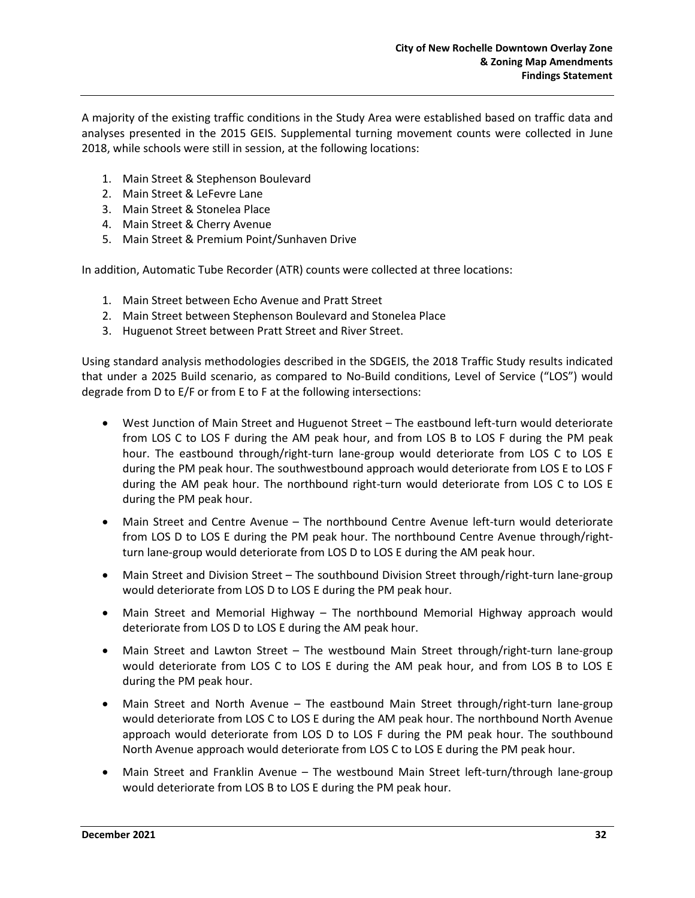A majority of the existing traffic conditions in the Study Area were established based on traffic data and analyses presented in the 2015 GEIS. Supplemental turning movement counts were collected in June 2018, while schools were still in session, at the following locations:

- 1. Main Street & Stephenson Boulevard
- 2. Main Street & LeFevre Lane
- 3. Main Street & Stonelea Place
- 4. Main Street & Cherry Avenue
- 5. Main Street & Premium Point/Sunhaven Drive

In addition, Automatic Tube Recorder (ATR) counts were collected at three locations:

- 1. Main Street between Echo Avenue and Pratt Street
- 2. Main Street between Stephenson Boulevard and Stonelea Place
- 3. Huguenot Street between Pratt Street and River Street.

Using standard analysis methodologies described in the SDGEIS, the 2018 Traffic Study results indicated that under a 2025 Build scenario, as compared to No-Build conditions, Level of Service ("LOS") would degrade from D to E/F or from E to F at the following intersections:

- West Junction of Main Street and Huguenot Street The eastbound left-turn would deteriorate from LOS C to LOS F during the AM peak hour, and from LOS B to LOS F during the PM peak hour. The eastbound through/right-turn lane-group would deteriorate from LOS C to LOS E during the PM peak hour. The southwestbound approach would deteriorate from LOS E to LOS F during the AM peak hour. The northbound right-turn would deteriorate from LOS C to LOS E during the PM peak hour.
- Main Street and Centre Avenue The northbound Centre Avenue left-turn would deteriorate from LOS D to LOS E during the PM peak hour. The northbound Centre Avenue through/rightturn lane-group would deteriorate from LOS D to LOS E during the AM peak hour.
- Main Street and Division Street The southbound Division Street through/right-turn lane-group would deteriorate from LOS D to LOS E during the PM peak hour.
- Main Street and Memorial Highway The northbound Memorial Highway approach would deteriorate from LOS D to LOS E during the AM peak hour.
- Main Street and Lawton Street The westbound Main Street through/right-turn lane-group would deteriorate from LOS C to LOS E during the AM peak hour, and from LOS B to LOS E during the PM peak hour.
- Main Street and North Avenue The eastbound Main Street through/right-turn lane-group would deteriorate from LOS C to LOS E during the AM peak hour. The northbound North Avenue approach would deteriorate from LOS D to LOS F during the PM peak hour. The southbound North Avenue approach would deteriorate from LOS C to LOS E during the PM peak hour.
- Main Street and Franklin Avenue The westbound Main Street left-turn/through lane-group would deteriorate from LOS B to LOS E during the PM peak hour.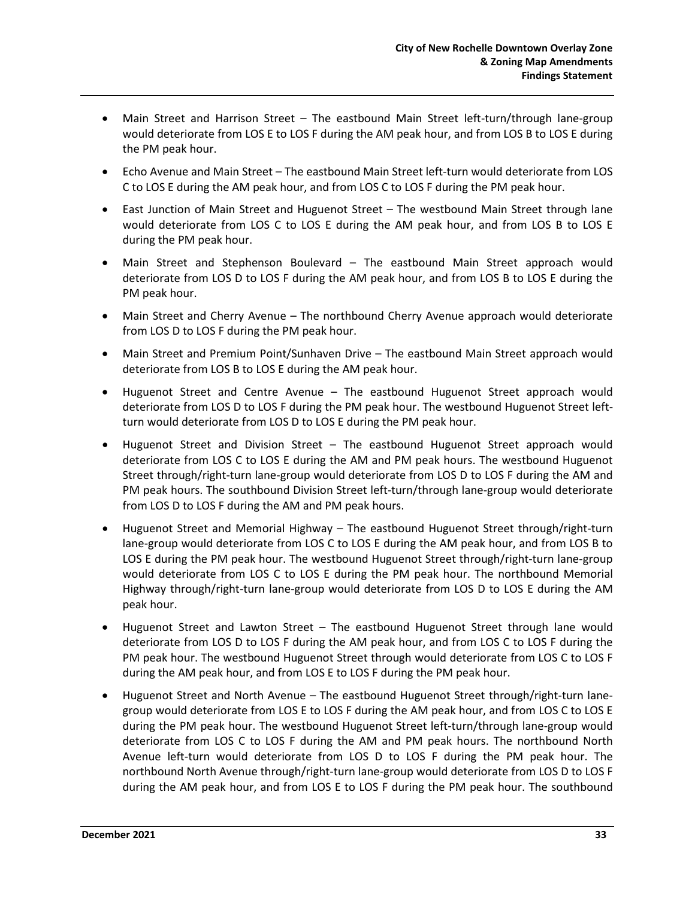- Main Street and Harrison Street The eastbound Main Street left-turn/through lane-group would deteriorate from LOS E to LOS F during the AM peak hour, and from LOS B to LOS E during the PM peak hour.
- Echo Avenue and Main Street The eastbound Main Street left-turn would deteriorate from LOS C to LOS E during the AM peak hour, and from LOS C to LOS F during the PM peak hour.
- East Junction of Main Street and Huguenot Street The westbound Main Street through lane would deteriorate from LOS C to LOS E during the AM peak hour, and from LOS B to LOS E during the PM peak hour.
- Main Street and Stephenson Boulevard The eastbound Main Street approach would deteriorate from LOS D to LOS F during the AM peak hour, and from LOS B to LOS E during the PM peak hour.
- Main Street and Cherry Avenue The northbound Cherry Avenue approach would deteriorate from LOS D to LOS F during the PM peak hour.
- Main Street and Premium Point/Sunhaven Drive The eastbound Main Street approach would deteriorate from LOS B to LOS E during the AM peak hour.
- Huguenot Street and Centre Avenue The eastbound Huguenot Street approach would deteriorate from LOS D to LOS F during the PM peak hour. The westbound Huguenot Street leftturn would deteriorate from LOS D to LOS E during the PM peak hour.
- Huguenot Street and Division Street The eastbound Huguenot Street approach would deteriorate from LOS C to LOS E during the AM and PM peak hours. The westbound Huguenot Street through/right-turn lane-group would deteriorate from LOS D to LOS F during the AM and PM peak hours. The southbound Division Street left-turn/through lane-group would deteriorate from LOS D to LOS F during the AM and PM peak hours.
- Huguenot Street and Memorial Highway The eastbound Huguenot Street through/right-turn lane-group would deteriorate from LOS C to LOS E during the AM peak hour, and from LOS B to LOS E during the PM peak hour. The westbound Huguenot Street through/right-turn lane-group would deteriorate from LOS C to LOS E during the PM peak hour. The northbound Memorial Highway through/right-turn lane-group would deteriorate from LOS D to LOS E during the AM peak hour.
- Huguenot Street and Lawton Street The eastbound Huguenot Street through lane would deteriorate from LOS D to LOS F during the AM peak hour, and from LOS C to LOS F during the PM peak hour. The westbound Huguenot Street through would deteriorate from LOS C to LOS F during the AM peak hour, and from LOS E to LOS F during the PM peak hour.
- Huguenot Street and North Avenue The eastbound Huguenot Street through/right-turn lanegroup would deteriorate from LOS E to LOS F during the AM peak hour, and from LOS C to LOS E during the PM peak hour. The westbound Huguenot Street left-turn/through lane-group would deteriorate from LOS C to LOS F during the AM and PM peak hours. The northbound North Avenue left-turn would deteriorate from LOS D to LOS F during the PM peak hour. The northbound North Avenue through/right-turn lane-group would deteriorate from LOS D to LOS F during the AM peak hour, and from LOS E to LOS F during the PM peak hour. The southbound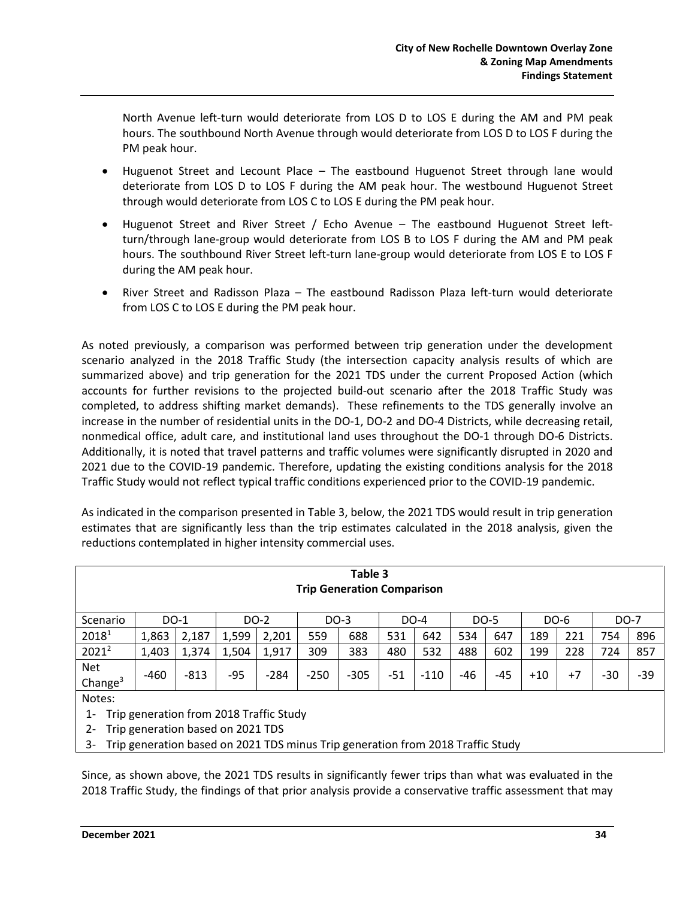North Avenue left-turn would deteriorate from LOS D to LOS E during the AM and PM peak hours. The southbound North Avenue through would deteriorate from LOS D to LOS F during the PM peak hour.

- Huguenot Street and Lecount Place The eastbound Huguenot Street through lane would deteriorate from LOS D to LOS F during the AM peak hour. The westbound Huguenot Street through would deteriorate from LOS C to LOS E during the PM peak hour.
- Huguenot Street and River Street / Echo Avenue The eastbound Huguenot Street leftturn/through lane-group would deteriorate from LOS B to LOS F during the AM and PM peak hours. The southbound River Street left-turn lane-group would deteriorate from LOS E to LOS F during the AM peak hour.
- River Street and Radisson Plaza The eastbound Radisson Plaza left-turn would deteriorate from LOS C to LOS E during the PM peak hour.

As noted previously, a comparison was performed between trip generation under the development scenario analyzed in the 2018 Traffic Study (the intersection capacity analysis results of which are summarized above) and trip generation for the 2021 TDS under the current Proposed Action (which accounts for further revisions to the projected build-out scenario after the 2018 Traffic Study was completed, to address shifting market demands). These refinements to the TDS generally involve an increase in the number of residential units in the DO-1, DO-2 and DO-4 Districts, while decreasing retail, nonmedical office, adult care, and institutional land uses throughout the DO-1 through DO-6 Districts. Additionally, it is noted that travel patterns and traffic volumes were significantly disrupted in 2020 and 2021 due to the COVID-19 pandemic. Therefore, updating the existing conditions analysis for the 2018 Traffic Study would not reflect typical traffic conditions experienced prior to the COVID-19 pandemic.

As indicated in the comparison presented in Table 3, below, the 2021 TDS would result in trip generation estimates that are significantly less than the trip estimates calculated in the 2018 analysis, given the reductions contemplated in higher intensity commercial uses.

| Table 3<br><b>Trip Generation Comparison</b>                                                      |        |        |       |        |        |        |     |        |     |      |       |      |     |       |  |
|---------------------------------------------------------------------------------------------------|--------|--------|-------|--------|--------|--------|-----|--------|-----|------|-------|------|-----|-------|--|
| Scenario                                                                                          | DO-1   |        |       | DO-2   |        | DO-3   |     | DO-4   |     | DO-5 |       | DO-6 |     | DO-7  |  |
| 20181                                                                                             | 1,863  | 2,187  | 1,599 | 2,201  | 559    | 688    | 531 | 642    | 534 | 647  | 189   | 221  | 754 | 896   |  |
| $2021^2$                                                                                          | 1,403  | 1,374  | 1,504 | 1,917  | 309    | 383    | 480 | 532    | 488 | 602  | 199   | 228  | 724 | 857   |  |
| Net<br>Change $3$                                                                                 | $-460$ | $-813$ | $-95$ | $-284$ | $-250$ | $-305$ | -51 | $-110$ | -46 | -45  | $+10$ | $+7$ | -30 | $-39$ |  |
| Notes:<br>Trip generation from 2018 Traffic Study<br>1-<br>Trin generation based on 2021 TDC<br>ີ |        |        |       |        |        |        |     |        |     |      |       |      |     |       |  |

- 2- Trip generation based on 2021 TDS
- 3- Trip generation based on 2021 TDS minus Trip generation from 2018 Traffic Study

Since, as shown above, the 2021 TDS results in significantly fewer trips than what was evaluated in the 2018 Traffic Study, the findings of that prior analysis provide a conservative traffic assessment that may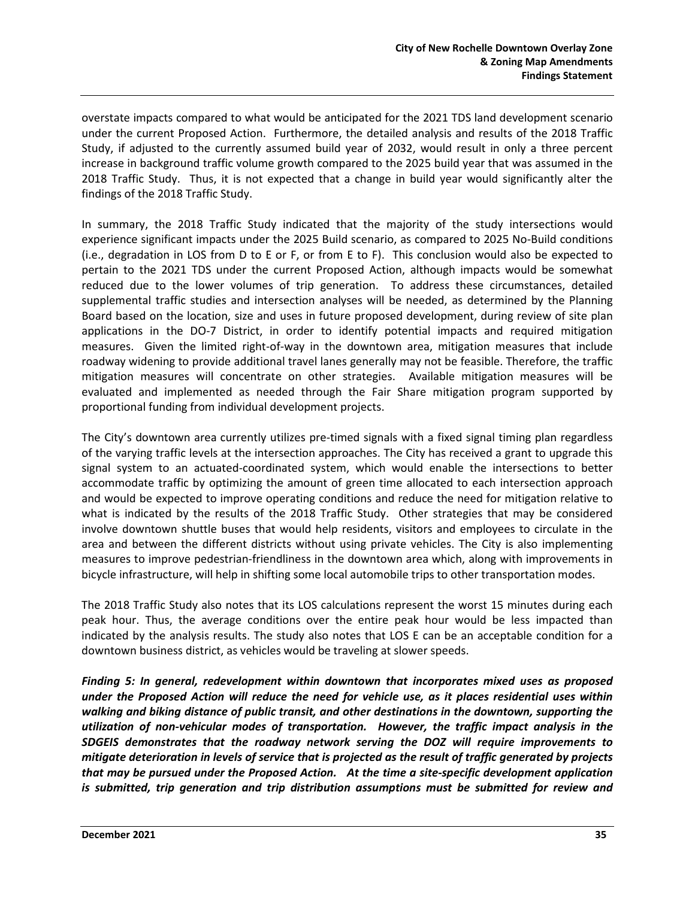overstate impacts compared to what would be anticipated for the 2021 TDS land development scenario under the current Proposed Action. Furthermore, the detailed analysis and results of the 2018 Traffic Study, if adjusted to the currently assumed build year of 2032, would result in only a three percent increase in background traffic volume growth compared to the 2025 build year that was assumed in the 2018 Traffic Study. Thus, it is not expected that a change in build year would significantly alter the findings of the 2018 Traffic Study.

In summary, the 2018 Traffic Study indicated that the majority of the study intersections would experience significant impacts under the 2025 Build scenario, as compared to 2025 No-Build conditions (i.e., degradation in LOS from D to E or F, or from E to F). This conclusion would also be expected to pertain to the 2021 TDS under the current Proposed Action, although impacts would be somewhat reduced due to the lower volumes of trip generation. To address these circumstances, detailed supplemental traffic studies and intersection analyses will be needed, as determined by the Planning Board based on the location, size and uses in future proposed development, during review of site plan applications in the DO-7 District, in order to identify potential impacts and required mitigation measures. Given the limited right-of-way in the downtown area, mitigation measures that include roadway widening to provide additional travel lanes generally may not be feasible. Therefore, the traffic mitigation measures will concentrate on other strategies. Available mitigation measures will be evaluated and implemented as needed through the Fair Share mitigation program supported by proportional funding from individual development projects.

The City's downtown area currently utilizes pre-timed signals with a fixed signal timing plan regardless of the varying traffic levels at the intersection approaches. The City has received a grant to upgrade this signal system to an actuated-coordinated system, which would enable the intersections to better accommodate traffic by optimizing the amount of green time allocated to each intersection approach and would be expected to improve operating conditions and reduce the need for mitigation relative to what is indicated by the results of the 2018 Traffic Study. Other strategies that may be considered involve downtown shuttle buses that would help residents, visitors and employees to circulate in the area and between the different districts without using private vehicles. The City is also implementing measures to improve pedestrian-friendliness in the downtown area which, along with improvements in bicycle infrastructure, will help in shifting some local automobile trips to other transportation modes.

The 2018 Traffic Study also notes that its LOS calculations represent the worst 15 minutes during each peak hour. Thus, the average conditions over the entire peak hour would be less impacted than indicated by the analysis results. The study also notes that LOS E can be an acceptable condition for a downtown business district, as vehicles would be traveling at slower speeds.

*Finding 5: In general, redevelopment within downtown that incorporates mixed uses as proposed under the Proposed Action will reduce the need for vehicle use, as it places residential uses within walking and biking distance of public transit, and other destinations in the downtown, supporting the utilization of non-vehicular modes of transportation. However, the traffic impact analysis in the SDGEIS demonstrates that the roadway network serving the DOZ will require improvements to mitigate deterioration in levels of service that is projected as the result of traffic generated by projects that may be pursued under the Proposed Action. At the time a site-specific development application is submitted, trip generation and trip distribution assumptions must be submitted for review and*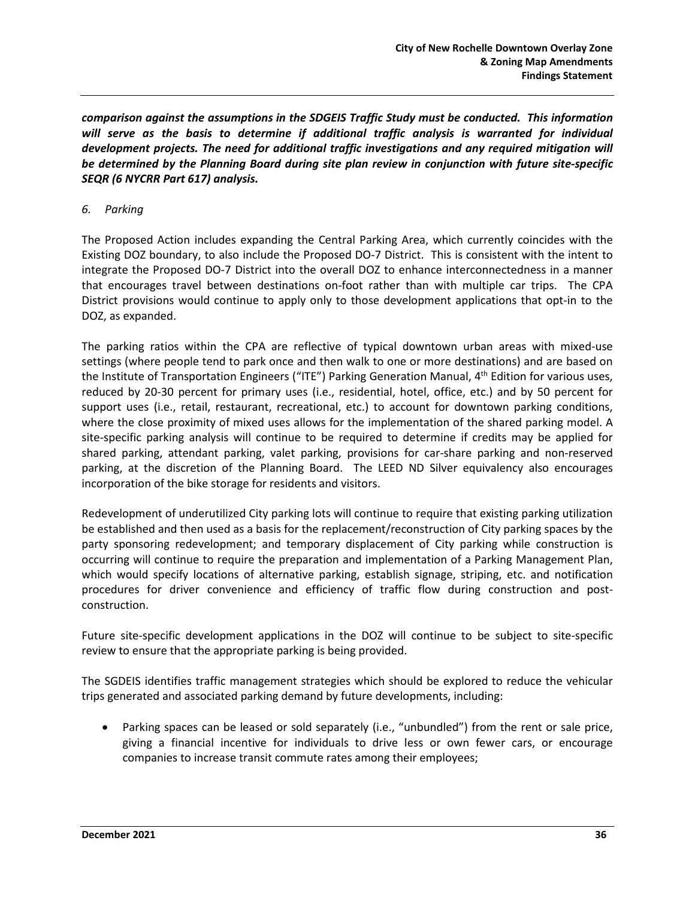*comparison against the assumptions in the SDGEIS Traffic Study must be conducted. This information will serve as the basis to determine if additional traffic analysis is warranted for individual development projects. The need for additional traffic investigations and any required mitigation will be determined by the Planning Board during site plan review in conjunction with future site-specific SEQR (6 NYCRR Part 617) analysis.*

#### *6. Parking*

The Proposed Action includes expanding the Central Parking Area, which currently coincides with the Existing DOZ boundary, to also include the Proposed DO-7 District. This is consistent with the intent to integrate the Proposed DO-7 District into the overall DOZ to enhance interconnectedness in a manner that encourages travel between destinations on-foot rather than with multiple car trips. The CPA District provisions would continue to apply only to those development applications that opt-in to the DOZ, as expanded.

The parking ratios within the CPA are reflective of typical downtown urban areas with mixed-use settings (where people tend to park once and then walk to one or more destinations) and are based on the Institute of Transportation Engineers ("ITE") Parking Generation Manual, 4<sup>th</sup> Edition for various uses, reduced by 20-30 percent for primary uses (i.e., residential, hotel, office, etc.) and by 50 percent for support uses (i.e., retail, restaurant, recreational, etc.) to account for downtown parking conditions, where the close proximity of mixed uses allows for the implementation of the shared parking model. A site-specific parking analysis will continue to be required to determine if credits may be applied for shared parking, attendant parking, valet parking, provisions for car-share parking and non-reserved parking, at the discretion of the Planning Board. The LEED ND Silver equivalency also encourages incorporation of the bike storage for residents and visitors.

Redevelopment of underutilized City parking lots will continue to require that existing parking utilization be established and then used as a basis for the replacement/reconstruction of City parking spaces by the party sponsoring redevelopment; and temporary displacement of City parking while construction is occurring will continue to require the preparation and implementation of a Parking Management Plan, which would specify locations of alternative parking, establish signage, striping, etc. and notification procedures for driver convenience and efficiency of traffic flow during construction and postconstruction.

Future site-specific development applications in the DOZ will continue to be subject to site-specific review to ensure that the appropriate parking is being provided.

The SGDEIS identifies traffic management strategies which should be explored to reduce the vehicular trips generated and associated parking demand by future developments, including:

Parking spaces can be leased or sold separately (i.e., "unbundled") from the rent or sale price, giving a financial incentive for individuals to drive less or own fewer cars, or encourage companies to increase transit commute rates among their employees;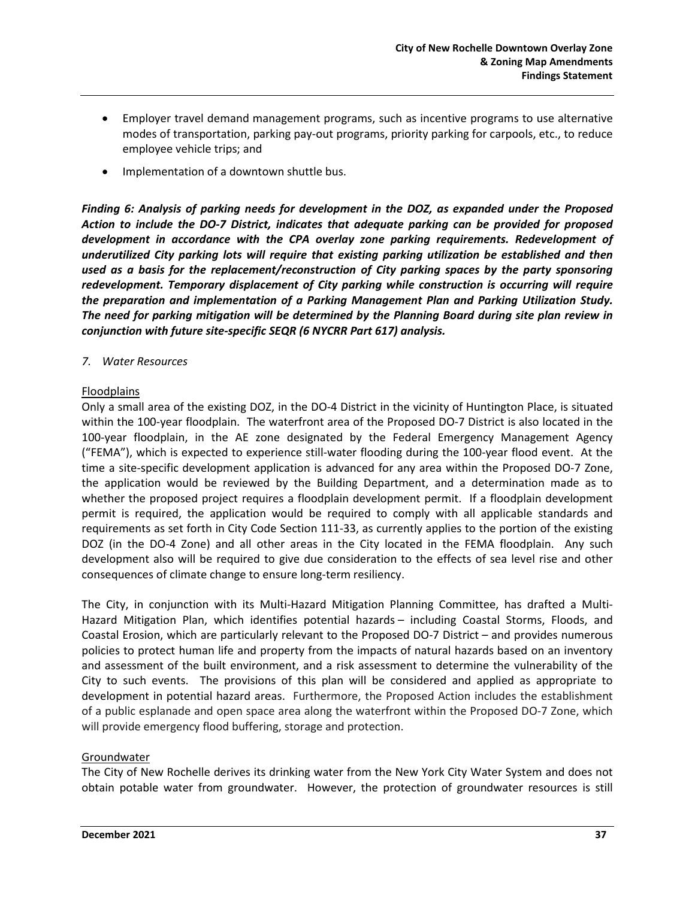- Employer travel demand management programs, such as incentive programs to use alternative modes of transportation, parking pay-out programs, priority parking for carpools, etc., to reduce employee vehicle trips; and
- Implementation of a downtown shuttle bus.

*Finding 6: Analysis of parking needs for development in the DOZ, as expanded under the Proposed Action to include the DO-7 District, indicates that adequate parking can be provided for proposed development in accordance with the CPA overlay zone parking requirements. Redevelopment of underutilized City parking lots will require that existing parking utilization be established and then used as a basis for the replacement/reconstruction of City parking spaces by the party sponsoring redevelopment. Temporary displacement of City parking while construction is occurring will require the preparation and implementation of a Parking Management Plan and Parking Utilization Study. The need for parking mitigation will be determined by the Planning Board during site plan review in conjunction with future site-specific SEQR (6 NYCRR Part 617) analysis.*

#### *7. Water Resources*

#### Floodplains

Only a small area of the existing DOZ, in the DO-4 District in the vicinity of Huntington Place, is situated within the 100-year floodplain. The waterfront area of the Proposed DO-7 District is also located in the 100-year floodplain, in the AE zone designated by the Federal Emergency Management Agency ("FEMA"), which is expected to experience still-water flooding during the 100-year flood event. At the time a site-specific development application is advanced for any area within the Proposed DO-7 Zone, the application would be reviewed by the Building Department, and a determination made as to whether the proposed project requires a floodplain development permit. If a floodplain development permit is required, the application would be required to comply with all applicable standards and requirements as set forth in City Code Section 111-33, as currently applies to the portion of the existing DOZ (in the DO-4 Zone) and all other areas in the City located in the FEMA floodplain. Any such development also will be required to give due consideration to the effects of sea level rise and other consequences of climate change to ensure long-term resiliency.

The City, in conjunction with its Multi-Hazard Mitigation Planning Committee, has drafted a Multi-Hazard Mitigation Plan, which identifies potential hazards – including Coastal Storms, Floods, and Coastal Erosion, which are particularly relevant to the Proposed DO-7 District – and provides numerous policies to protect human life and property from the impacts of natural hazards based on an inventory and assessment of the built environment, and a risk assessment to determine the vulnerability of the City to such events. The provisions of this plan will be considered and applied as appropriate to development in potential hazard areas. Furthermore, the Proposed Action includes the establishment of a public esplanade and open space area along the waterfront within the Proposed DO-7 Zone, which will provide emergency flood buffering, storage and protection.

### Groundwater

The City of New Rochelle derives its drinking water from the New York City Water System and does not obtain potable water from groundwater. However, the protection of groundwater resources is still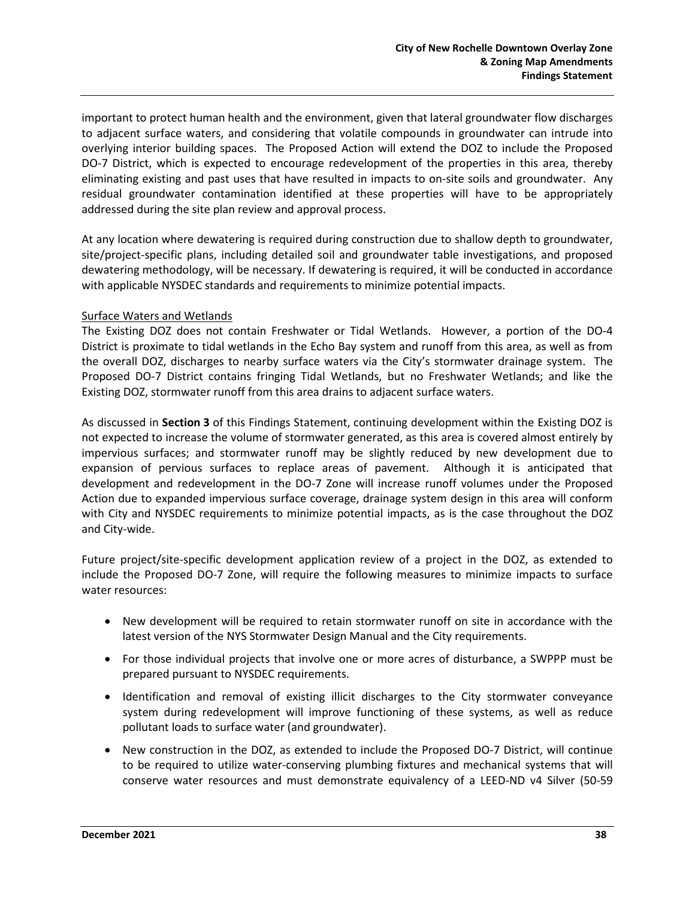important to protect human health and the environment, given that lateral groundwater flow discharges to adjacent surface waters, and considering that volatile compounds in groundwater can intrude into overlying interior building spaces. The Proposed Action will extend the DOZ to include the Proposed DO-7 District, which is expected to encourage redevelopment of the properties in this area, thereby eliminating existing and past uses that have resulted in impacts to on-site soils and groundwater. Any residual groundwater contamination identified at these properties will have to be appropriately addressed during the site plan review and approval process.

At any location where dewatering is required during construction due to shallow depth to groundwater, site/project-specific plans, including detailed soil and groundwater table investigations, and proposed dewatering methodology, will be necessary. If dewatering is required, it will be conducted in accordance with applicable NYSDEC standards and requirements to minimize potential impacts.

#### Surface Waters and Wetlands

The Existing DOZ does not contain Freshwater or Tidal Wetlands. However, a portion of the DO-4 District is proximate to tidal wetlands in the Echo Bay system and runoff from this area, as well as from the overall DOZ, discharges to nearby surface waters via the City's stormwater drainage system. The Proposed DO-7 District contains fringing Tidal Wetlands, but no Freshwater Wetlands; and like the Existing DOZ, stormwater runoff from this area drains to adjacent surface waters.

As discussed in **Section 3** of this Findings Statement, continuing development within the Existing DOZ is not expected to increase the volume of stormwater generated, as this area is covered almost entirely by impervious surfaces; and stormwater runoff may be slightly reduced by new development due to expansion of pervious surfaces to replace areas of pavement. Although it is anticipated that development and redevelopment in the DO-7 Zone will increase runoff volumes under the Proposed Action due to expanded impervious surface coverage, drainage system design in this area will conform with City and NYSDEC requirements to minimize potential impacts, as is the case throughout the DOZ and City-wide.

Future project/site-specific development application review of a project in the DOZ, as extended to include the Proposed DO-7 Zone, will require the following measures to minimize impacts to surface water resources:

- New development will be required to retain stormwater runoff on site in accordance with the latest version of the NYS Stormwater Design Manual and the City requirements.
- For those individual projects that involve one or more acres of disturbance, a SWPPP must be prepared pursuant to NYSDEC requirements.
- Identification and removal of existing illicit discharges to the City stormwater conveyance system during redevelopment will improve functioning of these systems, as well as reduce pollutant loads to surface water (and groundwater).
- New construction in the DOZ, as extended to include the Proposed DO-7 District, will continue to be required to utilize water-conserving plumbing fixtures and mechanical systems that will conserve water resources and must demonstrate equivalency of a LEED-ND v4 Silver (50-59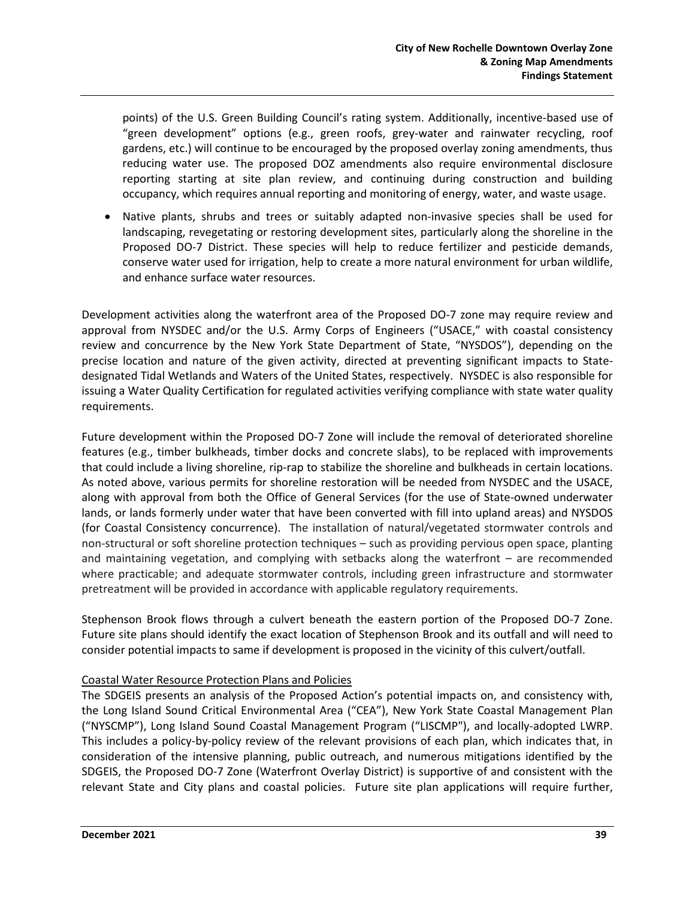points) of the U.S. Green Building Council's rating system. Additionally, incentive-based use of "green development" options (e.g., green roofs, grey-water and rainwater recycling, roof gardens, etc.) will continue to be encouraged by the proposed overlay zoning amendments, thus reducing water use. The proposed DOZ amendments also require environmental disclosure reporting starting at site plan review, and continuing during construction and building occupancy, which requires annual reporting and monitoring of energy, water, and waste usage.

• Native plants, shrubs and trees or suitably adapted non-invasive species shall be used for landscaping, revegetating or restoring development sites, particularly along the shoreline in the Proposed DO-7 District. These species will help to reduce fertilizer and pesticide demands, conserve water used for irrigation, help to create a more natural environment for urban wildlife, and enhance surface water resources.

Development activities along the waterfront area of the Proposed DO-7 zone may require review and approval from NYSDEC and/or the U.S. Army Corps of Engineers ("USACE," with coastal consistency review and concurrence by the New York State Department of State, "NYSDOS"), depending on the precise location and nature of the given activity, directed at preventing significant impacts to Statedesignated Tidal Wetlands and Waters of the United States, respectively. NYSDEC is also responsible for issuing a Water Quality Certification for regulated activities verifying compliance with state water quality requirements.

Future development within the Proposed DO-7 Zone will include the removal of deteriorated shoreline features (e.g., timber bulkheads, timber docks and concrete slabs), to be replaced with improvements that could include a living shoreline, rip-rap to stabilize the shoreline and bulkheads in certain locations. As noted above, various permits for shoreline restoration will be needed from NYSDEC and the USACE, along with approval from both the Office of General Services (for the use of State-owned underwater lands, or lands formerly under water that have been converted with fill into upland areas) and NYSDOS (for Coastal Consistency concurrence). The installation of natural/vegetated stormwater controls and non-structural or soft shoreline protection techniques – such as providing pervious open space, planting and maintaining vegetation, and complying with setbacks along the waterfront – are recommended where practicable; and adequate stormwater controls, including green infrastructure and stormwater pretreatment will be provided in accordance with applicable regulatory requirements.

Stephenson Brook flows through a culvert beneath the eastern portion of the Proposed DO-7 Zone. Future site plans should identify the exact location of Stephenson Brook and its outfall and will need to consider potential impacts to same if development is proposed in the vicinity of this culvert/outfall.

### Coastal Water Resource Protection Plans and Policies

The SDGEIS presents an analysis of the Proposed Action's potential impacts on, and consistency with, the Long Island Sound Critical Environmental Area ("CEA"), New York State Coastal Management Plan ("NYSCMP"), Long Island Sound Coastal Management Program ("LISCMP"), and locally-adopted LWRP. This includes a policy-by-policy review of the relevant provisions of each plan, which indicates that, in consideration of the intensive planning, public outreach, and numerous mitigations identified by the SDGEIS, the Proposed DO-7 Zone (Waterfront Overlay District) is supportive of and consistent with the relevant State and City plans and coastal policies. Future site plan applications will require further,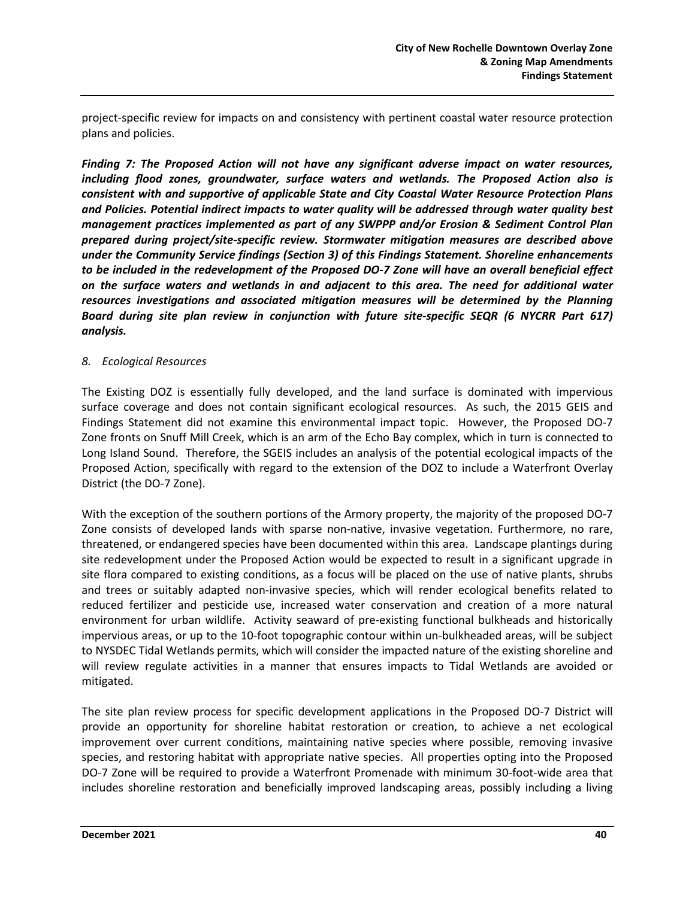project-specific review for impacts on and consistency with pertinent coastal water resource protection plans and policies.

*Finding 7: The Proposed Action will not have any significant adverse impact on water resources, including flood zones, groundwater, surface waters and wetlands. The Proposed Action also is consistent with and supportive of applicable State and City Coastal Water Resource Protection Plans and Policies. Potential indirect impacts to water quality will be addressed through water quality best management practices implemented as part of any SWPPP and/or Erosion & Sediment Control Plan prepared during project/site-specific review. Stormwater mitigation measures are described above under the Community Service findings (Section 3) of this Findings Statement. Shoreline enhancements to be included in the redevelopment of the Proposed DO-7 Zone will have an overall beneficial effect on the surface waters and wetlands in and adjacent to this area. The need for additional water resources investigations and associated mitigation measures will be determined by the Planning Board during site plan review in conjunction with future site-specific SEQR (6 NYCRR Part 617) analysis.*

#### *8. Ecological Resources*

The Existing DOZ is essentially fully developed, and the land surface is dominated with impervious surface coverage and does not contain significant ecological resources. As such, the 2015 GEIS and Findings Statement did not examine this environmental impact topic. However, the Proposed DO-7 Zone fronts on Snuff Mill Creek, which is an arm of the Echo Bay complex, which in turn is connected to Long Island Sound. Therefore, the SGEIS includes an analysis of the potential ecological impacts of the Proposed Action, specifically with regard to the extension of the DOZ to include a Waterfront Overlay District (the DO-7 Zone).

With the exception of the southern portions of the Armory property, the majority of the proposed DO-7 Zone consists of developed lands with sparse non-native, invasive vegetation. Furthermore, no rare, threatened, or endangered species have been documented within this area. Landscape plantings during site redevelopment under the Proposed Action would be expected to result in a significant upgrade in site flora compared to existing conditions, as a focus will be placed on the use of native plants, shrubs and trees or suitably adapted non-invasive species, which will render ecological benefits related to reduced fertilizer and pesticide use, increased water conservation and creation of a more natural environment for urban wildlife. Activity seaward of pre-existing functional bulkheads and historically impervious areas, or up to the 10-foot topographic contour within un-bulkheaded areas, will be subject to NYSDEC Tidal Wetlands permits, which will consider the impacted nature of the existing shoreline and will review regulate activities in a manner that ensures impacts to Tidal Wetlands are avoided or mitigated.

The site plan review process for specific development applications in the Proposed DO-7 District will provide an opportunity for shoreline habitat restoration or creation, to achieve a net ecological improvement over current conditions, maintaining native species where possible, removing invasive species, and restoring habitat with appropriate native species. All properties opting into the Proposed DO-7 Zone will be required to provide a Waterfront Promenade with minimum 30-foot-wide area that includes shoreline restoration and beneficially improved landscaping areas, possibly including a living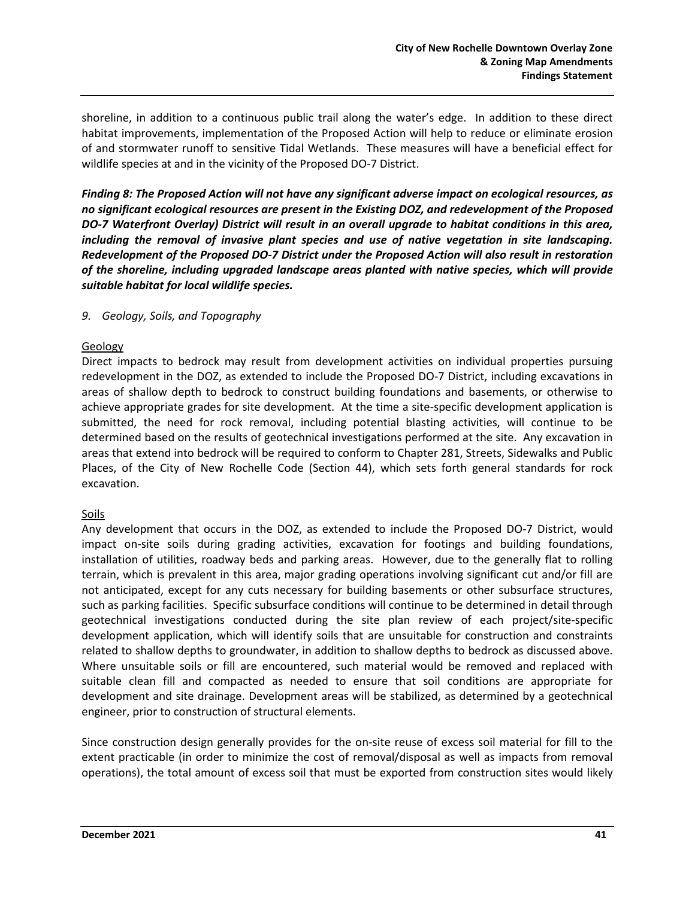shoreline, in addition to a continuous public trail along the water's edge. In addition to these direct habitat improvements, implementation of the Proposed Action will help to reduce or eliminate erosion of and stormwater runoff to sensitive Tidal Wetlands. These measures will have a beneficial effect for wildlife species at and in the vicinity of the Proposed DO-7 District.

*Finding 8: The Proposed Action will not have any significant adverse impact on ecological resources, as no significant ecological resources are present in the Existing DOZ, and redevelopment of the Proposed DO-7 Waterfront Overlay) District will result in an overall upgrade to habitat conditions in this area, including the removal of invasive plant species and use of native vegetation in site landscaping. Redevelopment of the Proposed DO-7 District under the Proposed Action will also result in restoration of the shoreline, including upgraded landscape areas planted with native species, which will provide suitable habitat for local wildlife species.*

#### *9. Geology, Soils, and Topography*

#### Geology

Direct impacts to bedrock may result from development activities on individual properties pursuing redevelopment in the DOZ, as extended to include the Proposed DO-7 District, including excavations in areas of shallow depth to bedrock to construct building foundations and basements, or otherwise to achieve appropriate grades for site development. At the time a site-specific development application is submitted, the need for rock removal, including potential blasting activities, will continue to be determined based on the results of geotechnical investigations performed at the site. Any excavation in areas that extend into bedrock will be required to conform to Chapter 281, Streets, Sidewalks and Public Places, of the City of New Rochelle Code (Section 44), which sets forth general standards for rock excavation.

#### Soils

Any development that occurs in the DOZ, as extended to include the Proposed DO-7 District, would impact on-site soils during grading activities, excavation for footings and building foundations, installation of utilities, roadway beds and parking areas. However, due to the generally flat to rolling terrain, which is prevalent in this area, major grading operations involving significant cut and/or fill are not anticipated, except for any cuts necessary for building basements or other subsurface structures, such as parking facilities. Specific subsurface conditions will continue to be determined in detail through geotechnical investigations conducted during the site plan review of each project/site-specific development application, which will identify soils that are unsuitable for construction and constraints related to shallow depths to groundwater, in addition to shallow depths to bedrock as discussed above. Where unsuitable soils or fill are encountered, such material would be removed and replaced with suitable clean fill and compacted as needed to ensure that soil conditions are appropriate for development and site drainage. Development areas will be stabilized, as determined by a geotechnical engineer, prior to construction of structural elements.

Since construction design generally provides for the on-site reuse of excess soil material for fill to the extent practicable (in order to minimize the cost of removal/disposal as well as impacts from removal operations), the total amount of excess soil that must be exported from construction sites would likely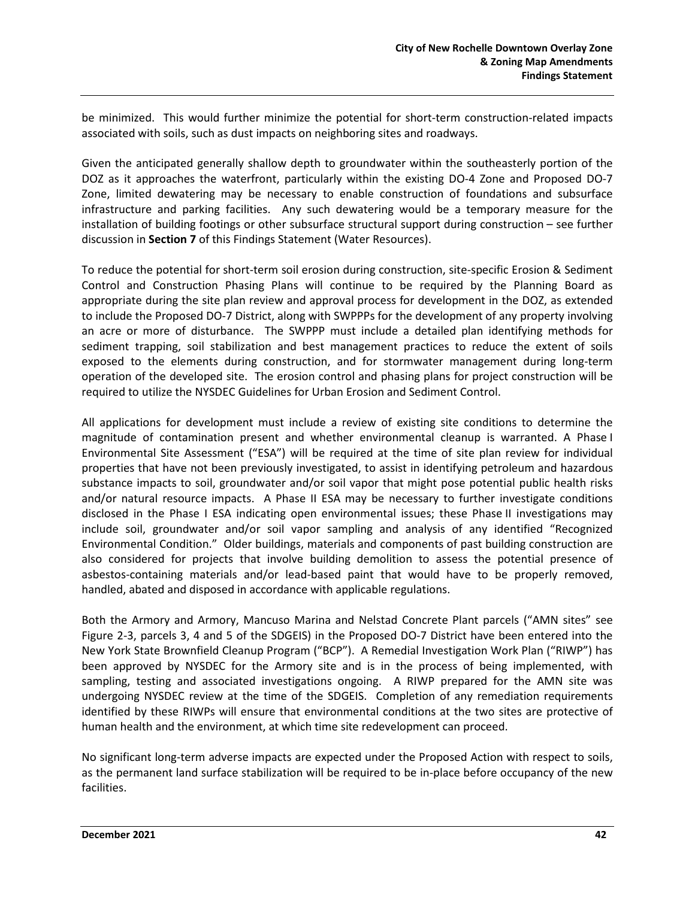be minimized. This would further minimize the potential for short-term construction-related impacts associated with soils, such as dust impacts on neighboring sites and roadways.

Given the anticipated generally shallow depth to groundwater within the southeasterly portion of the DOZ as it approaches the waterfront, particularly within the existing DO-4 Zone and Proposed DO-7 Zone, limited dewatering may be necessary to enable construction of foundations and subsurface infrastructure and parking facilities. Any such dewatering would be a temporary measure for the installation of building footings or other subsurface structural support during construction – see further discussion in **Section 7** of this Findings Statement (Water Resources).

To reduce the potential for short-term soil erosion during construction, site-specific Erosion & Sediment Control and Construction Phasing Plans will continue to be required by the Planning Board as appropriate during the site plan review and approval process for development in the DOZ, as extended to include the Proposed DO-7 District, along with SWPPPs for the development of any property involving an acre or more of disturbance. The SWPPP must include a detailed plan identifying methods for sediment trapping, soil stabilization and best management practices to reduce the extent of soils exposed to the elements during construction, and for stormwater management during long-term operation of the developed site. The erosion control and phasing plans for project construction will be required to utilize the NYSDEC Guidelines for Urban Erosion and Sediment Control.

All applications for development must include a review of existing site conditions to determine the magnitude of contamination present and whether environmental cleanup is warranted. A Phase I Environmental Site Assessment ("ESA") will be required at the time of site plan review for individual properties that have not been previously investigated, to assist in identifying petroleum and hazardous substance impacts to soil, groundwater and/or soil vapor that might pose potential public health risks and/or natural resource impacts. A Phase II ESA may be necessary to further investigate conditions disclosed in the Phase I ESA indicating open environmental issues; these Phase II investigations may include soil, groundwater and/or soil vapor sampling and analysis of any identified "Recognized Environmental Condition." Older buildings, materials and components of past building construction are also considered for projects that involve building demolition to assess the potential presence of asbestos-containing materials and/or lead-based paint that would have to be properly removed, handled, abated and disposed in accordance with applicable regulations.

Both the Armory and Armory, Mancuso Marina and Nelstad Concrete Plant parcels ("AMN sites" see Figure 2-3, parcels 3, 4 and 5 of the SDGEIS) in the Proposed DO-7 District have been entered into the New York State Brownfield Cleanup Program ("BCP"). A Remedial Investigation Work Plan ("RIWP") has been approved by NYSDEC for the Armory site and is in the process of being implemented, with sampling, testing and associated investigations ongoing. A RIWP prepared for the AMN site was undergoing NYSDEC review at the time of the SDGEIS. Completion of any remediation requirements identified by these RIWPs will ensure that environmental conditions at the two sites are protective of human health and the environment, at which time site redevelopment can proceed.

No significant long-term adverse impacts are expected under the Proposed Action with respect to soils, as the permanent land surface stabilization will be required to be in-place before occupancy of the new facilities.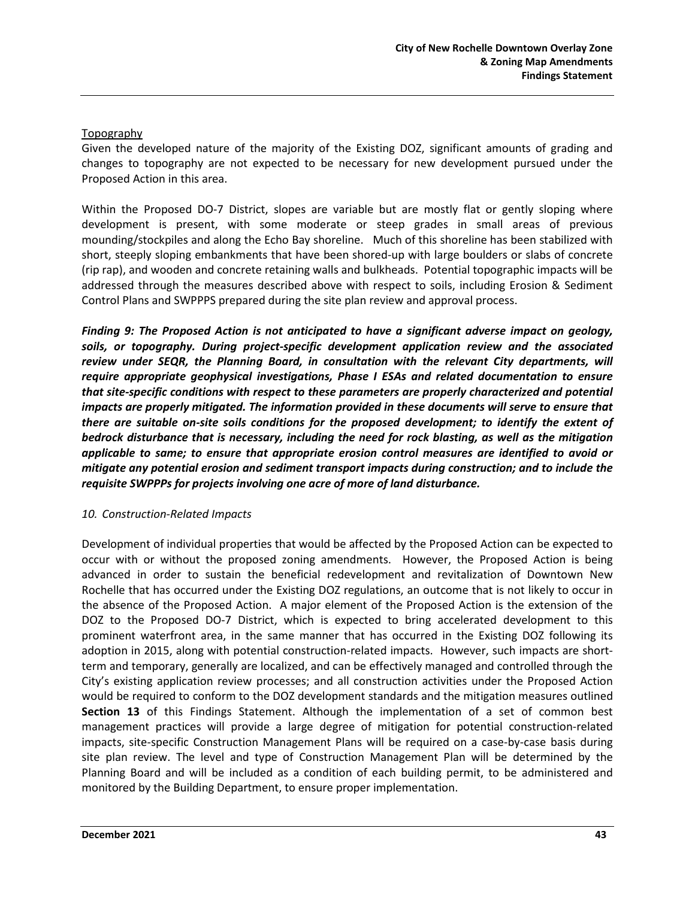## Topography

Given the developed nature of the majority of the Existing DOZ, significant amounts of grading and changes to topography are not expected to be necessary for new development pursued under the Proposed Action in this area.

Within the Proposed DO-7 District, slopes are variable but are mostly flat or gently sloping where development is present, with some moderate or steep grades in small areas of previous mounding/stockpiles and along the Echo Bay shoreline. Much of this shoreline has been stabilized with short, steeply sloping embankments that have been shored-up with large boulders or slabs of concrete (rip rap), and wooden and concrete retaining walls and bulkheads. Potential topographic impacts will be addressed through the measures described above with respect to soils, including Erosion & Sediment Control Plans and SWPPPS prepared during the site plan review and approval process.

*Finding 9: The Proposed Action is not anticipated to have a significant adverse impact on geology, soils, or topography. During project-specific development application review and the associated review under SEQR, the Planning Board, in consultation with the relevant City departments, will require appropriate geophysical investigations, Phase I ESAs and related documentation to ensure that site-specific conditions with respect to these parameters are properly characterized and potential impacts are properly mitigated. The information provided in these documents will serve to ensure that there are suitable on-site soils conditions for the proposed development; to identify the extent of bedrock disturbance that is necessary, including the need for rock blasting, as well as the mitigation applicable to same; to ensure that appropriate erosion control measures are identified to avoid or mitigate any potential erosion and sediment transport impacts during construction; and to include the requisite SWPPPs for projects involving one acre of more of land disturbance.* 

### *10. Construction-Related Impacts*

Development of individual properties that would be affected by the Proposed Action can be expected to occur with or without the proposed zoning amendments. However, the Proposed Action is being advanced in order to sustain the beneficial redevelopment and revitalization of Downtown New Rochelle that has occurred under the Existing DOZ regulations, an outcome that is not likely to occur in the absence of the Proposed Action. A major element of the Proposed Action is the extension of the DOZ to the Proposed DO-7 District, which is expected to bring accelerated development to this prominent waterfront area, in the same manner that has occurred in the Existing DOZ following its adoption in 2015, along with potential construction-related impacts. However, such impacts are shortterm and temporary, generally are localized, and can be effectively managed and controlled through the City's existing application review processes; and all construction activities under the Proposed Action would be required to conform to the DOZ development standards and the mitigation measures outlined **Section 13** of this Findings Statement. Although the implementation of a set of common best management practices will provide a large degree of mitigation for potential construction-related impacts, site-specific Construction Management Plans will be required on a case-by-case basis during site plan review. The level and type of Construction Management Plan will be determined by the Planning Board and will be included as a condition of each building permit, to be administered and monitored by the Building Department, to ensure proper implementation.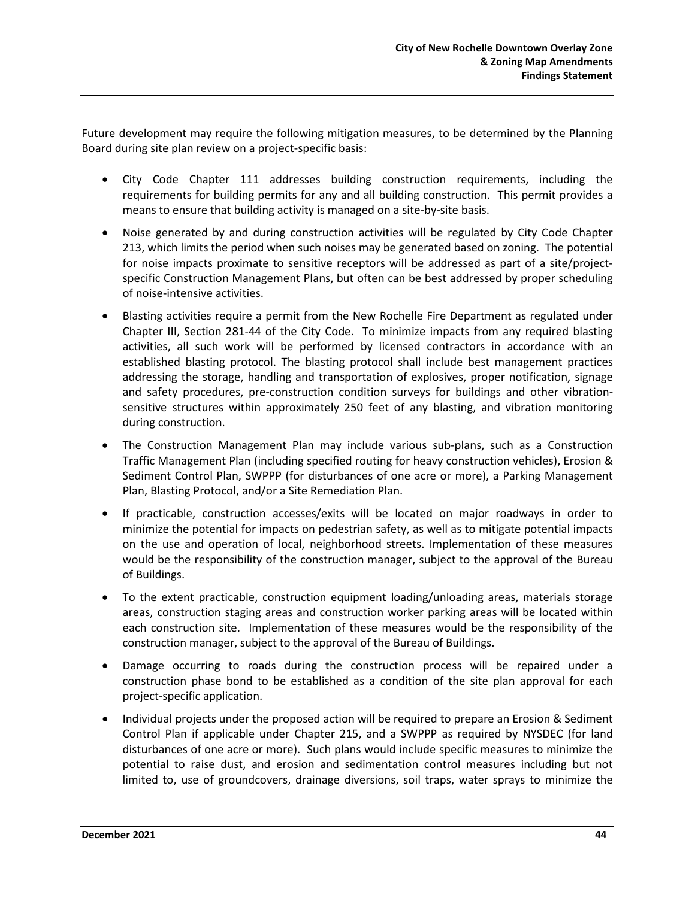Future development may require the following mitigation measures, to be determined by the Planning Board during site plan review on a project-specific basis:

- City Code Chapter 111 addresses building construction requirements, including the requirements for building permits for any and all building construction. This permit provides a means to ensure that building activity is managed on a site-by-site basis.
- Noise generated by and during construction activities will be regulated by City Code Chapter 213, which limits the period when such noises may be generated based on zoning. The potential for noise impacts proximate to sensitive receptors will be addressed as part of a site/projectspecific Construction Management Plans, but often can be best addressed by proper scheduling of noise-intensive activities.
- Blasting activities require a permit from the New Rochelle Fire Department as regulated under Chapter III, Section 281-44 of the City Code. To minimize impacts from any required blasting activities, all such work will be performed by licensed contractors in accordance with an established blasting protocol. The blasting protocol shall include best management practices addressing the storage, handling and transportation of explosives, proper notification, signage and safety procedures, pre-construction condition surveys for buildings and other vibrationsensitive structures within approximately 250 feet of any blasting, and vibration monitoring during construction.
- The Construction Management Plan may include various sub-plans, such as a Construction Traffic Management Plan (including specified routing for heavy construction vehicles), Erosion & Sediment Control Plan, SWPPP (for disturbances of one acre or more), a Parking Management Plan, Blasting Protocol, and/or a Site Remediation Plan.
- If practicable, construction accesses/exits will be located on major roadways in order to minimize the potential for impacts on pedestrian safety, as well as to mitigate potential impacts on the use and operation of local, neighborhood streets. Implementation of these measures would be the responsibility of the construction manager, subject to the approval of the Bureau of Buildings.
- To the extent practicable, construction equipment loading/unloading areas, materials storage areas, construction staging areas and construction worker parking areas will be located within each construction site. Implementation of these measures would be the responsibility of the construction manager, subject to the approval of the Bureau of Buildings.
- Damage occurring to roads during the construction process will be repaired under a construction phase bond to be established as a condition of the site plan approval for each project-specific application.
- Individual projects under the proposed action will be required to prepare an Erosion & Sediment Control Plan if applicable under Chapter 215, and a SWPPP as required by NYSDEC (for land disturbances of one acre or more). Such plans would include specific measures to minimize the potential to raise dust, and erosion and sedimentation control measures including but not limited to, use of groundcovers, drainage diversions, soil traps, water sprays to minimize the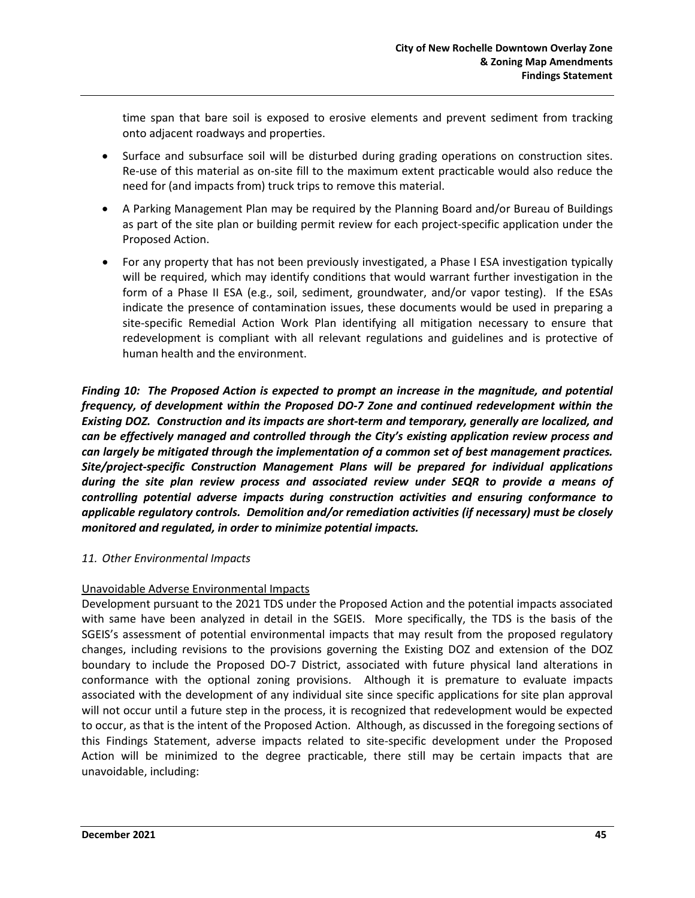time span that bare soil is exposed to erosive elements and prevent sediment from tracking onto adjacent roadways and properties.

- Surface and subsurface soil will be disturbed during grading operations on construction sites. Re-use of this material as on-site fill to the maximum extent practicable would also reduce the need for (and impacts from) truck trips to remove this material.
- A Parking Management Plan may be required by the Planning Board and/or Bureau of Buildings as part of the site plan or building permit review for each project-specific application under the Proposed Action.
- For any property that has not been previously investigated, a Phase I ESA investigation typically will be required, which may identify conditions that would warrant further investigation in the form of a Phase II ESA (e.g., soil, sediment, groundwater, and/or vapor testing). If the ESAs indicate the presence of contamination issues, these documents would be used in preparing a site-specific Remedial Action Work Plan identifying all mitigation necessary to ensure that redevelopment is compliant with all relevant regulations and guidelines and is protective of human health and the environment.

*Finding 10: The Proposed Action is expected to prompt an increase in the magnitude, and potential frequency, of development within the Proposed DO-7 Zone and continued redevelopment within the Existing DOZ. Construction and its impacts are short-term and temporary, generally are localized, and can be effectively managed and controlled through the City's existing application review process and can largely be mitigated through the implementation of a common set of best management practices. Site/project-specific Construction Management Plans will be prepared for individual applications during the site plan review process and associated review under SEQR to provide a means of controlling potential adverse impacts during construction activities and ensuring conformance to applicable regulatory controls. Demolition and/or remediation activities (if necessary) must be closely monitored and regulated, in order to minimize potential impacts.*

### *11. Other Environmental Impacts*

#### Unavoidable Adverse Environmental Impacts

Development pursuant to the 2021 TDS under the Proposed Action and the potential impacts associated with same have been analyzed in detail in the SGEIS. More specifically, the TDS is the basis of the SGEIS's assessment of potential environmental impacts that may result from the proposed regulatory changes, including revisions to the provisions governing the Existing DOZ and extension of the DOZ boundary to include the Proposed DO-7 District, associated with future physical land alterations in conformance with the optional zoning provisions. Although it is premature to evaluate impacts associated with the development of any individual site since specific applications for site plan approval will not occur until a future step in the process, it is recognized that redevelopment would be expected to occur, as that is the intent of the Proposed Action. Although, as discussed in the foregoing sections of this Findings Statement, adverse impacts related to site-specific development under the Proposed Action will be minimized to the degree practicable, there still may be certain impacts that are unavoidable, including: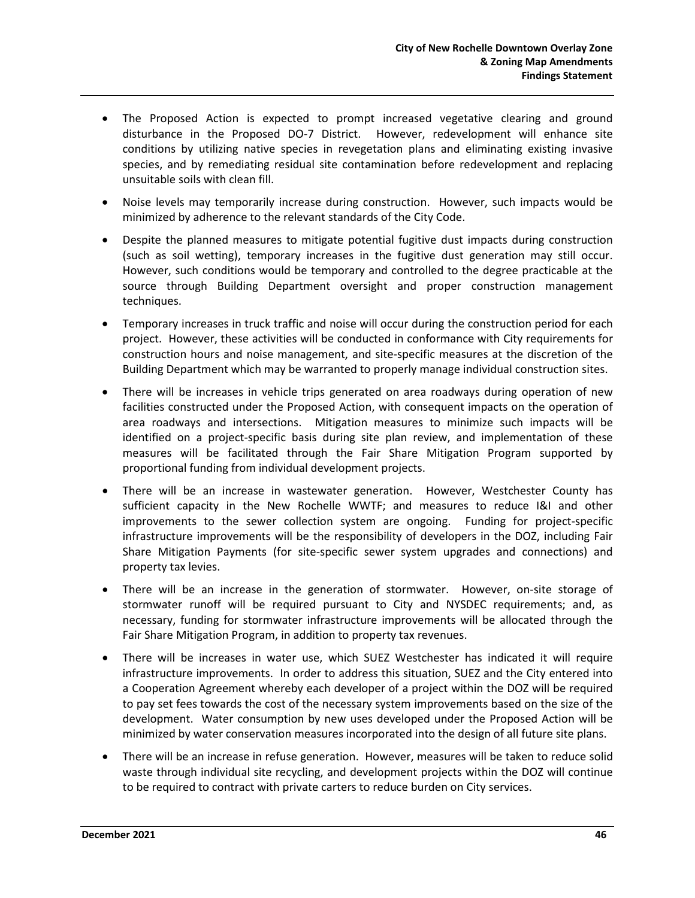- The Proposed Action is expected to prompt increased vegetative clearing and ground disturbance in the Proposed DO-7 District. However, redevelopment will enhance site conditions by utilizing native species in revegetation plans and eliminating existing invasive species, and by remediating residual site contamination before redevelopment and replacing unsuitable soils with clean fill.
- Noise levels may temporarily increase during construction. However, such impacts would be minimized by adherence to the relevant standards of the City Code.
- Despite the planned measures to mitigate potential fugitive dust impacts during construction (such as soil wetting), temporary increases in the fugitive dust generation may still occur. However, such conditions would be temporary and controlled to the degree practicable at the source through Building Department oversight and proper construction management techniques.
- Temporary increases in truck traffic and noise will occur during the construction period for each project. However, these activities will be conducted in conformance with City requirements for construction hours and noise management, and site-specific measures at the discretion of the Building Department which may be warranted to properly manage individual construction sites.
- There will be increases in vehicle trips generated on area roadways during operation of new facilities constructed under the Proposed Action, with consequent impacts on the operation of area roadways and intersections. Mitigation measures to minimize such impacts will be identified on a project-specific basis during site plan review, and implementation of these measures will be facilitated through the Fair Share Mitigation Program supported by proportional funding from individual development projects.
- There will be an increase in wastewater generation. However, Westchester County has sufficient capacity in the New Rochelle WWTF; and measures to reduce I&I and other improvements to the sewer collection system are ongoing. Funding for project-specific infrastructure improvements will be the responsibility of developers in the DOZ, including Fair Share Mitigation Payments (for site-specific sewer system upgrades and connections) and property tax levies.
- There will be an increase in the generation of stormwater. However, on-site storage of stormwater runoff will be required pursuant to City and NYSDEC requirements; and, as necessary, funding for stormwater infrastructure improvements will be allocated through the Fair Share Mitigation Program, in addition to property tax revenues.
- There will be increases in water use, which SUEZ Westchester has indicated it will require infrastructure improvements. In order to address this situation, SUEZ and the City entered into a Cooperation Agreement whereby each developer of a project within the DOZ will be required to pay set fees towards the cost of the necessary system improvements based on the size of the development. Water consumption by new uses developed under the Proposed Action will be minimized by water conservation measures incorporated into the design of all future site plans.
- There will be an increase in refuse generation. However, measures will be taken to reduce solid waste through individual site recycling, and development projects within the DOZ will continue to be required to contract with private carters to reduce burden on City services.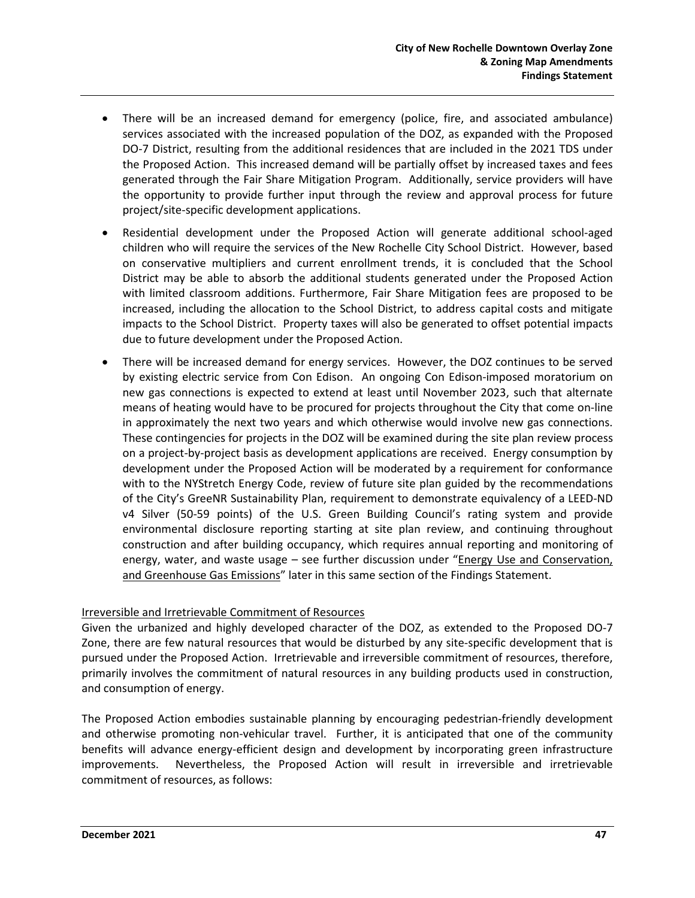- There will be an increased demand for emergency (police, fire, and associated ambulance) services associated with the increased population of the DOZ, as expanded with the Proposed DO-7 District, resulting from the additional residences that are included in the 2021 TDS under the Proposed Action. This increased demand will be partially offset by increased taxes and fees generated through the Fair Share Mitigation Program. Additionally, service providers will have the opportunity to provide further input through the review and approval process for future project/site-specific development applications.
- Residential development under the Proposed Action will generate additional school-aged children who will require the services of the New Rochelle City School District. However, based on conservative multipliers and current enrollment trends, it is concluded that the School District may be able to absorb the additional students generated under the Proposed Action with limited classroom additions. Furthermore, Fair Share Mitigation fees are proposed to be increased, including the allocation to the School District, to address capital costs and mitigate impacts to the School District. Property taxes will also be generated to offset potential impacts due to future development under the Proposed Action.
- There will be increased demand for energy services. However, the DOZ continues to be served by existing electric service from Con Edison. An ongoing Con Edison-imposed moratorium on new gas connections is expected to extend at least until November 2023, such that alternate means of heating would have to be procured for projects throughout the City that come on-line in approximately the next two years and which otherwise would involve new gas connections. These contingencies for projects in the DOZ will be examined during the site plan review process on a project-by-project basis as development applications are received. Energy consumption by development under the Proposed Action will be moderated by a requirement for conformance with to the NYStretch Energy Code, review of future site plan guided by the recommendations of the City's GreeNR Sustainability Plan, requirement to demonstrate equivalency of a LEED-ND v4 Silver (50-59 points) of the U.S. Green Building Council's rating system and provide environmental disclosure reporting starting at site plan review, and continuing throughout construction and after building occupancy, which requires annual reporting and monitoring of energy, water, and waste usage – see further discussion under "Energy Use and Conservation, and Greenhouse Gas Emissions" later in this same section of the Findings Statement.

#### Irreversible and Irretrievable Commitment of Resources

Given the urbanized and highly developed character of the DOZ, as extended to the Proposed DO-7 Zone, there are few natural resources that would be disturbed by any site-specific development that is pursued under the Proposed Action. Irretrievable and irreversible commitment of resources, therefore, primarily involves the commitment of natural resources in any building products used in construction, and consumption of energy.

The Proposed Action embodies sustainable planning by encouraging pedestrian-friendly development and otherwise promoting non-vehicular travel. Further, it is anticipated that one of the community benefits will advance energy-efficient design and development by incorporating green infrastructure improvements. Nevertheless, the Proposed Action will result in irreversible and irretrievable commitment of resources, as follows: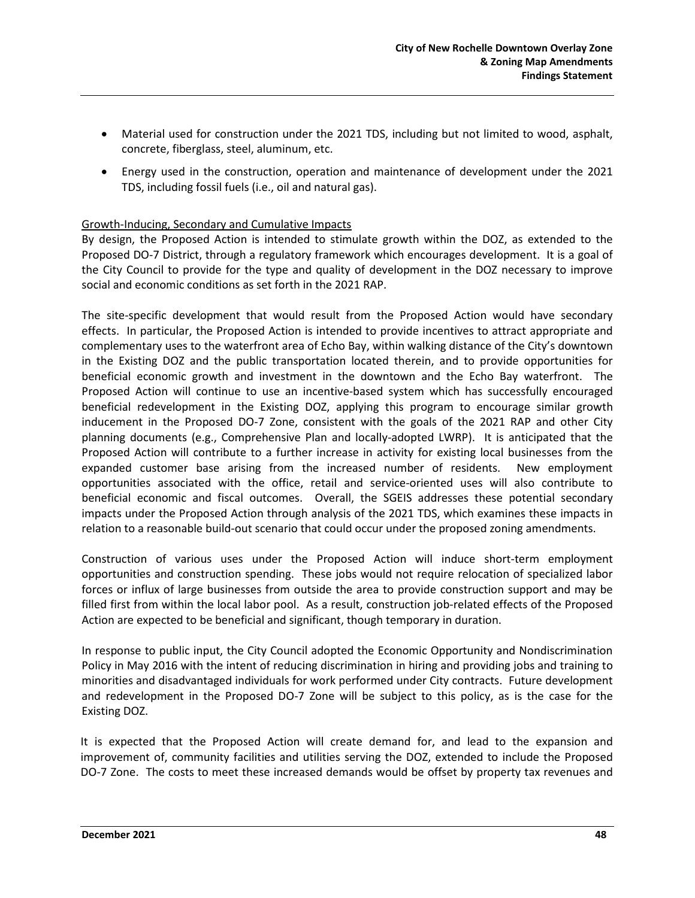- Material used for construction under the 2021 TDS, including but not limited to wood, asphalt, concrete, fiberglass, steel, aluminum, etc.
- Energy used in the construction, operation and maintenance of development under the 2021 TDS, including fossil fuels (i.e., oil and natural gas).

### Growth-Inducing, Secondary and Cumulative Impacts

By design, the Proposed Action is intended to stimulate growth within the DOZ, as extended to the Proposed DO-7 District, through a regulatory framework which encourages development. It is a goal of the City Council to provide for the type and quality of development in the DOZ necessary to improve social and economic conditions as set forth in the 2021 RAP.

The site-specific development that would result from the Proposed Action would have secondary effects.In particular, the Proposed Action is intended to provide incentives to attract appropriate and complementary uses to the waterfront area of Echo Bay, within walking distance of the City's downtown in the Existing DOZ and the public transportation located therein, and to provide opportunities for beneficial economic growth and investment in the downtown and the Echo Bay waterfront. The Proposed Action will continue to use an incentive-based system which has successfully encouraged beneficial redevelopment in the Existing DOZ, applying this program to encourage similar growth inducement in the Proposed DO-7 Zone, consistent with the goals of the 2021 RAP and other City planning documents (e.g., Comprehensive Plan and locally-adopted LWRP). It is anticipated that the Proposed Action will contribute to a further increase in activity for existing local businesses from the expanded customer base arising from the increased number of residents. New employment opportunities associated with the office, retail and service-oriented uses will also contribute to beneficial economic and fiscal outcomes. Overall, the SGEIS addresses these potential secondary impacts under the Proposed Action through analysis of the 2021 TDS, which examines these impacts in relation to a reasonable build-out scenario that could occur under the proposed zoning amendments.

Construction of various uses under the Proposed Action will induce short-term employment opportunities and construction spending. These jobs would not require relocation of specialized labor forces or influx of large businesses from outside the area to provide construction support and may be filled first from within the local labor pool. As a result, construction job-related effects of the Proposed Action are expected to be beneficial and significant, though temporary in duration.

In response to public input, the City Council adopted the Economic Opportunity and Nondiscrimination Policy in May 2016 with the intent of reducing discrimination in hiring and providing jobs and training to minorities and disadvantaged individuals for work performed under City contracts. Future development and redevelopment in the Proposed DO-7 Zone will be subject to this policy, as is the case for the Existing DOZ.

It is expected that the Proposed Action will create demand for, and lead to the expansion and improvement of, community facilities and utilities serving the DOZ, extended to include the Proposed DO-7 Zone. The costs to meet these increased demands would be offset by property tax revenues and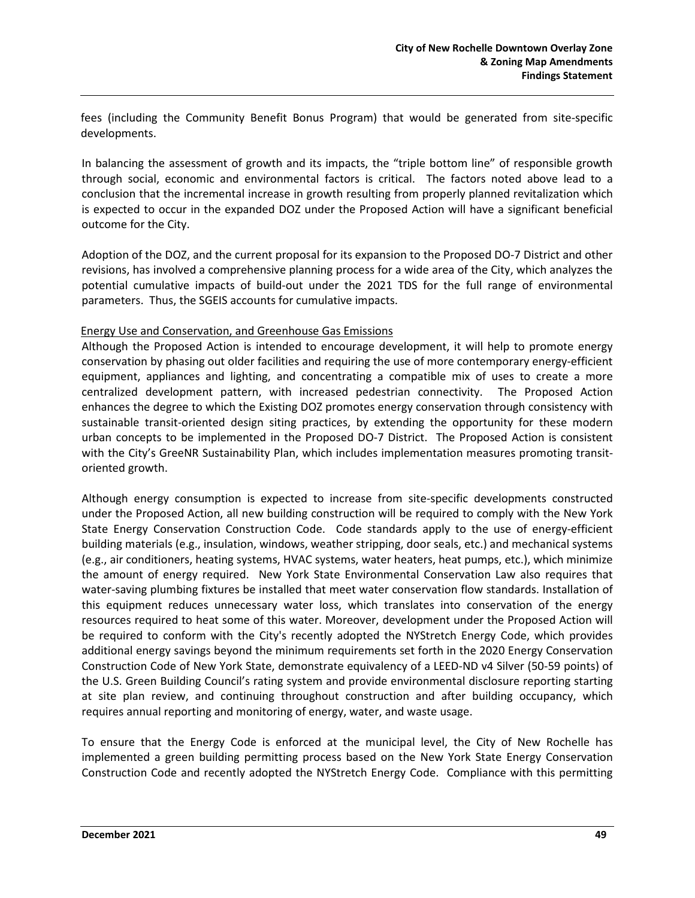fees (including the Community Benefit Bonus Program) that would be generated from site-specific developments.

In balancing the assessment of growth and its impacts, the "triple bottom line" of responsible growth through social, economic and environmental factors is critical. The factors noted above lead to a conclusion that the incremental increase in growth resulting from properly planned revitalization which is expected to occur in the expanded DOZ under the Proposed Action will have a significant beneficial outcome for the City.

Adoption of the DOZ, and the current proposal for its expansion to the Proposed DO-7 District and other revisions, has involved a comprehensive planning process for a wide area of the City, which analyzes the potential cumulative impacts of build-out under the 2021 TDS for the full range of environmental parameters. Thus, the SGEIS accounts for cumulative impacts.

#### Energy Use and Conservation, and Greenhouse Gas Emissions

Although the Proposed Action is intended to encourage development, it will help to promote energy conservation by phasing out older facilities and requiring the use of more contemporary energy-efficient equipment, appliances and lighting, and concentrating a compatible mix of uses to create a more centralized development pattern, with increased pedestrian connectivity. The Proposed Action enhances the degree to which the Existing DOZ promotes energy conservation through consistency with sustainable transit-oriented design siting practices, by extending the opportunity for these modern urban concepts to be implemented in the Proposed DO-7 District. The Proposed Action is consistent with the City's GreeNR Sustainability Plan, which includes implementation measures promoting transitoriented growth.

Although energy consumption is expected to increase from site-specific developments constructed under the Proposed Action, all new building construction will be required to comply with the New York State Energy Conservation Construction Code. Code standards apply to the use of energy-efficient building materials (e.g., insulation, windows, weather stripping, door seals, etc.) and mechanical systems (e.g., air conditioners, heating systems, HVAC systems, water heaters, heat pumps, etc.), which minimize the amount of energy required. New York State Environmental Conservation Law also requires that water-saving plumbing fixtures be installed that meet water conservation flow standards. Installation of this equipment reduces unnecessary water loss, which translates into conservation of the energy resources required to heat some of this water. Moreover, development under the Proposed Action will be required to conform with the City's recently adopted the NYStretch Energy Code, which provides additional energy savings beyond the minimum requirements set forth in the 2020 Energy Conservation Construction Code of New York State, demonstrate equivalency of a LEED-ND v4 Silver (50-59 points) of the U.S. Green Building Council's rating system and provide environmental disclosure reporting starting at site plan review, and continuing throughout construction and after building occupancy, which requires annual reporting and monitoring of energy, water, and waste usage.

To ensure that the Energy Code is enforced at the municipal level, the City of New Rochelle has implemented a green building permitting process based on the New York State Energy Conservation Construction Code and recently adopted the NYStretch Energy Code. Compliance with this permitting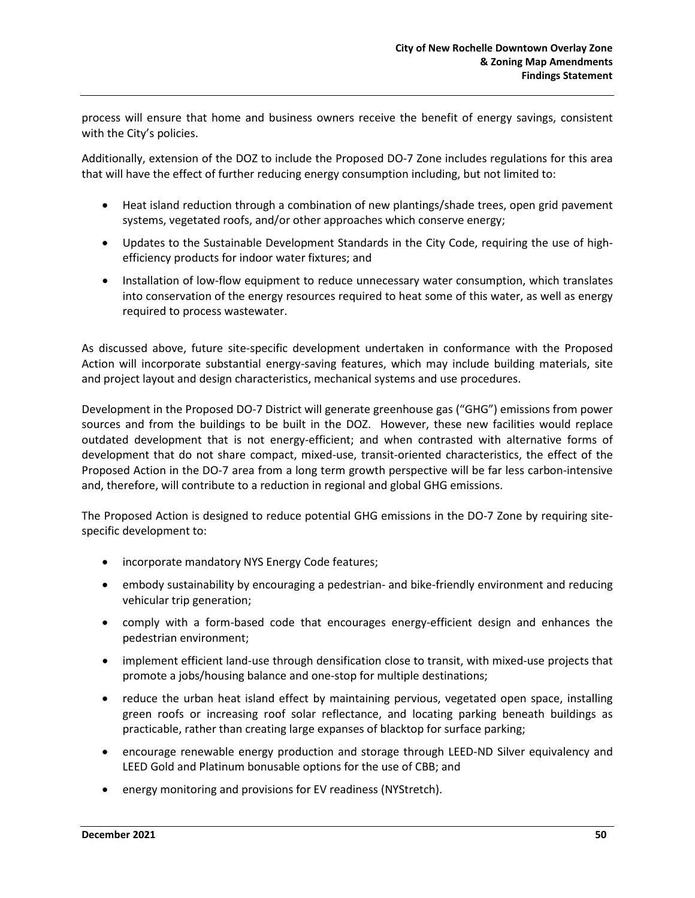process will ensure that home and business owners receive the benefit of energy savings, consistent with the City's policies.

Additionally, extension of the DOZ to include the Proposed DO-7 Zone includes regulations for this area that will have the effect of further reducing energy consumption including, but not limited to:

- Heat island reduction through a combination of new plantings/shade trees, open grid pavement systems, vegetated roofs, and/or other approaches which conserve energy;
- Updates to the Sustainable Development Standards in the City Code, requiring the use of highefficiency products for indoor water fixtures; and
- Installation of low-flow equipment to reduce unnecessary water consumption, which translates into conservation of the energy resources required to heat some of this water, as well as energy required to process wastewater.

As discussed above, future site-specific development undertaken in conformance with the Proposed Action will incorporate substantial energy-saving features, which may include building materials, site and project layout and design characteristics, mechanical systems and use procedures.

Development in the Proposed DO-7 District will generate greenhouse gas ("GHG") emissions from power sources and from the buildings to be built in the DOZ. However, these new facilities would replace outdated development that is not energy-efficient; and when contrasted with alternative forms of development that do not share compact, mixed-use, transit-oriented characteristics, the effect of the Proposed Action in the DO-7 area from a long term growth perspective will be far less carbon-intensive and, therefore, will contribute to a reduction in regional and global GHG emissions.

The Proposed Action is designed to reduce potential GHG emissions in the DO-7 Zone by requiring sitespecific development to:

- incorporate mandatory NYS Energy Code features;
- embody sustainability by encouraging a pedestrian- and bike-friendly environment and reducing vehicular trip generation;
- comply with a form-based code that encourages energy-efficient design and enhances the pedestrian environment;
- implement efficient land-use through densification close to transit, with mixed-use projects that promote a jobs/housing balance and one-stop for multiple destinations;
- reduce the urban heat island effect by maintaining pervious, vegetated open space, installing green roofs or increasing roof solar reflectance, and locating parking beneath buildings as practicable, rather than creating large expanses of blacktop for surface parking;
- encourage renewable energy production and storage through LEED-ND Silver equivalency and LEED Gold and Platinum bonusable options for the use of CBB; and
- energy monitoring and provisions for EV readiness (NYStretch).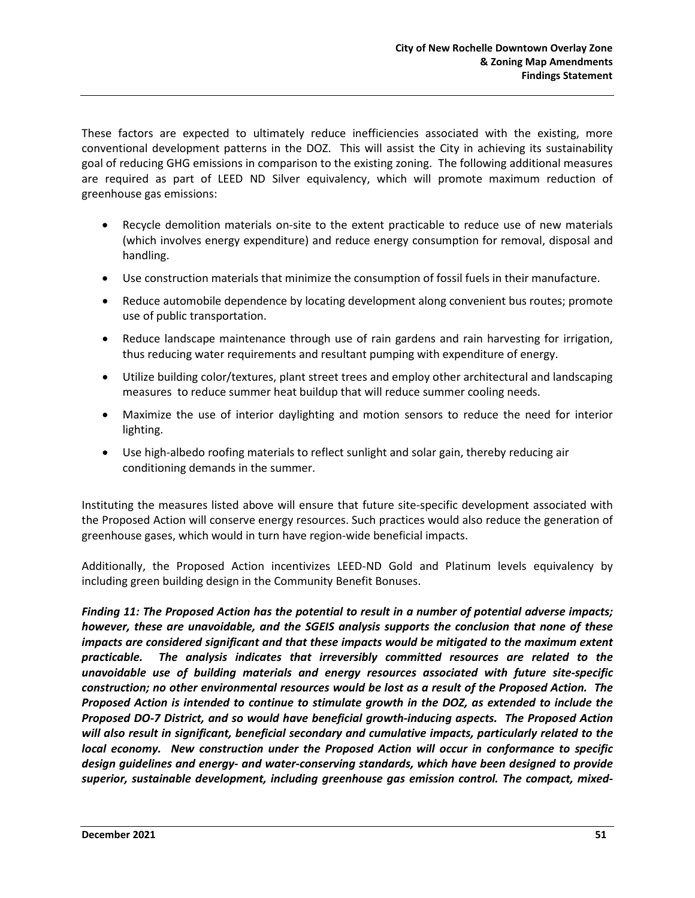These factors are expected to ultimately reduce inefficiencies associated with the existing, more conventional development patterns in the DOZ. This will assist the City in achieving its sustainability goal of reducing GHG emissions in comparison to the existing zoning. The following additional measures are required as part of LEED ND Silver equivalency, which will promote maximum reduction of greenhouse gas emissions:

- Recycle demolition materials on-site to the extent practicable to reduce use of new materials (which involves energy expenditure) and reduce energy consumption for removal, disposal and handling.
- Use construction materials that minimize the consumption of fossil fuels in their manufacture.
- Reduce automobile dependence by locating development along convenient bus routes; promote use of public transportation.
- Reduce landscape maintenance through use of rain gardens and rain harvesting for irrigation, thus reducing water requirements and resultant pumping with expenditure of energy.
- Utilize building color/textures, plant street trees and employ other architectural and landscaping measures to reduce summer heat buildup that will reduce summer cooling needs.
- Maximize the use of interior daylighting and motion sensors to reduce the need for interior lighting.
- Use high-albedo roofing materials to reflect sunlight and solar gain, thereby reducing air conditioning demands in the summer.

Instituting the measures listed above will ensure that future site-specific development associated with the Proposed Action will conserve energy resources. Such practices would also reduce the generation of greenhouse gases, which would in turn have region-wide beneficial impacts.

Additionally, the Proposed Action incentivizes LEED-ND Gold and Platinum levels equivalency by including green building design in the Community Benefit Bonuses.

*Finding 11: The Proposed Action has the potential to result in a number of potential adverse impacts; however, these are unavoidable, and the SGEIS analysis supports the conclusion that none of these impacts are considered significant and that these impacts would be mitigated to the maximum extent practicable. The analysis indicates that irreversibly committed resources are related to the unavoidable use of building materials and energy resources associated with future site-specific construction; no other environmental resources would be lost as a result of the Proposed Action. The Proposed Action is intended to continue to stimulate growth in the DOZ, as extended to include the Proposed DO-7 District, and so would have beneficial growth-inducing aspects. The Proposed Action will also result in significant, beneficial secondary and cumulative impacts, particularly related to the local economy. New construction under the Proposed Action will occur in conformance to specific design guidelines and energy- and water-conserving standards, which have been designed to provide superior, sustainable development, including greenhouse gas emission control. The compact, mixed-*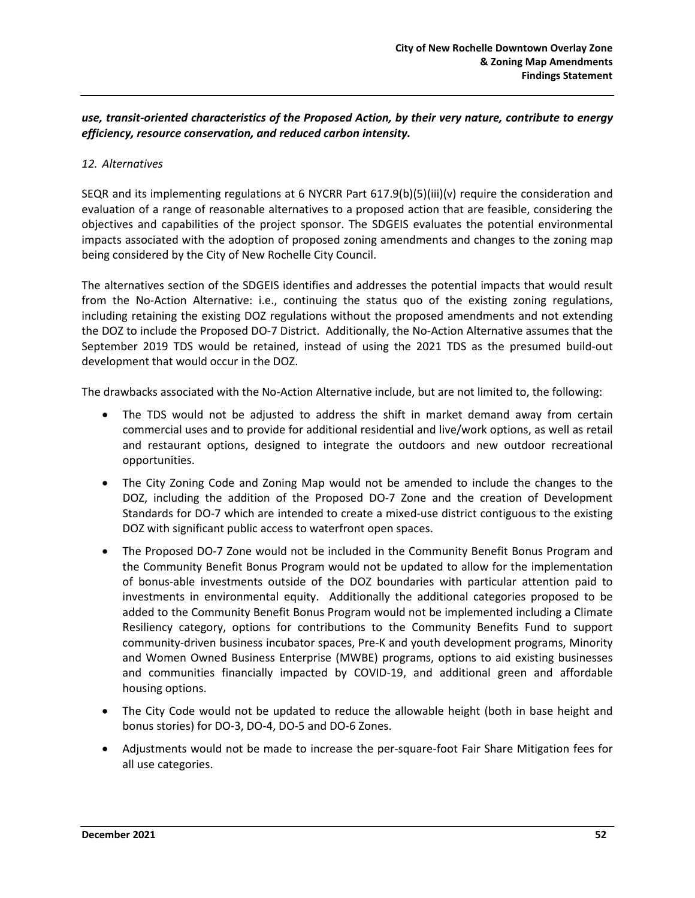### *use, transit-oriented characteristics of the Proposed Action, by their very nature, contribute to energy efficiency, resource conservation, and reduced carbon intensity.*

#### *12. Alternatives*

SEQR and its implementing regulations at 6 NYCRR Part 617.9(b)(5)(iii)(v) require the consideration and evaluation of a range of reasonable alternatives to a proposed action that are feasible, considering the objectives and capabilities of the project sponsor. The SDGEIS evaluates the potential environmental impacts associated with the adoption of proposed zoning amendments and changes to the zoning map being considered by the City of New Rochelle City Council.

The alternatives section of the SDGEIS identifies and addresses the potential impacts that would result from the No-Action Alternative: i.e., continuing the status quo of the existing zoning regulations, including retaining the existing DOZ regulations without the proposed amendments and not extending the DOZ to include the Proposed DO-7 District. Additionally, the No-Action Alternative assumes that the September 2019 TDS would be retained, instead of using the 2021 TDS as the presumed build-out development that would occur in the DOZ.

The drawbacks associated with the No-Action Alternative include, but are not limited to, the following:

- The TDS would not be adjusted to address the shift in market demand away from certain commercial uses and to provide for additional residential and live/work options, as well as retail and restaurant options, designed to integrate the outdoors and new outdoor recreational opportunities.
- The City Zoning Code and Zoning Map would not be amended to include the changes to the DOZ, including the addition of the Proposed DO-7 Zone and the creation of Development Standards for DO-7 which are intended to create a mixed-use district contiguous to the existing DOZ with significant public access to waterfront open spaces.
- The Proposed DO-7 Zone would not be included in the Community Benefit Bonus Program and the Community Benefit Bonus Program would not be updated to allow for the implementation of bonus-able investments outside of the DOZ boundaries with particular attention paid to investments in environmental equity. Additionally the additional categories proposed to be added to the Community Benefit Bonus Program would not be implemented including a Climate Resiliency category, options for contributions to the Community Benefits Fund to support community-driven business incubator spaces, Pre-K and youth development programs, Minority and Women Owned Business Enterprise (MWBE) programs, options to aid existing businesses and communities financially impacted by COVID-19, and additional green and affordable housing options.
- The City Code would not be updated to reduce the allowable height (both in base height and bonus stories) for DO-3, DO-4, DO-5 and DO-6 Zones.
- Adjustments would not be made to increase the per-square-foot Fair Share Mitigation fees for all use categories.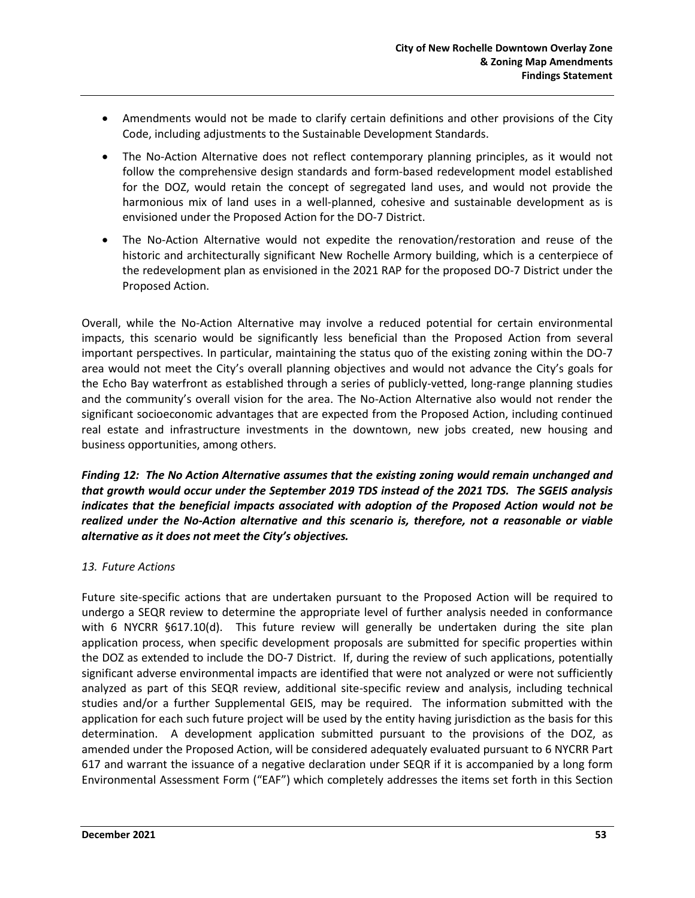- Amendments would not be made to clarify certain definitions and other provisions of the City Code, including adjustments to the Sustainable Development Standards.
- The No-Action Alternative does not reflect contemporary planning principles, as it would not follow the comprehensive design standards and form-based redevelopment model established for the DOZ, would retain the concept of segregated land uses, and would not provide the harmonious mix of land uses in a well-planned, cohesive and sustainable development as is envisioned under the Proposed Action for the DO-7 District.
- The No-Action Alternative would not expedite the renovation/restoration and reuse of the historic and architecturally significant New Rochelle Armory building, which is a centerpiece of the redevelopment plan as envisioned in the 2021 RAP for the proposed DO-7 District under the Proposed Action.

Overall, while the No-Action Alternative may involve a reduced potential for certain environmental impacts, this scenario would be significantly less beneficial than the Proposed Action from several important perspectives. In particular, maintaining the status quo of the existing zoning within the DO-7 area would not meet the City's overall planning objectives and would not advance the City's goals for the Echo Bay waterfront as established through a series of publicly-vetted, long-range planning studies and the community's overall vision for the area. The No-Action Alternative also would not render the significant socioeconomic advantages that are expected from the Proposed Action, including continued real estate and infrastructure investments in the downtown, new jobs created, new housing and business opportunities, among others.

*Finding 12: The No Action Alternative assumes that the existing zoning would remain unchanged and that growth would occur under the September 2019 TDS instead of the 2021 TDS. The SGEIS analysis indicates that the beneficial impacts associated with adoption of the Proposed Action would not be realized under the No-Action alternative and this scenario is, therefore, not a reasonable or viable alternative as it does not meet the City's objectives.*

#### *13. Future Actions*

Future site-specific actions that are undertaken pursuant to the Proposed Action will be required to undergo a SEQR review to determine the appropriate level of further analysis needed in conformance with 6 NYCRR §617.10(d). This future review will generally be undertaken during the site plan application process, when specific development proposals are submitted for specific properties within the DOZ as extended to include the DO-7 District. If, during the review of such applications, potentially significant adverse environmental impacts are identified that were not analyzed or were not sufficiently analyzed as part of this SEQR review, additional site-specific review and analysis, including technical studies and/or a further Supplemental GEIS, may be required. The information submitted with the application for each such future project will be used by the entity having jurisdiction as the basis for this determination. A development application submitted pursuant to the provisions of the DOZ, as amended under the Proposed Action, will be considered adequately evaluated pursuant to 6 NYCRR Part 617 and warrant the issuance of a negative declaration under SEQR if it is accompanied by a long form Environmental Assessment Form ("EAF") which completely addresses the items set forth in this Section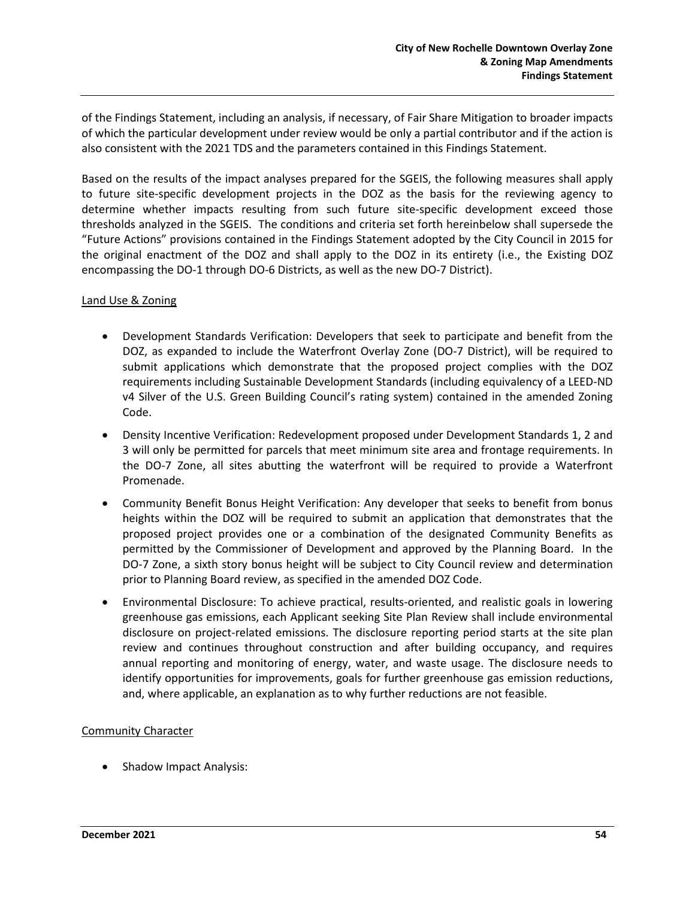of the Findings Statement, including an analysis, if necessary, of Fair Share Mitigation to broader impacts of which the particular development under review would be only a partial contributor and if the action is also consistent with the 2021 TDS and the parameters contained in this Findings Statement.

Based on the results of the impact analyses prepared for the SGEIS, the following measures shall apply to future site-specific development projects in the DOZ as the basis for the reviewing agency to determine whether impacts resulting from such future site-specific development exceed those thresholds analyzed in the SGEIS. The conditions and criteria set forth hereinbelow shall supersede the "Future Actions" provisions contained in the Findings Statement adopted by the City Council in 2015 for the original enactment of the DOZ and shall apply to the DOZ in its entirety (i.e., the Existing DOZ encompassing the DO-1 through DO-6 Districts, as well as the new DO-7 District).

#### Land Use & Zoning

- Development Standards Verification: Developers that seek to participate and benefit from the DOZ, as expanded to include the Waterfront Overlay Zone (DO-7 District), will be required to submit applications which demonstrate that the proposed project complies with the DOZ requirements including Sustainable Development Standards (including equivalency of a LEED-ND v4 Silver of the U.S. Green Building Council's rating system) contained in the amended Zoning Code.
- Density Incentive Verification: Redevelopment proposed under Development Standards 1, 2 and 3 will only be permitted for parcels that meet minimum site area and frontage requirements. In the DO-7 Zone, all sites abutting the waterfront will be required to provide a Waterfront Promenade.
- Community Benefit Bonus Height Verification: Any developer that seeks to benefit from bonus heights within the DOZ will be required to submit an application that demonstrates that the proposed project provides one or a combination of the designated Community Benefits as permitted by the Commissioner of Development and approved by the Planning Board. In the DO-7 Zone, a sixth story bonus height will be subject to City Council review and determination prior to Planning Board review, as specified in the amended DOZ Code.
- Environmental Disclosure: To achieve practical, results-oriented, and realistic goals in lowering greenhouse gas emissions, each Applicant seeking Site Plan Review shall include environmental disclosure on project-related emissions. The disclosure reporting period starts at the site plan review and continues throughout construction and after building occupancy, and requires annual reporting and monitoring of energy, water, and waste usage. The disclosure needs to identify opportunities for improvements, goals for further greenhouse gas emission reductions, and, where applicable, an explanation as to why further reductions are not feasible.

#### Community Character

• Shadow Impact Analysis: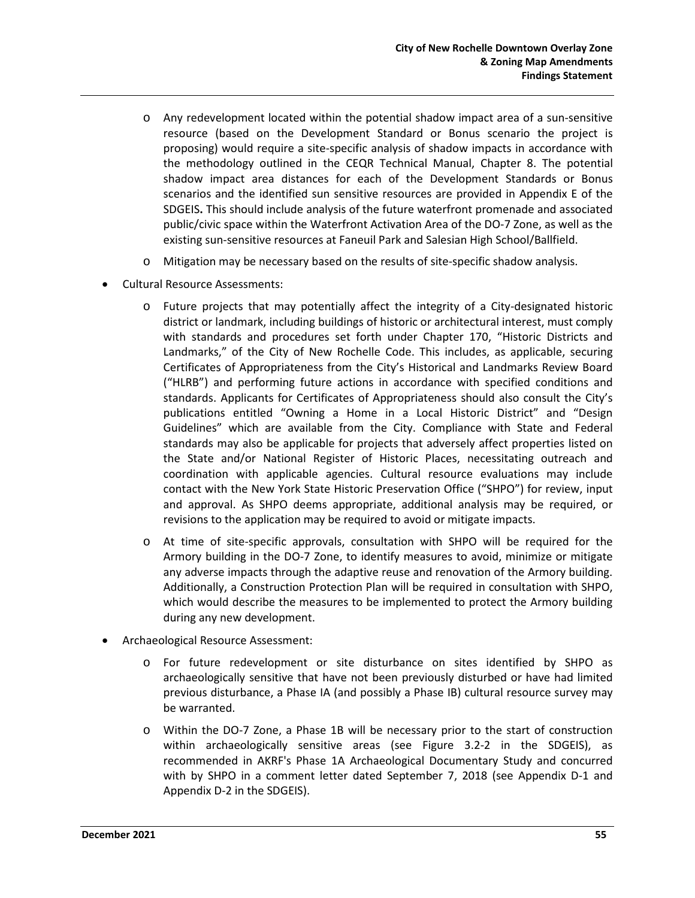- o Any redevelopment located within the potential shadow impact area of a sun-sensitive resource (based on the Development Standard or Bonus scenario the project is proposing) would require a site-specific analysis of shadow impacts in accordance with the methodology outlined in the CEQR Technical Manual, Chapter 8. The potential shadow impact area distances for each of the Development Standards or Bonus scenarios and the identified sun sensitive resources are provided in Appendix E of the SDGEIS**.** This should include analysis of the future waterfront promenade and associated public/civic space within the Waterfront Activation Area of the DO-7 Zone, as well as the existing sun-sensitive resources at Faneuil Park and Salesian High School/Ballfield.
- o Mitigation may be necessary based on the results of site-specific shadow analysis.
- Cultural Resource Assessments:
	- o Future projects that may potentially affect the integrity of a City-designated historic district or landmark, including buildings of historic or architectural interest, must comply with standards and procedures set forth under Chapter 170, "Historic Districts and Landmarks," of the City of New Rochelle Code. This includes, as applicable, securing Certificates of Appropriateness from the City's Historical and Landmarks Review Board ("HLRB") and performing future actions in accordance with specified conditions and standards. Applicants for Certificates of Appropriateness should also consult the City's publications entitled "Owning a Home in a Local Historic District" and "Design Guidelines" which are available from the City. Compliance with State and Federal standards may also be applicable for projects that adversely affect properties listed on the State and/or National Register of Historic Places, necessitating outreach and coordination with applicable agencies. Cultural resource evaluations may include contact with the New York State Historic Preservation Office ("SHPO") for review, input and approval. As SHPO deems appropriate, additional analysis may be required, or revisions to the application may be required to avoid or mitigate impacts.
	- At time of site-specific approvals, consultation with SHPO will be required for the Armory building in the DO-7 Zone, to identify measures to avoid, minimize or mitigate any adverse impacts through the adaptive reuse and renovation of the Armory building. Additionally, a Construction Protection Plan will be required in consultation with SHPO, which would describe the measures to be implemented to protect the Armory building during any new development.
- Archaeological Resource Assessment:
	- o For future redevelopment or site disturbance on sites identified by SHPO as archaeologically sensitive that have not been previously disturbed or have had limited previous disturbance, a Phase IA (and possibly a Phase IB) cultural resource survey may be warranted.
	- o Within the DO-7 Zone, a Phase 1B will be necessary prior to the start of construction within archaeologically sensitive areas (see Figure 3.2-2 in the SDGEIS), as recommended in AKRF's Phase 1A Archaeological Documentary Study and concurred with by SHPO in a comment letter dated September 7, 2018 (see Appendix D-1 and Appendix D-2 in the SDGEIS).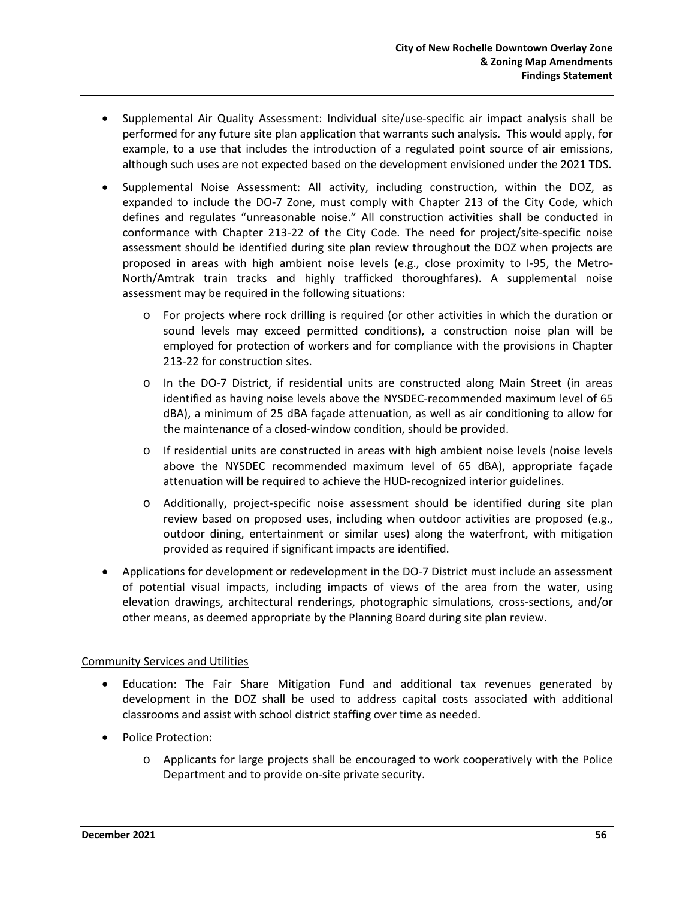- Supplemental Air Quality Assessment: Individual site/use-specific air impact analysis shall be performed for any future site plan application that warrants such analysis. This would apply, for example, to a use that includes the introduction of a regulated point source of air emissions, although such uses are not expected based on the development envisioned under the 2021 TDS.
- Supplemental Noise Assessment: All activity, including construction, within the DOZ, as expanded to include the DO-7 Zone, must comply with Chapter 213 of the City Code, which defines and regulates "unreasonable noise." All construction activities shall be conducted in conformance with Chapter 213-22 of the City Code. The need for project/site-specific noise assessment should be identified during site plan review throughout the DOZ when projects are proposed in areas with high ambient noise levels (e.g., close proximity to I-95, the Metro-North/Amtrak train tracks and highly trafficked thoroughfares). A supplemental noise assessment may be required in the following situations:
	- o For projects where rock drilling is required (or other activities in which the duration or sound levels may exceed permitted conditions), a construction noise plan will be employed for protection of workers and for compliance with the provisions in Chapter 213-22 for construction sites.
	- o In the DO-7 District, if residential units are constructed along Main Street (in areas identified as having noise levels above the NYSDEC-recommended maximum level of 65 dBA), a minimum of 25 dBA façade attenuation, as well as air conditioning to allow for the maintenance of a closed-window condition, should be provided.
	- o If residential units are constructed in areas with high ambient noise levels (noise levels above the NYSDEC recommended maximum level of 65 dBA), appropriate façade attenuation will be required to achieve the HUD-recognized interior guidelines.
	- o Additionally, project-specific noise assessment should be identified during site plan review based on proposed uses, including when outdoor activities are proposed (e.g., outdoor dining, entertainment or similar uses) along the waterfront, with mitigation provided as required if significant impacts are identified.
- Applications for development or redevelopment in the DO-7 District must include an assessment of potential visual impacts, including impacts of views of the area from the water, using elevation drawings, architectural renderings, photographic simulations, cross-sections, and/or other means, as deemed appropriate by the Planning Board during site plan review.

### Community Services and Utilities

- Education: The Fair Share Mitigation Fund and additional tax revenues generated by development in the DOZ shall be used to address capital costs associated with additional classrooms and assist with school district staffing over time as needed.
- Police Protection:
	- o Applicants for large projects shall be encouraged to work cooperatively with the Police Department and to provide on-site private security.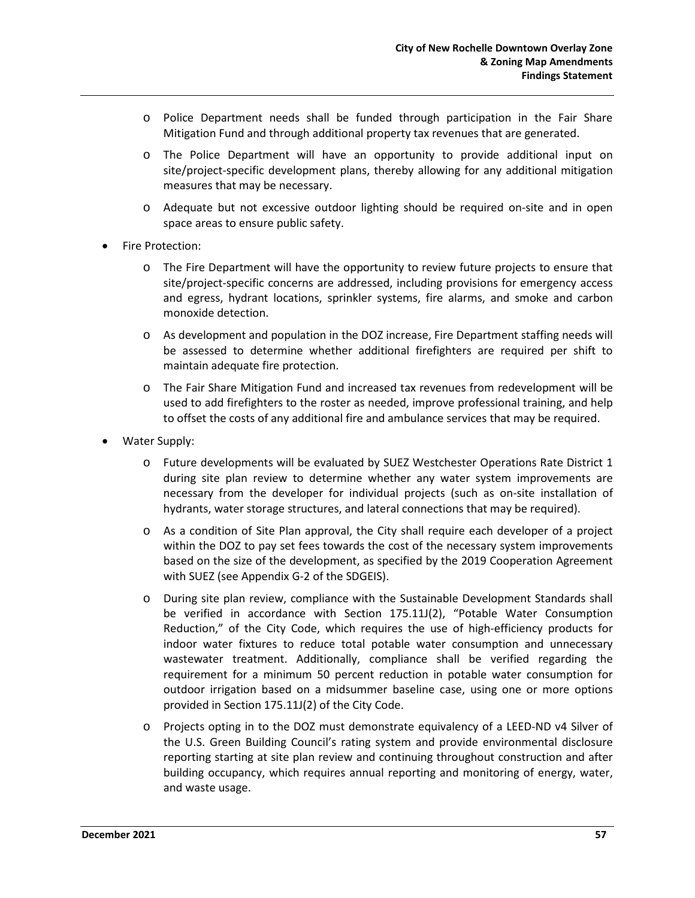- o Police Department needs shall be funded through participation in the Fair Share Mitigation Fund and through additional property tax revenues that are generated.
- o The Police Department will have an opportunity to provide additional input on site/project-specific development plans, thereby allowing for any additional mitigation measures that may be necessary.
- o Adequate but not excessive outdoor lighting should be required on-site and in open space areas to ensure public safety.
- Fire Protection:
	- o The Fire Department will have the opportunity to review future projects to ensure that site/project-specific concerns are addressed, including provisions for emergency access and egress, hydrant locations, sprinkler systems, fire alarms, and smoke and carbon monoxide detection.
	- o As development and population in the DOZ increase, Fire Department staffing needs will be assessed to determine whether additional firefighters are required per shift to maintain adequate fire protection.
	- o The Fair Share Mitigation Fund and increased tax revenues from redevelopment will be used to add firefighters to the roster as needed, improve professional training, and help to offset the costs of any additional fire and ambulance services that may be required.
- Water Supply:
	- o Future developments will be evaluated by SUEZ Westchester Operations Rate District 1 during site plan review to determine whether any water system improvements are necessary from the developer for individual projects (such as on-site installation of hydrants, water storage structures, and lateral connections that may be required).
	- o As a condition of Site Plan approval, the City shall require each developer of a project within the DOZ to pay set fees towards the cost of the necessary system improvements based on the size of the development, as specified by the 2019 Cooperation Agreement with SUEZ (see Appendix G-2 of the SDGEIS).
	- o During site plan review, compliance with the Sustainable Development Standards shall be verified in accordance with Section 175.11J(2), "Potable Water Consumption Reduction," of the City Code, which requires the use of high-efficiency products for indoor water fixtures to reduce total potable water consumption and unnecessary wastewater treatment. Additionally, compliance shall be verified regarding the requirement for a minimum 50 percent reduction in potable water consumption for outdoor irrigation based on a midsummer baseline case, using one or more options provided in Section 175.11J(2) of the City Code.
	- o Projects opting in to the DOZ must demonstrate equivalency of a LEED-ND v4 Silver of the U.S. Green Building Council's rating system and provide environmental disclosure reporting starting at site plan review and continuing throughout construction and after building occupancy, which requires annual reporting and monitoring of energy, water, and waste usage.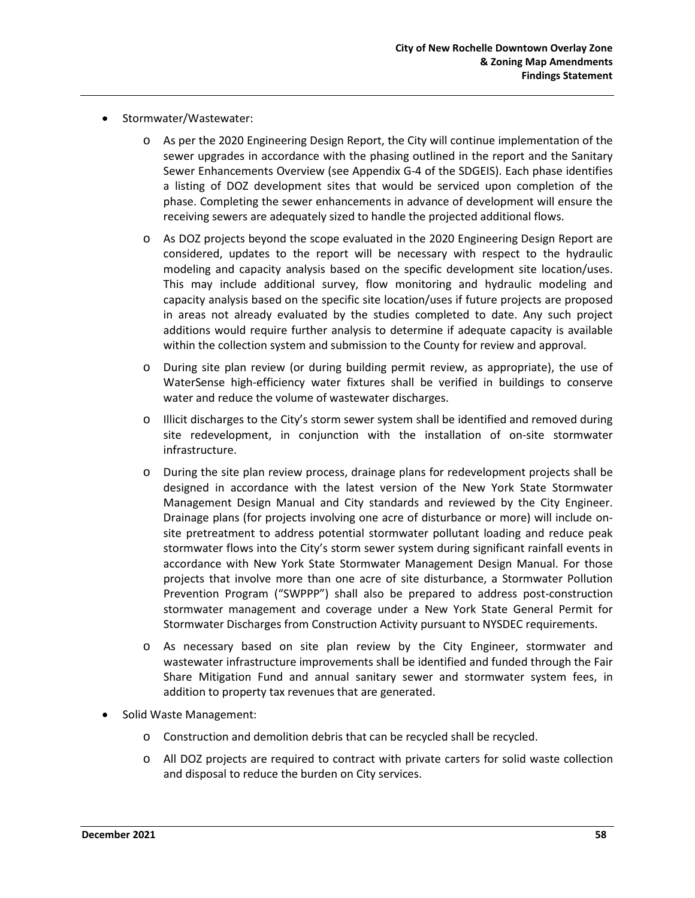- Stormwater/Wastewater:
	- o As per the 2020 Engineering Design Report, the City will continue implementation of the sewer upgrades in accordance with the phasing outlined in the report and the Sanitary Sewer Enhancements Overview (see Appendix G-4 of the SDGEIS). Each phase identifies a listing of DOZ development sites that would be serviced upon completion of the phase. Completing the sewer enhancements in advance of development will ensure the receiving sewers are adequately sized to handle the projected additional flows.
	- o As DOZ projects beyond the scope evaluated in the 2020 Engineering Design Report are considered, updates to the report will be necessary with respect to the hydraulic modeling and capacity analysis based on the specific development site location/uses. This may include additional survey, flow monitoring and hydraulic modeling and capacity analysis based on the specific site location/uses if future projects are proposed in areas not already evaluated by the studies completed to date. Any such project additions would require further analysis to determine if adequate capacity is available within the collection system and submission to the County for review and approval.
	- o During site plan review (or during building permit review, as appropriate), the use of WaterSense high-efficiency water fixtures shall be verified in buildings to conserve water and reduce the volume of wastewater discharges.
	- o Illicit discharges to the City's storm sewer system shall be identified and removed during site redevelopment, in conjunction with the installation of on-site stormwater infrastructure.
	- o During the site plan review process, drainage plans for redevelopment projects shall be designed in accordance with the latest version of the New York State Stormwater Management Design Manual and City standards and reviewed by the City Engineer. Drainage plans (for projects involving one acre of disturbance or more) will include onsite pretreatment to address potential stormwater pollutant loading and reduce peak stormwater flows into the City's storm sewer system during significant rainfall events in accordance with New York State Stormwater Management Design Manual. For those projects that involve more than one acre of site disturbance, a Stormwater Pollution Prevention Program ("SWPPP") shall also be prepared to address post-construction stormwater management and coverage under a New York State General Permit for Stormwater Discharges from Construction Activity pursuant to NYSDEC requirements.
	- o As necessary based on site plan review by the City Engineer, stormwater and wastewater infrastructure improvements shall be identified and funded through the Fair Share Mitigation Fund and annual sanitary sewer and stormwater system fees, in addition to property tax revenues that are generated.
- Solid Waste Management:
	- o Construction and demolition debris that can be recycled shall be recycled.
	- o All DOZ projects are required to contract with private carters for solid waste collection and disposal to reduce the burden on City services.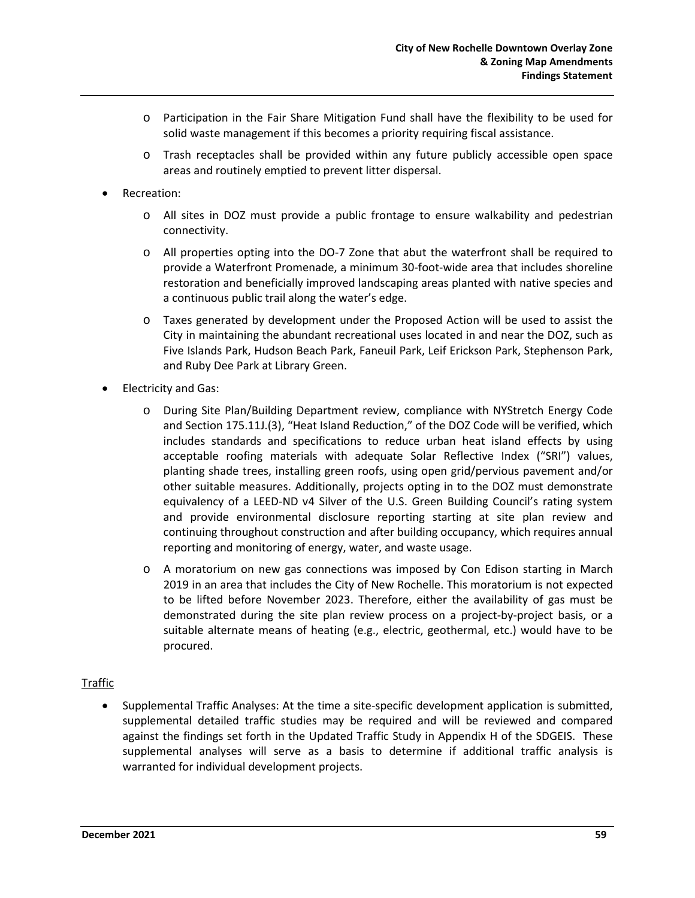- o Participation in the Fair Share Mitigation Fund shall have the flexibility to be used for solid waste management if this becomes a priority requiring fiscal assistance.
- o Trash receptacles shall be provided within any future publicly accessible open space areas and routinely emptied to prevent litter dispersal.
- Recreation:
	- o All sites in DOZ must provide a public frontage to ensure walkability and pedestrian connectivity.
	- o All properties opting into the DO-7 Zone that abut the waterfront shall be required to provide a Waterfront Promenade, a minimum 30-foot-wide area that includes shoreline restoration and beneficially improved landscaping areas planted with native species and a continuous public trail along the water's edge.
	- o Taxes generated by development under the Proposed Action will be used to assist the City in maintaining the abundant recreational uses located in and near the DOZ, such as Five Islands Park, Hudson Beach Park, Faneuil Park, Leif Erickson Park, Stephenson Park, and Ruby Dee Park at Library Green.
- Electricity and Gas:
	- o During Site Plan/Building Department review, compliance with NYStretch Energy Code and Section 175.11J.(3), "Heat Island Reduction," of the DOZ Code will be verified, which includes standards and specifications to reduce urban heat island effects by using acceptable roofing materials with adequate Solar Reflective Index ("SRI") values, planting shade trees, installing green roofs, using open grid/pervious pavement and/or other suitable measures. Additionally, projects opting in to the DOZ must demonstrate equivalency of a LEED-ND v4 Silver of the U.S. Green Building Council's rating system and provide environmental disclosure reporting starting at site plan review and continuing throughout construction and after building occupancy, which requires annual reporting and monitoring of energy, water, and waste usage.
	- o A moratorium on new gas connections was imposed by Con Edison starting in March 2019 in an area that includes the City of New Rochelle. This moratorium is not expected to be lifted before November 2023. Therefore, either the availability of gas must be demonstrated during the site plan review process on a project-by-project basis, or a suitable alternate means of heating (e.g., electric, geothermal, etc.) would have to be procured.

#### Traffic

• Supplemental Traffic Analyses: At the time a site-specific development application is submitted, supplemental detailed traffic studies may be required and will be reviewed and compared against the findings set forth in the Updated Traffic Study in Appendix H of the SDGEIS. These supplemental analyses will serve as a basis to determine if additional traffic analysis is warranted for individual development projects.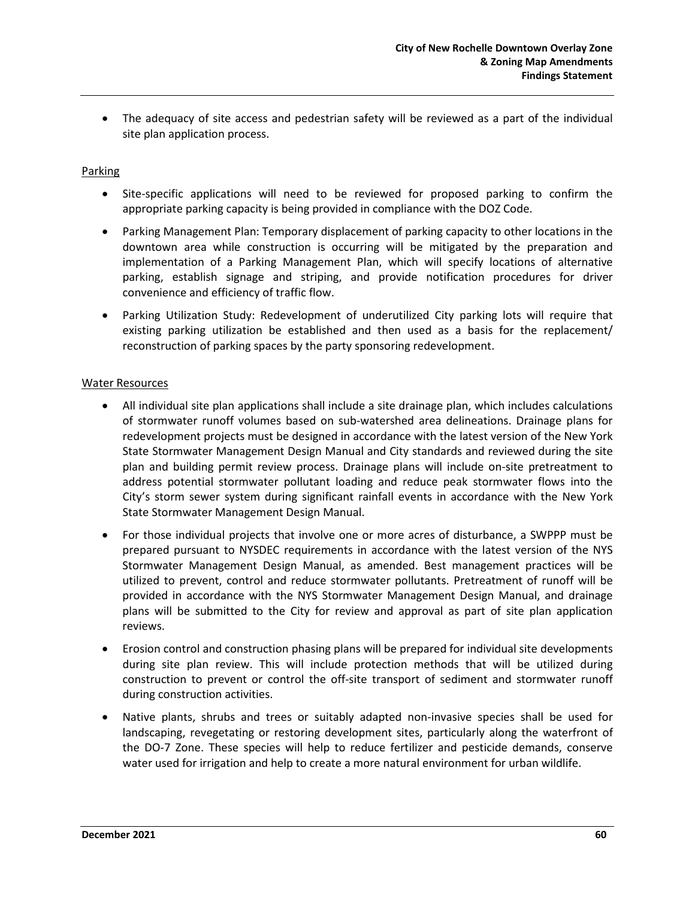• The adequacy of site access and pedestrian safety will be reviewed as a part of the individual site plan application process.

#### **Parking**

- Site-specific applications will need to be reviewed for proposed parking to confirm the appropriate parking capacity is being provided in compliance with the DOZ Code.
- Parking Management Plan: Temporary displacement of parking capacity to other locations in the downtown area while construction is occurring will be mitigated by the preparation and implementation of a Parking Management Plan, which will specify locations of alternative parking, establish signage and striping, and provide notification procedures for driver convenience and efficiency of traffic flow.
- Parking Utilization Study: Redevelopment of underutilized City parking lots will require that existing parking utilization be established and then used as a basis for the replacement/ reconstruction of parking spaces by the party sponsoring redevelopment.

#### Water Resources

- All individual site plan applications shall include a site drainage plan, which includes calculations of stormwater runoff volumes based on sub-watershed area delineations. Drainage plans for redevelopment projects must be designed in accordance with the latest version of the New York State Stormwater Management Design Manual and City standards and reviewed during the site plan and building permit review process. Drainage plans will include on-site pretreatment to address potential stormwater pollutant loading and reduce peak stormwater flows into the City's storm sewer system during significant rainfall events in accordance with the New York State Stormwater Management Design Manual.
- For those individual projects that involve one or more acres of disturbance, a SWPPP must be prepared pursuant to NYSDEC requirements in accordance with the latest version of the NYS Stormwater Management Design Manual, as amended. Best management practices will be utilized to prevent, control and reduce stormwater pollutants. Pretreatment of runoff will be provided in accordance with the NYS Stormwater Management Design Manual, and drainage plans will be submitted to the City for review and approval as part of site plan application reviews.
- Erosion control and construction phasing plans will be prepared for individual site developments during site plan review. This will include protection methods that will be utilized during construction to prevent or control the off-site transport of sediment and stormwater runoff during construction activities.
- Native plants, shrubs and trees or suitably adapted non-invasive species shall be used for landscaping, revegetating or restoring development sites, particularly along the waterfront of the DO-7 Zone. These species will help to reduce fertilizer and pesticide demands, conserve water used for irrigation and help to create a more natural environment for urban wildlife.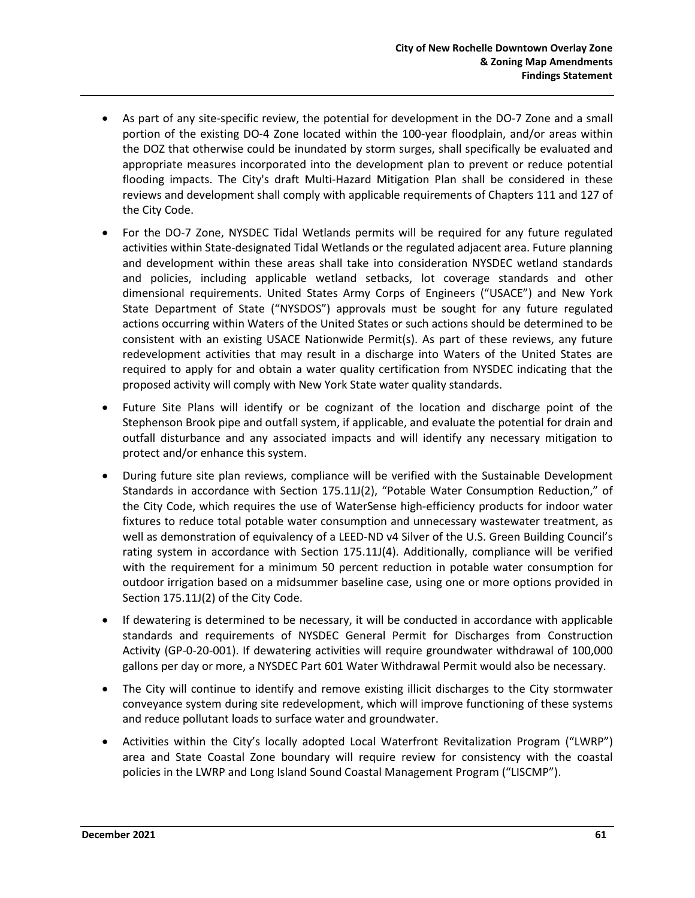- As part of any site-specific review, the potential for development in the DO-7 Zone and a small portion of the existing DO-4 Zone located within the 100-year floodplain, and/or areas within the DOZ that otherwise could be inundated by storm surges, shall specifically be evaluated and appropriate measures incorporated into the development plan to prevent or reduce potential flooding impacts. The City's draft Multi-Hazard Mitigation Plan shall be considered in these reviews and development shall comply with applicable requirements of Chapters 111 and 127 of the City Code.
- For the DO-7 Zone, NYSDEC Tidal Wetlands permits will be required for any future regulated activities within State-designated Tidal Wetlands or the regulated adjacent area. Future planning and development within these areas shall take into consideration NYSDEC wetland standards and policies, including applicable wetland setbacks, lot coverage standards and other dimensional requirements. United States Army Corps of Engineers ("USACE") and New York State Department of State ("NYSDOS") approvals must be sought for any future regulated actions occurring within Waters of the United States or such actions should be determined to be consistent with an existing USACE Nationwide Permit(s). As part of these reviews, any future redevelopment activities that may result in a discharge into Waters of the United States are required to apply for and obtain a water quality certification from NYSDEC indicating that the proposed activity will comply with New York State water quality standards.
- Future Site Plans will identify or be cognizant of the location and discharge point of the Stephenson Brook pipe and outfall system, if applicable, and evaluate the potential for drain and outfall disturbance and any associated impacts and will identify any necessary mitigation to protect and/or enhance this system.
- During future site plan reviews, compliance will be verified with the Sustainable Development Standards in accordance with Section 175.11J(2), "Potable Water Consumption Reduction," of the City Code, which requires the use of WaterSense high-efficiency products for indoor water fixtures to reduce total potable water consumption and unnecessary wastewater treatment, as well as demonstration of equivalency of a LEED-ND v4 Silver of the U.S. Green Building Council's rating system in accordance with Section 175.11J(4). Additionally, compliance will be verified with the requirement for a minimum 50 percent reduction in potable water consumption for outdoor irrigation based on a midsummer baseline case, using one or more options provided in Section 175.11J(2) of the City Code.
- If dewatering is determined to be necessary, it will be conducted in accordance with applicable standards and requirements of NYSDEC General Permit for Discharges from Construction Activity (GP-0-20-001). If dewatering activities will require groundwater withdrawal of 100,000 gallons per day or more, a NYSDEC Part 601 Water Withdrawal Permit would also be necessary.
- The City will continue to identify and remove existing illicit discharges to the City stormwater conveyance system during site redevelopment, which will improve functioning of these systems and reduce pollutant loads to surface water and groundwater.
- Activities within the City's locally adopted Local Waterfront Revitalization Program ("LWRP") area and State Coastal Zone boundary will require review for consistency with the coastal policies in the LWRP and Long Island Sound Coastal Management Program ("LISCMP").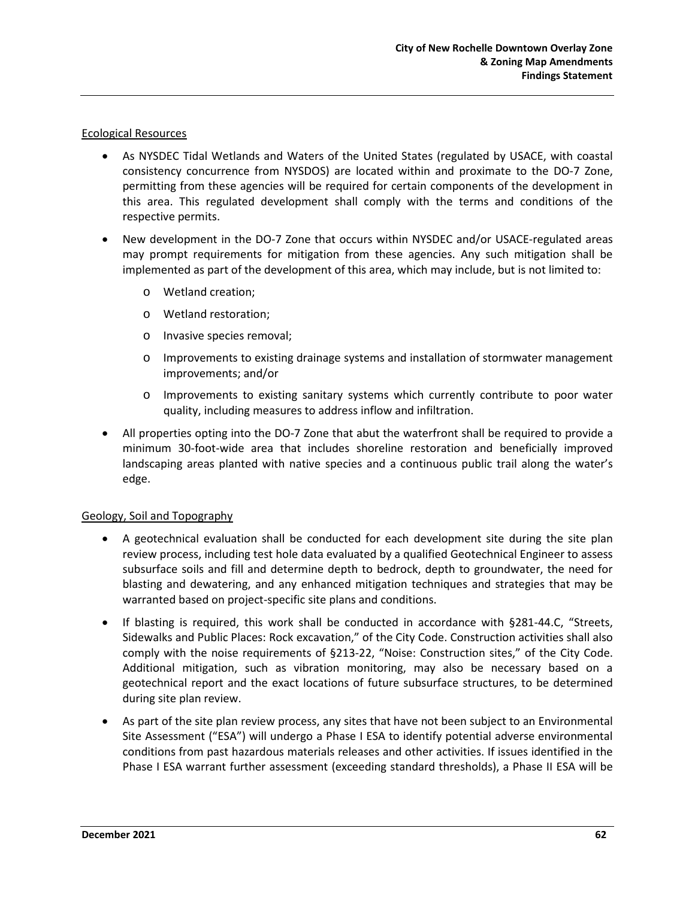#### Ecological Resources

- As NYSDEC Tidal Wetlands and Waters of the United States (regulated by USACE, with coastal consistency concurrence from NYSDOS) are located within and proximate to the DO-7 Zone, permitting from these agencies will be required for certain components of the development in this area. This regulated development shall comply with the terms and conditions of the respective permits.
- New development in the DO-7 Zone that occurs within NYSDEC and/or USACE-regulated areas may prompt requirements for mitigation from these agencies. Any such mitigation shall be implemented as part of the development of this area, which may include, but is not limited to:
	- o Wetland creation;
	- o Wetland restoration;
	- o Invasive species removal;
	- o Improvements to existing drainage systems and installation of stormwater management improvements; and/or
	- o Improvements to existing sanitary systems which currently contribute to poor water quality, including measures to address inflow and infiltration.
- All properties opting into the DO-7 Zone that abut the waterfront shall be required to provide a minimum 30-foot-wide area that includes shoreline restoration and beneficially improved landscaping areas planted with native species and a continuous public trail along the water's edge.

#### Geology, Soil and Topography

- A geotechnical evaluation shall be conducted for each development site during the site plan review process, including test hole data evaluated by a qualified Geotechnical Engineer to assess subsurface soils and fill and determine depth to bedrock, depth to groundwater, the need for blasting and dewatering, and any enhanced mitigation techniques and strategies that may be warranted based on project-specific site plans and conditions.
- If blasting is required, this work shall be conducted in accordance with §281-44.C, "Streets, Sidewalks and Public Places: Rock excavation," of the City Code. Construction activities shall also comply with the noise requirements of §213-22, "Noise: Construction sites," of the City Code. Additional mitigation, such as vibration monitoring, may also be necessary based on a geotechnical report and the exact locations of future subsurface structures, to be determined during site plan review.
- As part of the site plan review process, any sites that have not been subject to an Environmental Site Assessment ("ESA") will undergo a Phase I ESA to identify potential adverse environmental conditions from past hazardous materials releases and other activities. If issues identified in the Phase I ESA warrant further assessment (exceeding standard thresholds), a Phase II ESA will be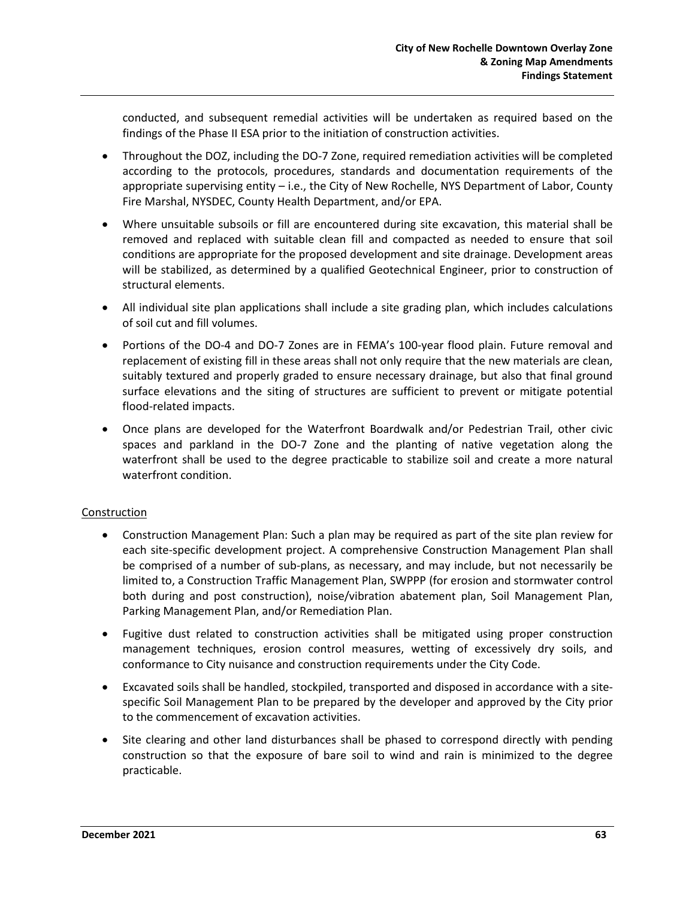conducted, and subsequent remedial activities will be undertaken as required based on the findings of the Phase II ESA prior to the initiation of construction activities.

- Throughout the DOZ, including the DO-7 Zone, required remediation activities will be completed according to the protocols, procedures, standards and documentation requirements of the appropriate supervising entity – i.e., the City of New Rochelle, NYS Department of Labor, County Fire Marshal, NYSDEC, County Health Department, and/or EPA.
- Where unsuitable subsoils or fill are encountered during site excavation, this material shall be removed and replaced with suitable clean fill and compacted as needed to ensure that soil conditions are appropriate for the proposed development and site drainage. Development areas will be stabilized, as determined by a qualified Geotechnical Engineer, prior to construction of structural elements.
- All individual site plan applications shall include a site grading plan, which includes calculations of soil cut and fill volumes.
- Portions of the DO-4 and DO-7 Zones are in FEMA's 100-year flood plain. Future removal and replacement of existing fill in these areas shall not only require that the new materials are clean, suitably textured and properly graded to ensure necessary drainage, but also that final ground surface elevations and the siting of structures are sufficient to prevent or mitigate potential flood-related impacts.
- Once plans are developed for the Waterfront Boardwalk and/or Pedestrian Trail, other civic spaces and parkland in the DO-7 Zone and the planting of native vegetation along the waterfront shall be used to the degree practicable to stabilize soil and create a more natural waterfront condition.

### Construction

- Construction Management Plan: Such a plan may be required as part of the site plan review for each site-specific development project. A comprehensive Construction Management Plan shall be comprised of a number of sub-plans, as necessary, and may include, but not necessarily be limited to, a Construction Traffic Management Plan, SWPPP (for erosion and stormwater control both during and post construction), noise/vibration abatement plan, Soil Management Plan, Parking Management Plan, and/or Remediation Plan.
- Fugitive dust related to construction activities shall be mitigated using proper construction management techniques, erosion control measures, wetting of excessively dry soils, and conformance to City nuisance and construction requirements under the City Code.
- Excavated soils shall be handled, stockpiled, transported and disposed in accordance with a sitespecific Soil Management Plan to be prepared by the developer and approved by the City prior to the commencement of excavation activities.
- Site clearing and other land disturbances shall be phased to correspond directly with pending construction so that the exposure of bare soil to wind and rain is minimized to the degree practicable.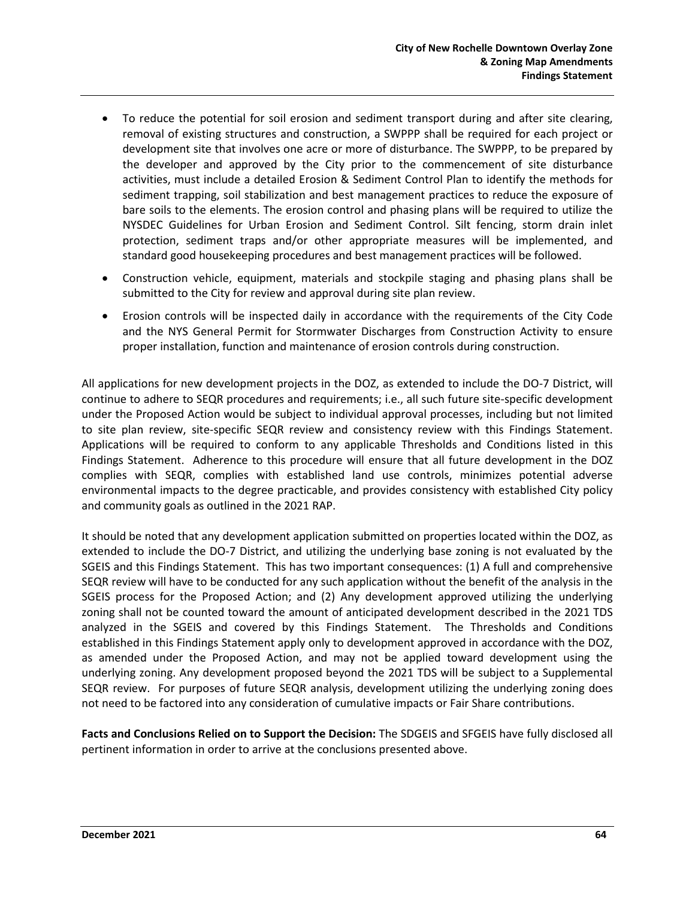- To reduce the potential for soil erosion and sediment transport during and after site clearing, removal of existing structures and construction, a SWPPP shall be required for each project or development site that involves one acre or more of disturbance. The SWPPP, to be prepared by the developer and approved by the City prior to the commencement of site disturbance activities, must include a detailed Erosion & Sediment Control Plan to identify the methods for sediment trapping, soil stabilization and best management practices to reduce the exposure of bare soils to the elements. The erosion control and phasing plans will be required to utilize the NYSDEC Guidelines for Urban Erosion and Sediment Control. Silt fencing, storm drain inlet protection, sediment traps and/or other appropriate measures will be implemented, and standard good housekeeping procedures and best management practices will be followed.
- Construction vehicle, equipment, materials and stockpile staging and phasing plans shall be submitted to the City for review and approval during site plan review.
- Erosion controls will be inspected daily in accordance with the requirements of the City Code and the NYS General Permit for Stormwater Discharges from Construction Activity to ensure proper installation, function and maintenance of erosion controls during construction.

All applications for new development projects in the DOZ, as extended to include the DO-7 District, will continue to adhere to SEQR procedures and requirements; i.e., all such future site-specific development under the Proposed Action would be subject to individual approval processes, including but not limited to site plan review, site-specific SEQR review and consistency review with this Findings Statement. Applications will be required to conform to any applicable Thresholds and Conditions listed in this Findings Statement. Adherence to this procedure will ensure that all future development in the DOZ complies with SEQR, complies with established land use controls, minimizes potential adverse environmental impacts to the degree practicable, and provides consistency with established City policy and community goals as outlined in the 2021 RAP.

It should be noted that any development application submitted on properties located within the DOZ, as extended to include the DO-7 District, and utilizing the underlying base zoning is not evaluated by the SGEIS and this Findings Statement. This has two important consequences: (1) A full and comprehensive SEQR review will have to be conducted for any such application without the benefit of the analysis in the SGEIS process for the Proposed Action; and (2) Any development approved utilizing the underlying zoning shall not be counted toward the amount of anticipated development described in the 2021 TDS analyzed in the SGEIS and covered by this Findings Statement. The Thresholds and Conditions established in this Findings Statement apply only to development approved in accordance with the DOZ, as amended under the Proposed Action, and may not be applied toward development using the underlying zoning. Any development proposed beyond the 2021 TDS will be subject to a Supplemental SEQR review. For purposes of future SEQR analysis, development utilizing the underlying zoning does not need to be factored into any consideration of cumulative impacts or Fair Share contributions.

**Facts and Conclusions Relied on to Support the Decision:** The SDGEIS and SFGEIS have fully disclosed all pertinent information in order to arrive at the conclusions presented above.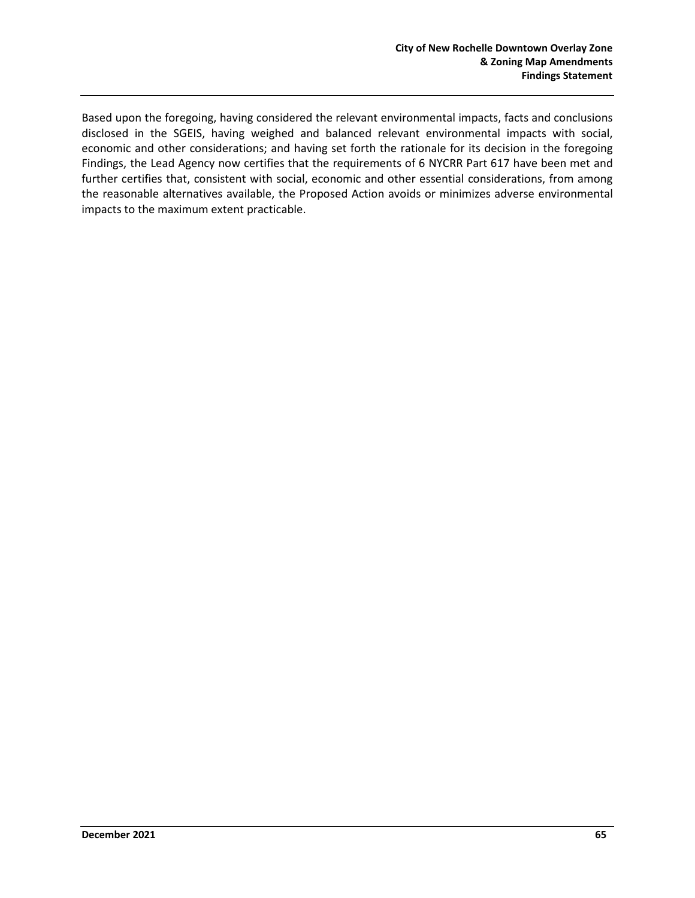Based upon the foregoing, having considered the relevant environmental impacts, facts and conclusions disclosed in the SGEIS, having weighed and balanced relevant environmental impacts with social, economic and other considerations; and having set forth the rationale for its decision in the foregoing Findings, the Lead Agency now certifies that the requirements of 6 NYCRR Part 617 have been met and further certifies that, consistent with social, economic and other essential considerations, from among the reasonable alternatives available, the Proposed Action avoids or minimizes adverse environmental impacts to the maximum extent practicable.